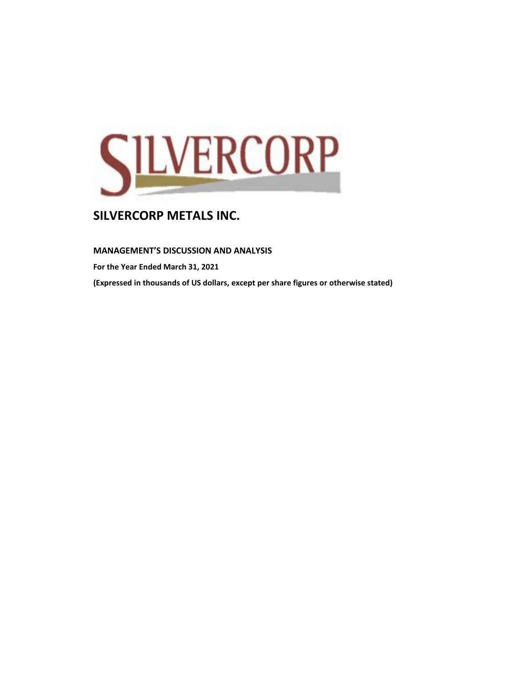

**MANAGEMENT'S DISCUSSION AND ANALYSIS** 

**For the Year Ended March 31, 2021**

**(Expressed in thousands of US dollars, except per share figures or otherwise stated)**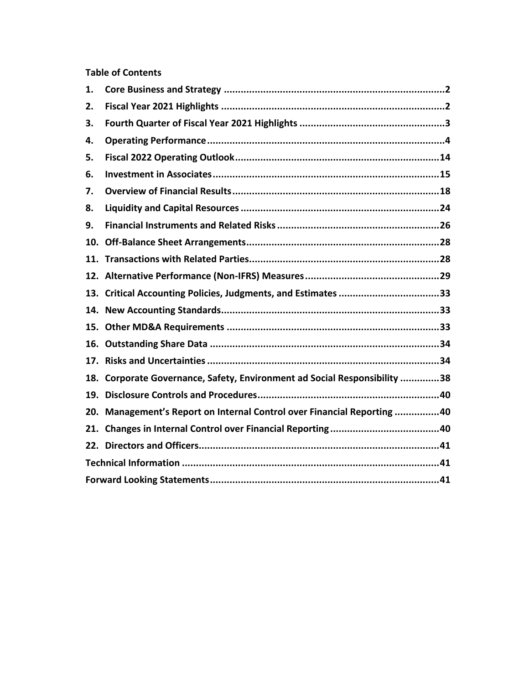### **Table of Contents**

| 1. |                                                                           |  |
|----|---------------------------------------------------------------------------|--|
| 2. |                                                                           |  |
| 3. |                                                                           |  |
| 4. |                                                                           |  |
| 5. |                                                                           |  |
| 6. |                                                                           |  |
| 7. |                                                                           |  |
| 8. |                                                                           |  |
| 9. |                                                                           |  |
|    |                                                                           |  |
|    |                                                                           |  |
|    |                                                                           |  |
|    | 13. Critical Accounting Policies, Judgments, and Estimates 33             |  |
|    |                                                                           |  |
|    |                                                                           |  |
|    |                                                                           |  |
|    |                                                                           |  |
|    | 18. Corporate Governance, Safety, Environment ad Social Responsibility 38 |  |
|    |                                                                           |  |
|    | 20. Management's Report on Internal Control over Financial Reporting 40   |  |
|    |                                                                           |  |
|    |                                                                           |  |
|    |                                                                           |  |
|    |                                                                           |  |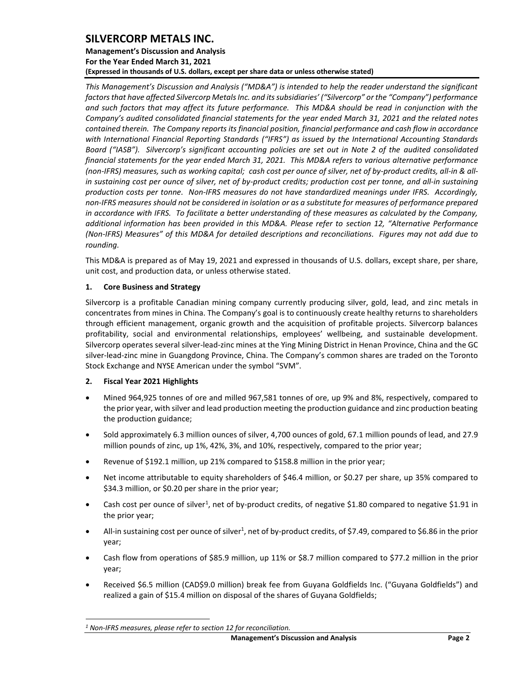### **Management's Discussion and Analysis For the Year Ended March 31, 2021 (Expressed in thousands of U.S. dollars, except per share data or unless otherwise stated)**

*This Management's Discussion and Analysis ("MD&A") is intended to help the reader understand the significant factors that have affected Silvercorp Metals Inc. and its subsidiaries' ("Silvercorp" or the "Company") performance and such factors that may affect its future performance. This MD&A should be read in conjunction with the Company's audited consolidated financial statements for the year ended March 31, 2021 and the related notes contained therein. The Company reports its financial position, financial performance and cash flow in accordance with International Financial Reporting Standards ("IFRS") as issued by the International Accounting Standards Board ("IASB").* Silvercorp's significant accounting policies are set out in Note 2 of the audited consolidated *financial statements for the year ended March 31, 2021. This MD&A refers to various alternative performance (non-IFRS) measures, such as working capital; cash cost per ounce of silver, net of by-product credits, all-in & allin sustaining cost per ounce of silver, net of by-product credits; production cost per tonne, and all-in sustaining production costs per tonne. Non-IFRS measures do not have standardized meanings under IFRS. Accordingly, non-IFRS measures should not be considered in isolation or as a substitute for measures of performance prepared in accordance with IFRS. To facilitate a better understanding of these measures as calculated by the Company, additional information has been provided in this MD&A. Please refer to section 12, "Alternative Performance (Non-IFRS) Measures" of this MD&A for detailed descriptions and reconciliations. Figures may not add due to rounding.*

This MD&A is prepared as of May 19, 2021 and expressed in thousands of U.S. dollars, except share, per share, unit cost, and production data, or unless otherwise stated.

### <span id="page-2-0"></span>**1. Core Business and Strategy**

Silvercorp is a profitable Canadian mining company currently producing silver, gold, lead, and zinc metals in concentrates from mines in China. The Company's goal is to continuously create healthy returns to shareholders through efficient management, organic growth and the acquisition of profitable projects. Silvercorp balances profitability, social and environmental relationships, employees' wellbeing, and sustainable development. Silvercorp operates several silver-lead-zinc mines at the Ying Mining District in Henan Province, China and the GC silver-lead-zinc mine in Guangdong Province, China. The Company's common shares are traded on the Toronto Stock Exchange and NYSE American under the symbol "SVM".

#### <span id="page-2-1"></span>**2. Fiscal Year 2021 Highlights**

- Mined 964,925 tonnes of ore and milled 967,581 tonnes of ore, up 9% and 8%, respectively, compared to the prior year, with silver and lead production meeting the production guidance and zinc production beating the production guidance;
- Sold approximately 6.3 million ounces of silver, 4,700 ounces of gold, 67.1 million pounds of lead, and 27.9 million pounds of zinc, up 1%, 42%, 3%, and 10%, respectively, compared to the prior year;
- Revenue of \$192.1 million, up 21% compared to \$158.8 million in the prior year;
- Net income attributable to equity shareholders of \$46.4 million, or \$0.27 per share, up 35% compared to \$34.3 million, or \$0.20 per share in the prior year;
- Cash cost per ounce of silver<sup>1</sup>, net of by-product credits, of negative \$1.80 compared to negative \$1.91 in the prior year;
- All-in sustaining cost per ounce of silver<sup>1</sup>, net of by-product credits, of \$7.49, compared to \$6.86 in the prior year;
- Cash flow from operations of \$85.9 million, up 11% or \$8.7 million compared to \$77.2 million in the prior year;
- Received \$6.5 million (CAD\$9.0 million) break fee from Guyana Goldfields Inc. ("Guyana Goldfields") and realized a gain of \$15.4 million on disposal of the shares of Guyana Goldfields;

*<sup>1</sup> Non-IFRS measures, please refer to section 12 for reconciliation.*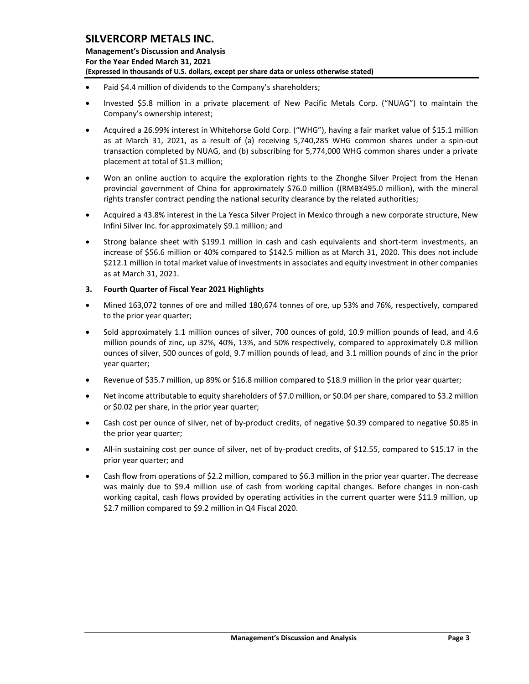- Paid \$4.4 million of dividends to the Company's shareholders;
- Invested \$5.8 million in a private placement of New Pacific Metals Corp. ("NUAG") to maintain the Company's ownership interest;
- Acquired a 26.99% interest in Whitehorse Gold Corp. ("WHG"), having a fair market value of \$15.1 million as at March 31, 2021, as a result of (a) receiving 5,740,285 WHG common shares under a spin-out transaction completed by NUAG, and (b) subscribing for 5,774,000 WHG common shares under a private placement at total of \$1.3 million;
- Won an online auction to acquire the exploration rights to the Zhonghe Silver Project from the Henan provincial government of China for approximately \$76.0 million ((RMB¥495.0 million), with the mineral rights transfer contract pending the national security clearance by the related authorities;
- Acquired a 43.8% interest in the La Yesca Silver Project in Mexico through a new corporate structure, New Infini Silver Inc. for approximately \$9.1 million; and
- Strong balance sheet with \$199.1 million in cash and cash equivalents and short-term investments, an increase of \$56.6 million or 40% compared to \$142.5 million as at March 31, 2020. This does not include \$212.1 million in total market value of investments in associates and equity investment in other companies as at March 31, 2021.
- <span id="page-3-0"></span>**3. Fourth Quarter of Fiscal Year 2021 Highlights**
- Mined 163,072 tonnes of ore and milled 180,674 tonnes of ore, up 53% and 76%, respectively, compared to the prior year quarter;
- Sold approximately 1.1 million ounces of silver, 700 ounces of gold, 10.9 million pounds of lead, and 4.6 million pounds of zinc, up 32%, 40%, 13%, and 50% respectively, compared to approximately 0.8 million ounces of silver, 500 ounces of gold, 9.7 million pounds of lead, and 3.1 million pounds of zinc in the prior year quarter;
- Revenue of \$35.7 million, up 89% or \$16.8 million compared to \$18.9 million in the prior year quarter;
- Net income attributable to equity shareholders of \$7.0 million, or \$0.04 per share, compared to \$3.2 million or \$0.02 per share, in the prior year quarter;
- Cash cost per ounce of silver, net of by-product credits, of negative \$0.39 compared to negative \$0.85 in the prior year quarter;
- All-in sustaining cost per ounce of silver, net of by-product credits, of \$12.55, compared to \$15.17 in the prior year quarter; and
- Cash flow from operations of \$2.2 million, compared to \$6.3 million in the prior year quarter. The decrease was mainly due to \$9.4 million use of cash from working capital changes. Before changes in non-cash working capital, cash flows provided by operating activities in the current quarter were \$11.9 million, up \$2.7 million compared to \$9.2 million in Q4 Fiscal 2020.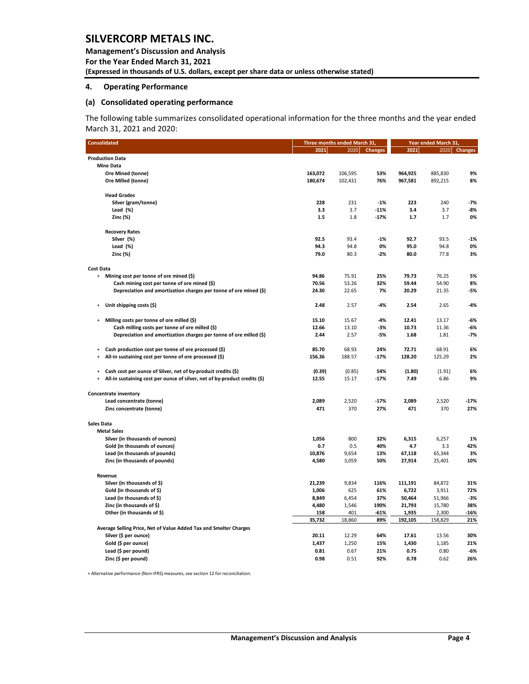**Management's Discussion and Analysis For the Year Ended March 31, 2021 (Expressed in thousands of U.S. dollars, except per share data or unless otherwise stated)** 

#### <span id="page-4-0"></span>**4. Operating Performance**

#### **(a) Consolidated operating performance**

The following table summarizes consolidated operational information for the three months and the year ended March 31, 2021 and 2020:

| <b>Consolidated</b>                                                                     |         | Three months ended March 31, | Year ended March 31, |                |                |                |
|-----------------------------------------------------------------------------------------|---------|------------------------------|----------------------|----------------|----------------|----------------|
|                                                                                         | 2021    | 2020                         | <b>Changes</b>       | 2021           | 2020           | <b>Changes</b> |
| <b>Production Data</b>                                                                  |         |                              |                      |                |                |                |
| <b>Mine Data</b>                                                                        |         |                              |                      |                |                |                |
| Ore Mined (tonne)                                                                       | 163,072 | 106,595                      | 53%                  | 964,925        | 885,830        | 9%             |
| Ore Milled (tonne)                                                                      | 180,674 | 102,431                      | 76%                  | 967,581        | 892,215        | 8%             |
| <b>Head Grades</b>                                                                      |         |                              |                      |                |                |                |
| Silver (gram/tonne)                                                                     | 228     | 231                          | $-1%$                | 223            | 240            | $-7%$          |
| Lead $(\%)$                                                                             | 3.3     | 3.7                          | $-11%$               | 3.4            | 3.7            | $-8%$          |
| Zinc (%)                                                                                | 1.5     | 1.8                          | $-17%$               | 1.7            | 1.7            | 0%             |
| <b>Recovery Rates</b>                                                                   |         |                              |                      |                |                |                |
| Silver (%)                                                                              | 92.5    | 93.4                         | $-1%$                | 92.7           | 93.5           | $-1%$          |
| Lead $(\%)$                                                                             | 94.3    | 94.8                         | 0%                   | 95.0           | 94.8           | 0%             |
| Zinc (%)                                                                                | 79.0    | 80.3                         | $-2%$                | 80.0           | 77.8           | 3%             |
| Cost Data                                                                               |         |                              |                      |                |                |                |
| Mining cost per tonne of ore mined (\$)<br>$+$                                          | 94.86   | 75.91                        | 25%                  | 79.73          | 76.25          | 5%             |
| Cash mining cost per tonne of ore mined (\$)                                            | 70.56   | 53.26                        | 32%                  | 59.44          | 54.90          | 8%             |
| Depreciation and amortization charges per tonne of ore mined (\$)                       | 24.30   | 22.65                        | 7%                   | 20.29          | 21.35          | $-5%$          |
| Unit shipping costs (\$)<br>$\ddot{}$                                                   | 2.48    | 2.57                         | -4%                  | 2.54           | 2.65           | $-4%$          |
| Milling costs per tonne of ore milled (\$)<br>$\ddot{}$                                 | 15.10   | 15.67                        | -4%                  | 12.41          | 13.17          | $-6%$          |
| Cash milling costs per tonne of ore milled (\$)                                         | 12.66   | 13.10                        | $-3%$                | 10.73          | 11.36          | -6%            |
| Depreciation and amortization charges per tonne of ore milled (\$)                      | 2.44    | 2.57                         | -5%                  | 1.68           | 1.81           | $-7%$          |
| Cash production cost per tonne of ore processed (\$)<br>$\ddot{}$                       | 85.70   | 68.93                        | 24%                  | 72.71          | 68.91          | 6%             |
| All-in sustaining cost per tonne of ore processed (\$)<br>$\ddot{}$                     | 156.36  | 188.57                       | $-17%$               | 128.20         | 125.29         | 2%             |
| Cash cost per ounce of Silver, net of by-product credits (\$)<br>$\ddot{}$              | (0.39)  | (0.85)                       | 54%                  | (1.80)         | (1.91)         | 6%             |
| All-in sustaining cost per ounce of silver, net of by-product credits (\$)<br>$\ddot{}$ | 12.55   | 15.17                        | -17%                 | 7.49           | 6.86           | 9%             |
| <b>Concentrate inventory</b>                                                            |         |                              |                      |                |                |                |
| Lead concentrate (tonne)                                                                | 2,089   | 2,520                        | -17%                 | 2,089          | 2,520          | $-17%$         |
| Zinc concentrate (tonne)                                                                | 471     | 370                          | 27%                  | 471            | 370            | 27%            |
| Sales Data                                                                              |         |                              |                      |                |                |                |
| <b>Metal Sales</b>                                                                      |         |                              |                      |                |                |                |
| Silver (in thousands of ounces)                                                         | 1,056   | 800                          | 32%                  | 6,315          | 6,257          | 1%             |
| Gold (in thousands of ounces)                                                           | 0.7     | 0.5                          | 40%                  | 4.7            | 3.3            | 42%            |
| Lead (in thousands of pounds)                                                           | 10,876  | 9,654                        | 13%                  | 67,118         | 65,344         | 3%             |
| Zinc (in thousands of pounds)                                                           | 4,580   | 3,059                        | 50%                  | 27,914         | 25,401         | 10%            |
| Revenue                                                                                 |         |                              |                      |                |                |                |
| Silver (in thousands of \$)                                                             | 21,239  | 9,834                        | 116%                 | 111,191        | 84,872         | 31%            |
| Gold (in thousands of \$)                                                               | 1,006   | 625                          | 61%                  | 6,722          | 3,911          | 72%            |
| Lead (in thousands of \$)                                                               | 8,849   | 6,454                        | 37%                  | 50,464         | 51,966         | $-3%$          |
| Zinc (in thousands of \$)                                                               | 4,480   | 1,546                        | 190%                 | 21,793         | 15,780         | 38%            |
| Other (in thousands of \$)                                                              | 158     | 401                          | -61%                 | 1,935          | 2,300          | $-16%$         |
| Average Selling Price, Net of Value Added Tax and Smelter Charges                       | 35,732  | 18,860                       | 89%                  | 192,105        | 158,829        | 21%            |
|                                                                                         | 20.11   |                              |                      |                |                |                |
| Silver (\$ per ounce)                                                                   | 1,437   | 12.29<br>1,250               | 64%<br>15%           | 17.61<br>1,430 | 13.56<br>1,185 | 30%<br>21%     |
| Gold (\$ per ounce)<br>Lead (\$ per pound)                                              | 0.81    | 0.67                         | 21%                  | 0.75           | 0.80           | -6%            |
| Zinc (\$ per pound)                                                                     | 0.98    | 0.51                         | 92%                  | 0.78           | 0.62           | 26%            |
|                                                                                         |         |                              |                      |                |                |                |

+ Alternative performance (Non-IFRS) measures, see section 12 for reconciliation.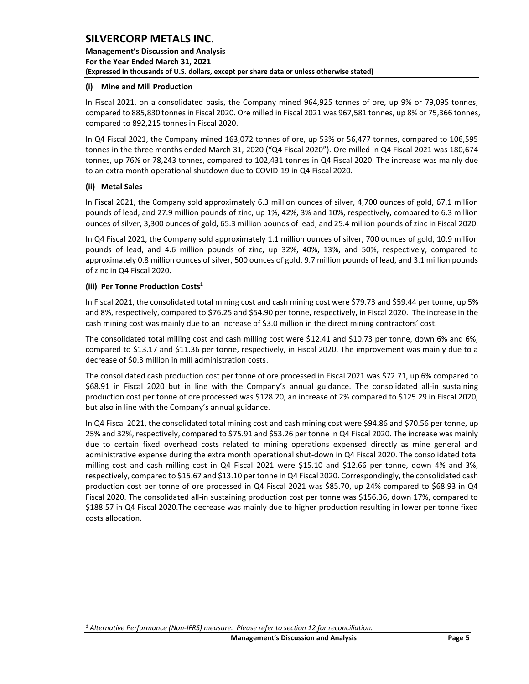**Management's Discussion and Analysis For the Year Ended March 31, 2021 (Expressed in thousands of U.S. dollars, except per share data or unless otherwise stated)** 

#### **(i) Mine and Mill Production**

In Fiscal 2021, on a consolidated basis, the Company mined 964,925 tonnes of ore, up 9% or 79,095 tonnes, compared to 885,830 tonnes in Fiscal 2020. Ore milled in Fiscal 2021 was 967,581 tonnes, up 8% or 75,366 tonnes, compared to 892,215 tonnes in Fiscal 2020.

In Q4 Fiscal 2021, the Company mined 163,072 tonnes of ore, up 53% or 56,477 tonnes, compared to 106,595 tonnes in the three months ended March 31, 2020 ("Q4 Fiscal 2020"). Ore milled in Q4 Fiscal 2021 was 180,674 tonnes, up 76% or 78,243 tonnes, compared to 102,431 tonnes in Q4 Fiscal 2020. The increase was mainly due to an extra month operational shutdown due to COVID-19 in Q4 Fiscal 2020.

#### **(ii) Metal Sales**

In Fiscal 2021, the Company sold approximately 6.3 million ounces of silver, 4,700 ounces of gold, 67.1 million pounds of lead, and 27.9 million pounds of zinc, up 1%, 42%, 3% and 10%, respectively, compared to 6.3 million ounces of silver, 3,300 ounces of gold, 65.3 million pounds of lead, and 25.4 million pounds of zinc in Fiscal 2020.

In Q4 Fiscal 2021, the Company sold approximately 1.1 million ounces of silver, 700 ounces of gold, 10.9 million pounds of lead, and 4.6 million pounds of zinc, up 32%, 40%, 13%, and 50%, respectively, compared to approximately 0.8 million ounces of silver, 500 ounces of gold, 9.7 million pounds of lead, and 3.1 million pounds of zinc in Q4 Fiscal 2020.

#### **(iii) Per Tonne Production Costs<sup>1</sup>**

In Fiscal 2021, the consolidated total mining cost and cash mining cost were \$79.73 and \$59.44 per tonne, up 5% and 8%, respectively, compared to \$76.25 and \$54.90 per tonne, respectively, in Fiscal 2020. The increase in the cash mining cost was mainly due to an increase of \$3.0 million in the direct mining contractors' cost.

The consolidated total milling cost and cash milling cost were \$12.41 and \$10.73 per tonne, down 6% and 6%, compared to \$13.17 and \$11.36 per tonne, respectively, in Fiscal 2020. The improvement was mainly due to a decrease of \$0.3 million in mill administration costs.

The consolidated cash production cost per tonne of ore processed in Fiscal 2021 was \$72.71, up 6% compared to \$68.91 in Fiscal 2020 but in line with the Company's annual guidance. The consolidated all-in sustaining production cost per tonne of ore processed was \$128.20, an increase of 2% compared to \$125.29 in Fiscal 2020, but also in line with the Company's annual guidance.

In Q4 Fiscal 2021, the consolidated total mining cost and cash mining cost were \$94.86 and \$70.56 per tonne, up 25% and 32%, respectively, compared to \$75.91 and \$53.26 per tonne in Q4 Fiscal 2020. The increase was mainly due to certain fixed overhead costs related to mining operations expensed directly as mine general and administrative expense during the extra month operational shut-down in Q4 Fiscal 2020. The consolidated total milling cost and cash milling cost in Q4 Fiscal 2021 were \$15.10 and \$12.66 per tonne, down 4% and 3%, respectively, compared to \$15.67 and \$13.10 per tonne in Q4 Fiscal 2020. Correspondingly, the consolidated cash production cost per tonne of ore processed in Q4 Fiscal 2021 was \$85.70, up 24% compared to \$68.93 in Q4 Fiscal 2020. The consolidated all-in sustaining production cost per tonne was \$156.36, down 17%, compared to \$188.57 in Q4 Fiscal 2020.The decrease was mainly due to higher production resulting in lower per tonne fixed costs allocation.

*<sup>1</sup> Alternative Performance (Non-IFRS) measure. Please refer to section 12 for reconciliation.*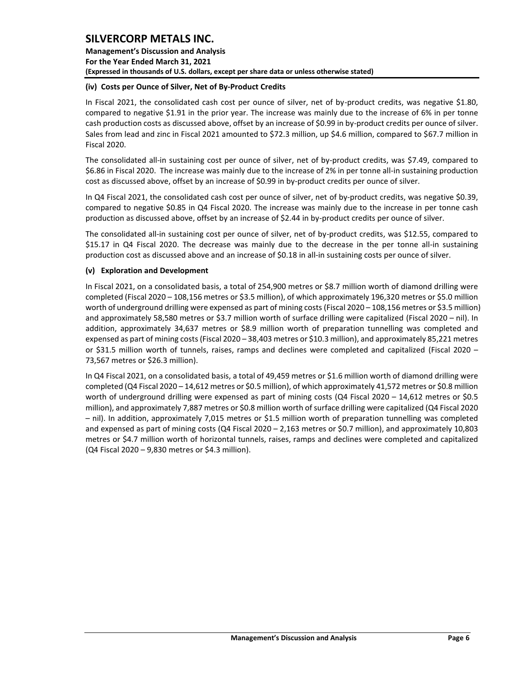**Management's Discussion and Analysis For the Year Ended March 31, 2021 (Expressed in thousands of U.S. dollars, except per share data or unless otherwise stated)** 

#### **(iv) Costs per Ounce of Silver, Net of By-Product Credits**

In Fiscal 2021, the consolidated cash cost per ounce of silver, net of by-product credits, was negative \$1.80, compared to negative \$1.91 in the prior year. The increase was mainly due to the increase of 6% in per tonne cash production costs as discussed above, offset by an increase of \$0.99 in by-product credits per ounce of silver. Sales from lead and zinc in Fiscal 2021 amounted to \$72.3 million, up \$4.6 million, compared to \$67.7 million in Fiscal 2020.

The consolidated all-in sustaining cost per ounce of silver, net of by-product credits, was \$7.49, compared to \$6.86 in Fiscal 2020. The increase was mainly due to the increase of 2% in per tonne all-in sustaining production cost as discussed above, offset by an increase of \$0.99 in by-product credits per ounce of silver.

In Q4 Fiscal 2021, the consolidated cash cost per ounce of silver, net of by-product credits, was negative \$0.39, compared to negative \$0.85 in Q4 Fiscal 2020. The increase was mainly due to the increase in per tonne cash production as discussed above, offset by an increase of \$2.44 in by-product credits per ounce of silver.

The consolidated all-in sustaining cost per ounce of silver, net of by-product credits, was \$12.55, compared to \$15.17 in Q4 Fiscal 2020. The decrease was mainly due to the decrease in the per tonne all-in sustaining production cost as discussed above and an increase of \$0.18 in all-in sustaining costs per ounce of silver.

#### **(v) Exploration and Development**

In Fiscal 2021, on a consolidated basis, a total of 254,900 metres or \$8.7 million worth of diamond drilling were completed (Fiscal 2020 – 108,156 metres or \$3.5 million), of which approximately 196,320 metres or \$5.0 million worth of underground drilling were expensed as part of mining costs (Fiscal 2020 – 108,156 metres or \$3.5 million) and approximately 58,580 metres or \$3.7 million worth of surface drilling were capitalized (Fiscal 2020 – nil). In addition, approximately 34,637 metres or \$8.9 million worth of preparation tunnelling was completed and expensed as part of mining costs(Fiscal 2020 – 38,403 metres or \$10.3 million), and approximately 85,221 metres or \$31.5 million worth of tunnels, raises, ramps and declines were completed and capitalized (Fiscal 2020 – 73,567 metres or \$26.3 million).

In Q4 Fiscal 2021, on a consolidated basis, a total of 49,459 metres or \$1.6 million worth of diamond drilling were completed (Q4 Fiscal 2020 – 14,612 metres or \$0.5 million), of which approximately 41,572 metres or \$0.8 million worth of underground drilling were expensed as part of mining costs (Q4 Fiscal 2020 – 14,612 metres or \$0.5 million), and approximately 7,887 metres or \$0.8 million worth of surface drilling were capitalized (Q4 Fiscal 2020 – nil). In addition, approximately 7,015 metres or \$1.5 million worth of preparation tunnelling was completed and expensed as part of mining costs (Q4 Fiscal 2020 – 2,163 metres or \$0.7 million), and approximately 10,803 metres or \$4.7 million worth of horizontal tunnels, raises, ramps and declines were completed and capitalized (Q4 Fiscal 2020 – 9,830 metres or \$4.3 million).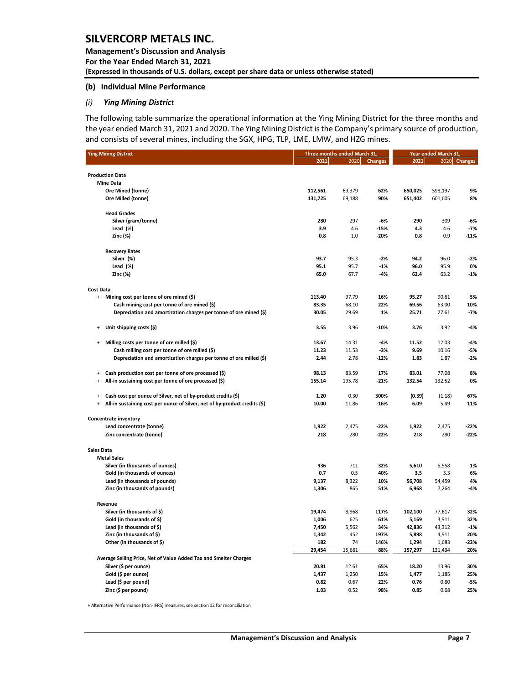#### **(b) Individual Mine Performance**

#### *(i) Ying Mining District*

The following table summarize the operational information at the Ying Mining District for the three months and the year ended March 31, 2021 and 2020. The Ying Mining District is the Company's primary source of production, and consists of several mines, including the SGX, HPG, TLP, LME, LMW, and HZG mines.

| <b>Ying Mining District</b>                                                             | Three months ended March 31, |        | Year ended March 31, |         |         |              |
|-----------------------------------------------------------------------------------------|------------------------------|--------|----------------------|---------|---------|--------------|
|                                                                                         | 2021                         | 2020   | <b>Changes</b>       | 2021    |         | 2020 Changes |
|                                                                                         |                              |        |                      |         |         |              |
| <b>Production Data</b>                                                                  |                              |        |                      |         |         |              |
| <b>Mine Data</b>                                                                        |                              |        |                      |         |         |              |
| Ore Mined (tonne)                                                                       | 112,561                      | 69,379 | 62%                  | 650,025 | 598,197 | 9%           |
| Ore Milled (tonne)                                                                      | 131,725                      | 69,188 | 90%                  | 651,402 | 601,605 | 8%           |
|                                                                                         |                              |        |                      |         |         |              |
| <b>Head Grades</b><br>Silver (gram/tonne)                                               | 280                          | 297    | -6%                  | 290     | 309     |              |
| Lead $(\%)$                                                                             | 3.9                          | 4.6    | -15%                 | 4.3     | 4.6     | -6%<br>$-7%$ |
| Zinc (%)                                                                                | 0.8                          | 1.0    | -20%                 | 0.8     | 0.9     | -11%         |
|                                                                                         |                              |        |                      |         |         |              |
| <b>Recovery Rates</b>                                                                   |                              |        |                      |         |         |              |
| Silver (%)                                                                              | 93.7                         | 95.3   | $-2%$                | 94.2    | 96.0    | $-2%$        |
| Lead $(\%)$                                                                             | 95.1                         | 95.7   | $-1%$                | 96.0    | 95.9    | 0%           |
| Zinc (%)                                                                                | 65.0                         | 67.7   | $-4%$                | 62.4    | 63.2    | $-1%$        |
| <b>Cost Data</b>                                                                        |                              |        |                      |         |         |              |
| + Mining cost per tonne of ore mined (\$)                                               | 113.40                       | 97.79  | 16%                  | 95.27   | 90.61   | 5%           |
| Cash mining cost per tonne of ore mined (\$)                                            | 83.35                        | 68.10  | 22%                  | 69.56   | 63.00   | 10%          |
| Depreciation and amortization charges per tonne of ore mined (\$)                       | 30.05                        | 29.69  | 1%                   | 25.71   | 27.61   | $-7%$        |
|                                                                                         |                              |        |                      |         |         |              |
| Unit shipping costs (\$)<br>$\ddot{}$                                                   | 3.55                         | 3.96   | $-10%$               | 3.76    | 3.92    | -4%          |
| Milling costs per tonne of ore milled (\$)<br>$\ddot{}$                                 | 13.67                        | 14.31  | $-4%$                | 11.52   | 12.03   | $-4%$        |
| Cash milling cost per tonne of ore milled (\$)                                          | 11.23                        | 11.53  | $-3%$                | 9.69    | 10.16   | $-5%$        |
| Depreciation and amortization charges per tonne of ore milled (\$)                      | 2.44                         | 2.78   | $-12%$               | 1.83    | 1.87    | $-2%$        |
|                                                                                         |                              |        |                      |         |         |              |
| Cash production cost per tonne of ore processed (\$)<br>$\ddot{}$                       | 98.13                        | 83.59  | 17%                  | 83.01   | 77.08   | 8%           |
| All-in sustaining cost per tonne of ore processed (\$)<br>$\ddot{}$                     | 155.14                       | 195.78 | $-21%$               | 132.54  | 132.52  | 0%           |
| Cash cost per ounce of Silver, net of by-product credits (\$)<br>$\ddot{}$              | 1.20                         | 0.30   | 300%                 | (0.39)  | (1.18)  | 67%          |
| All-in sustaining cost per ounce of Silver, net of by-product credits (\$)<br>$\ddot{}$ | 10.00                        | 11.86  | -16%                 | 6.09    | 5.49    | 11%          |
|                                                                                         |                              |        |                      |         |         |              |
| <b>Concentrate inventory</b>                                                            |                              |        |                      |         |         |              |
| Lead concentrate (tonne)                                                                | 1,922                        | 2,475  | $-22%$               | 1,922   | 2,475   | $-22%$       |
| Zinc concentrate (tonne)                                                                | 218                          | 280    | $-22%$               | 218     | 280     | $-22%$       |
|                                                                                         |                              |        |                      |         |         |              |
| Sales Data<br><b>Metal Sales</b>                                                        |                              |        |                      |         |         |              |
| Silver (in thousands of ounces)                                                         | 936                          | 711    | 32%                  | 5,610   | 5,558   | 1%           |
| Gold (in thousands of ounces)                                                           | 0.7                          | 0.5    | 40%                  | 3.5     | 3.3     | 6%           |
| Lead (in thousands of pounds)                                                           | 9,137                        | 8,322  | 10%                  | 56,708  | 54,459  | 4%           |
| Zinc (in thousands of pounds)                                                           | 1,306                        | 865    | 51%                  | 6,968   | 7,264   | $-4%$        |
|                                                                                         |                              |        |                      |         |         |              |
| Revenue                                                                                 |                              |        |                      |         |         |              |
| Silver (in thousands of \$)                                                             | 19,474                       | 8,968  | 117%                 | 102,100 | 77,617  | 32%          |
| Gold (in thousands of \$)                                                               | 1,006                        | 625    | 61%                  | 5,169   | 3,911   | 32%          |
| Lead (in thousands of \$)                                                               | 7,450                        | 5,562  | 34%                  | 42,836  | 43,312  | $-1%$        |
| Zinc (in thousands of \$)                                                               | 1,342                        | 452    | 197%                 | 5,898   | 4,911   | 20%          |
| Other (in thousands of \$)                                                              | 182                          | 74     | 146%                 | 1,294   | 1,683   | $-23%$       |
|                                                                                         | 29,454                       | 15,681 | 88%                  | 157,297 | 131,434 | 20%          |
| Average Selling Price, Net of Value Added Tax and Smelter Charges                       |                              |        |                      |         |         |              |
| Silver (\$ per ounce)                                                                   | 20.81                        | 12.61  | 65%                  | 18.20   | 13.96   | 30%          |
| Gold (\$ per ounce)                                                                     | 1,437                        | 1,250  | 15%                  | 1,477   | 1,185   | 25%          |
| Lead (\$ per pound)                                                                     | 0.82                         | 0.67   | 22%                  | 0.76    | 0.80    | $-5%$        |
| Zinc (\$ per pound)                                                                     | 1.03                         | 0.52   | 98%                  | 0.85    | 0.68    | 25%          |

+ Alternative Performance (Non-IFRS) measures, see section 12 for reconciliation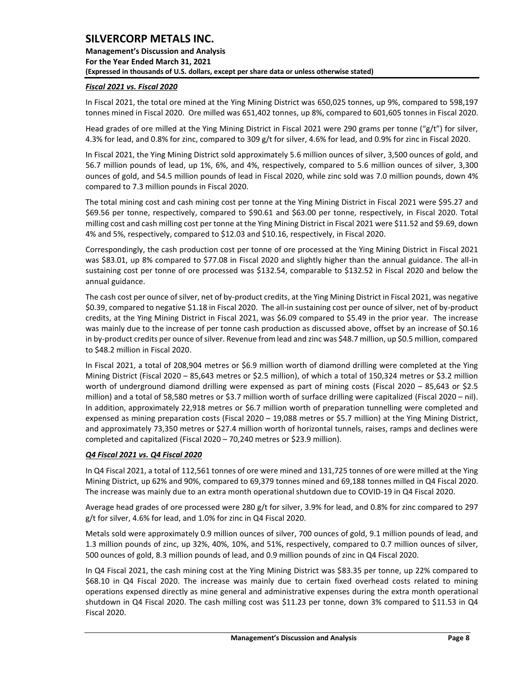**Management's Discussion and Analysis For the Year Ended March 31, 2021 (Expressed in thousands of U.S. dollars, except per share data or unless otherwise stated)** 

### *Fiscal 2021 vs. Fiscal 2020*

In Fiscal 2021, the total ore mined at the Ying Mining District was 650,025 tonnes, up 9%, compared to 598,197 tonnes mined in Fiscal 2020. Ore milled was 651,402 tonnes, up 8%, compared to 601,605 tonnes in Fiscal 2020.

Head grades of ore milled at the Ying Mining District in Fiscal 2021 were 290 grams per tonne ("g/t") for silver, 4.3% for lead, and 0.8% for zinc, compared to 309 g/t for silver, 4.6% for lead, and 0.9% for zinc in Fiscal 2020.

In Fiscal 2021, the Ying Mining District sold approximately 5.6 million ounces of silver, 3,500 ounces of gold, and 56.7 million pounds of lead, up 1%, 6%, and 4%, respectively, compared to 5.6 million ounces of silver, 3,300 ounces of gold, and 54.5 million pounds of lead in Fiscal 2020, while zinc sold was 7.0 million pounds, down 4% compared to 7.3 million pounds in Fiscal 2020.

The total mining cost and cash mining cost per tonne at the Ying Mining District in Fiscal 2021 were \$95.27 and \$69.56 per tonne, respectively, compared to \$90.61 and \$63.00 per tonne, respectively, in Fiscal 2020. Total milling cost and cash milling cost per tonne at the Ying Mining District in Fiscal 2021 were \$11.52 and \$9.69, down 4% and 5%, respectively, compared to \$12.03 and \$10.16, respectively, in Fiscal 2020.

Correspondingly, the cash production cost per tonne of ore processed at the Ying Mining District in Fiscal 2021 was \$83.01, up 8% compared to \$77.08 in Fiscal 2020 and slightly higher than the annual guidance. The all-in sustaining cost per tonne of ore processed was \$132.54, comparable to \$132.52 in Fiscal 2020 and below the annual guidance.

The cash cost per ounce of silver, net of by-product credits, at the Ying Mining District in Fiscal 2021, was negative \$0.39, compared to negative \$1.18 in Fiscal 2020. The all-in sustaining cost per ounce of silver, net of by-product credits, at the Ying Mining District in Fiscal 2021, was \$6.09 compared to \$5.49 in the prior year. The increase was mainly due to the increase of per tonne cash production as discussed above, offset by an increase of \$0.16 in by-product credits per ounce of silver. Revenue from lead and zinc was \$48.7 million, up \$0.5 million, compared to \$48.2 million in Fiscal 2020.

In Fiscal 2021, a total of 208,904 metres or \$6.9 million worth of diamond drilling were completed at the Ying Mining District (Fiscal 2020 – 85,643 metres or \$2.5 million), of which a total of 150,324 metres or \$3.2 million worth of underground diamond drilling were expensed as part of mining costs (Fiscal 2020 – 85,643 or \$2.5 million) and a total of 58,580 metres or \$3.7 million worth of surface drilling were capitalized (Fiscal 2020 – nil). In addition, approximately 22,918 metres or \$6.7 million worth of preparation tunnelling were completed and expensed as mining preparation costs (Fiscal 2020 – 19,088 metres or \$5.7 million) at the Ying Mining District, and approximately 73,350 metres or \$27.4 million worth of horizontal tunnels, raises, ramps and declines were completed and capitalized (Fiscal 2020 – 70,240 metres or \$23.9 million).

### *Q4 Fiscal 2021 vs. Q4 Fiscal 2020*

In Q4 Fiscal 2021, a total of 112,561 tonnes of ore were mined and 131,725 tonnes of ore were milled at the Ying Mining District, up 62% and 90%, compared to 69,379 tonnes mined and 69,188 tonnes milled in Q4 Fiscal 2020. The increase was mainly due to an extra month operational shutdown due to COVID-19 in Q4 Fiscal 2020.

Average head grades of ore processed were 280 g/t for silver, 3.9% for lead, and 0.8% for zinc compared to 297 g/t for silver, 4.6% for lead, and 1.0% for zinc in Q4 Fiscal 2020.

Metals sold were approximately 0.9 million ounces of silver, 700 ounces of gold, 9.1 million pounds of lead, and 1.3 million pounds of zinc, up 32%, 40%, 10%, and 51%, respectively, compared to 0.7 million ounces of silver, 500 ounces of gold, 8.3 million pounds of lead, and 0.9 million pounds of zinc in Q4 Fiscal 2020.

In Q4 Fiscal 2021, the cash mining cost at the Ying Mining District was \$83.35 per tonne, up 22% compared to \$68.10 in Q4 Fiscal 2020. The increase was mainly due to certain fixed overhead costs related to mining operations expensed directly as mine general and administrative expenses during the extra month operational shutdown in Q4 Fiscal 2020. The cash milling cost was \$11.23 per tonne, down 3% compared to \$11.53 in Q4 Fiscal 2020.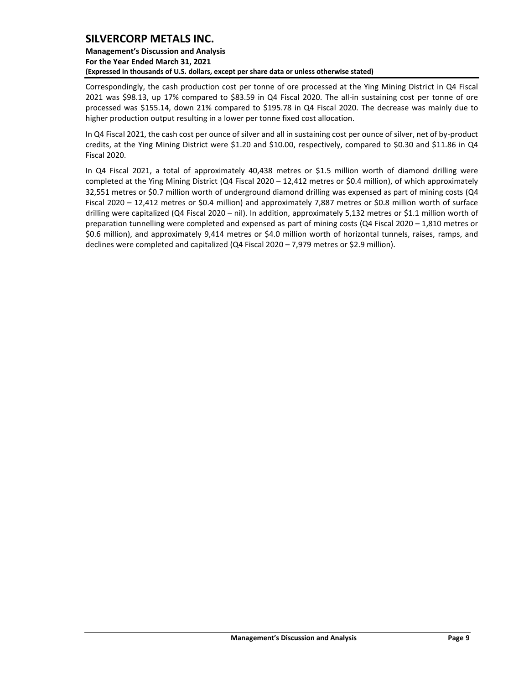### **Management's Discussion and Analysis For the Year Ended March 31, 2021 (Expressed in thousands of U.S. dollars, except per share data or unless otherwise stated)**

Correspondingly, the cash production cost per tonne of ore processed at the Ying Mining District in Q4 Fiscal 2021 was \$98.13, up 17% compared to \$83.59 in Q4 Fiscal 2020. The all-in sustaining cost per tonne of ore processed was \$155.14, down 21% compared to \$195.78 in Q4 Fiscal 2020. The decrease was mainly due to higher production output resulting in a lower per tonne fixed cost allocation.

In Q4 Fiscal 2021, the cash cost per ounce of silver and all in sustaining cost per ounce of silver, net of by-product credits, at the Ying Mining District were \$1.20 and \$10.00, respectively, compared to \$0.30 and \$11.86 in Q4 Fiscal 2020.

In Q4 Fiscal 2021, a total of approximately 40,438 metres or \$1.5 million worth of diamond drilling were completed at the Ying Mining District (Q4 Fiscal 2020 – 12,412 metres or \$0.4 million), of which approximately 32,551 metres or \$0.7 million worth of underground diamond drilling was expensed as part of mining costs (Q4 Fiscal 2020 – 12,412 metres or \$0.4 million) and approximately 7,887 metres or \$0.8 million worth of surface drilling were capitalized (Q4 Fiscal 2020 – nil). In addition, approximately 5,132 metres or \$1.1 million worth of preparation tunnelling were completed and expensed as part of mining costs (Q4 Fiscal 2020 – 1,810 metres or \$0.6 million), and approximately 9,414 metres or \$4.0 million worth of horizontal tunnels, raises, ramps, and declines were completed and capitalized (Q4 Fiscal 2020 – 7,979 metres or \$2.9 million).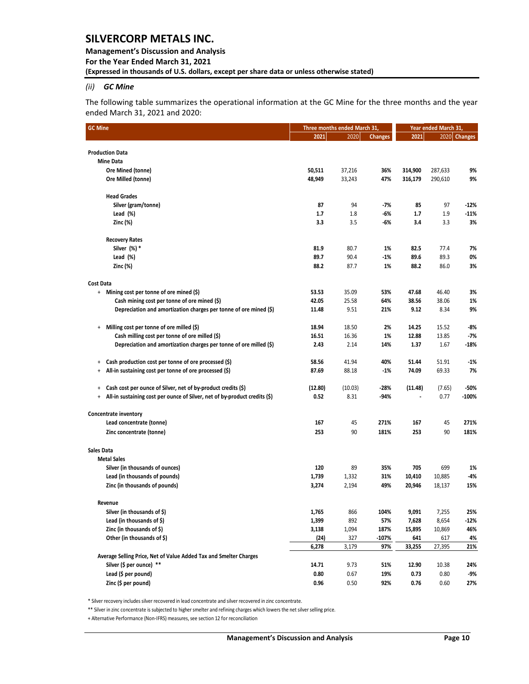### *(ii) GC Mine*

The following table summarizes the operational information at the GC Mine for the three months and the year ended March 31, 2021 and 2020:

| <b>GC Mine</b>                                                                       |         | Three months ended March 31, |                | Year ended March 31, |         |                |  |
|--------------------------------------------------------------------------------------|---------|------------------------------|----------------|----------------------|---------|----------------|--|
|                                                                                      | 2021    | 2020                         | <b>Changes</b> | 2021                 | 2020    | <b>Changes</b> |  |
| <b>Production Data</b>                                                               |         |                              |                |                      |         |                |  |
| <b>Mine Data</b>                                                                     |         |                              |                |                      |         |                |  |
| Ore Mined (tonne)                                                                    | 50,511  | 37,216                       | 36%            | 314,900              | 287,633 | 9%             |  |
| Ore Milled (tonne)                                                                   | 48,949  | 33,243                       | 47%            | 316,179              | 290,610 | 9%             |  |
|                                                                                      |         |                              |                |                      |         |                |  |
| <b>Head Grades</b>                                                                   |         |                              |                |                      |         |                |  |
| Silver (gram/tonne)                                                                  | 87      | 94                           | $-7%$          | 85                   | 97      | $-12%$         |  |
| Lead $(\%)$                                                                          | 1.7     | 1.8                          | -6%            | 1.7                  | 1.9     | $-11%$         |  |
| Zinc (%)                                                                             | 3.3     | 3.5                          | -6%            | 3.4                  | 3.3     | 3%             |  |
| <b>Recovery Rates</b>                                                                |         |                              |                |                      |         |                |  |
| Silver (%) *                                                                         | 81.9    | 80.7                         | 1%             | 82.5                 | 77.4    | 7%             |  |
| Lead $(\%)$                                                                          | 89.7    | 90.4                         | -1%            | 89.6                 | 89.3    | 0%             |  |
| Zinc (%)                                                                             | 88.2    | 87.7                         | 1%             | 88.2                 | 86.0    | 3%             |  |
| <b>Cost Data</b>                                                                     |         |                              |                |                      |         |                |  |
| + Mining cost per tonne of ore mined (\$)                                            | 53.53   | 35.09                        | 53%            | 47.68                | 46.40   | 3%             |  |
| Cash mining cost per tonne of ore mined (\$)                                         | 42.05   | 25.58                        | 64%            | 38.56                | 38.06   | 1%             |  |
| Depreciation and amortization charges per tonne of ore mined (\$)                    | 11.48   | 9.51                         | 21%            | 9.12                 | 8.34    | 9%             |  |
| Milling cost per tonne of ore milled (\$)<br>$\ddot{}$                               | 18.94   | 18.50                        | 2%             | 14.25                | 15.52   | -8%            |  |
| Cash milling cost per tonne of ore milled (\$)                                       | 16.51   | 16.36                        | 1%             | 12.88                | 13.85   | $-7%$          |  |
| Depreciation and amortization charges per tonne of ore milled (\$)                   | 2.43    | 2.14                         | 14%            | 1.37                 | 1.67    | -18%           |  |
|                                                                                      |         |                              |                |                      |         |                |  |
| Cash production cost per tonne of ore processed (\$)<br>$\ddot{}$                    | 58.56   | 41.94                        | 40%            | 51.44                | 51.91   | $-1%$          |  |
| All-in sustaining cost per tonne of ore processed (\$)<br>$\ddot{}$                  | 87.69   | 88.18                        | $-1%$          | 74.09                | 69.33   | 7%             |  |
| Cash cost per ounce of Silver, net of by-product credits (\$)<br>$\ddot{}$           | (12.80) | (10.03)                      | -28%           | (11.48)              | (7.65)  | -50%           |  |
| All-in sustaining cost per ounce of Silver, net of by-product credits (\$)<br>$^{+}$ | 0.52    | 8.31                         | $-94%$         |                      | 0.77    | $-100%$        |  |
| Concentrate inventory                                                                |         |                              |                |                      |         |                |  |
| Lead concentrate (tonne)                                                             | 167     | 45                           | 271%           | 167                  | 45      | 271%           |  |
| Zinc concentrate (tonne)                                                             | 253     | 90                           | 181%           | 253                  | 90      | 181%           |  |
| Sales Data                                                                           |         |                              |                |                      |         |                |  |
| <b>Metal Sales</b>                                                                   |         |                              |                |                      |         |                |  |
| Silver (in thousands of ounces)                                                      | 120     | 89                           | 35%            | 705                  | 699     | 1%             |  |
| Lead (in thousands of pounds)                                                        | 1,739   | 1,332                        | 31%            | 10,410               | 10,885  | -4%            |  |
| Zinc (in thousands of pounds)                                                        | 3,274   | 2,194                        | 49%            | 20,946               | 18,137  | 15%            |  |
| Revenue                                                                              |         |                              |                |                      |         |                |  |
| Silver (in thousands of \$)                                                          | 1,765   | 866                          | 104%           | 9,091                | 7,255   | 25%            |  |
| Lead (in thousands of \$)                                                            | 1,399   | 892                          | 57%            | 7,628                | 8,654   | $-12%$         |  |
| Zinc (in thousands of \$)                                                            | 3,138   | 1,094                        | 187%           | 15,895               | 10,869  | 46%            |  |
| Other (in thousands of \$)                                                           | (24)    | 327                          | -107%          | 641                  | 617     | 4%             |  |
|                                                                                      | 6,278   | 3,179                        | 97%            | 33,255               | 27,395  | 21%            |  |
| Average Selling Price, Net of Value Added Tax and Smelter Charges                    |         |                              |                |                      |         |                |  |
| Silver (\$ per ounce) **                                                             | 14.71   | 9.73                         | 51%            | 12.90                | 10.38   | 24%            |  |
| Lead (\$ per pound)                                                                  | 0.80    | 0.67                         | 19%            | 0.73                 | 0.80    | -9%            |  |
| Zinc (\$ per pound)                                                                  | 0.96    | 0.50                         | 92%            | 0.76                 | 0.60    | 27%            |  |

\* Silver recovery includes silver recovered in lead concentrate and silver recovered in zinc concentrate.

\*\* Silver in zinc concentrate is subjected to higher smelter and refining charges which lowers the net silver selling price.

+ Alternative Performance (Non-IFRS) measures, see section 12 for reconciliation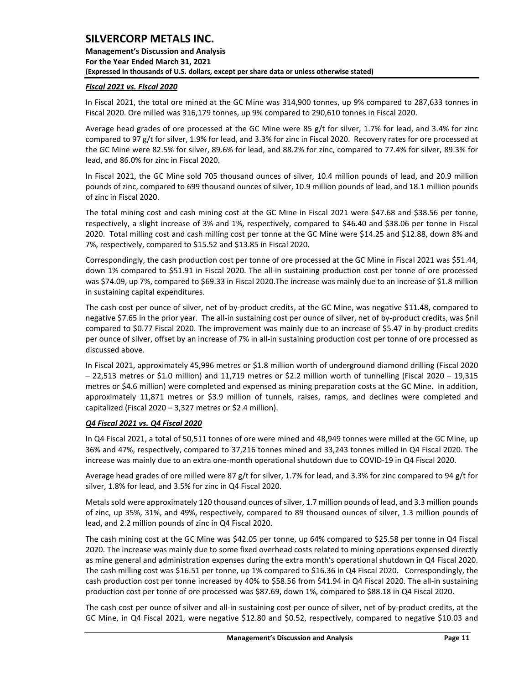### *Fiscal 2021 vs. Fiscal 2020*

In Fiscal 2021, the total ore mined at the GC Mine was 314,900 tonnes, up 9% compared to 287,633 tonnes in Fiscal 2020. Ore milled was 316,179 tonnes, up 9% compared to 290,610 tonnes in Fiscal 2020.

Average head grades of ore processed at the GC Mine were 85 g/t for silver, 1.7% for lead, and 3.4% for zinc compared to 97 g/t for silver, 1.9% for lead, and 3.3% for zinc in Fiscal 2020. Recovery rates for ore processed at the GC Mine were 82.5% for silver, 89.6% for lead, and 88.2% for zinc, compared to 77.4% for silver, 89.3% for lead, and 86.0% for zinc in Fiscal 2020.

In Fiscal 2021, the GC Mine sold 705 thousand ounces of silver, 10.4 million pounds of lead, and 20.9 million pounds of zinc, compared to 699 thousand ounces of silver, 10.9 million pounds of lead, and 18.1 million pounds of zinc in Fiscal 2020.

The total mining cost and cash mining cost at the GC Mine in Fiscal 2021 were \$47.68 and \$38.56 per tonne, respectively, a slight increase of 3% and 1%, respectively, compared to \$46.40 and \$38.06 per tonne in Fiscal 2020. Total milling cost and cash milling cost per tonne at the GC Mine were \$14.25 and \$12.88, down 8% and 7%, respectively, compared to \$15.52 and \$13.85 in Fiscal 2020.

Correspondingly, the cash production cost per tonne of ore processed at the GC Mine in Fiscal 2021 was \$51.44, down 1% compared to \$51.91 in Fiscal 2020. The all-in sustaining production cost per tonne of ore processed was \$74.09, up 7%, compared to \$69.33 in Fiscal 2020.The increase was mainly due to an increase of \$1.8 million in sustaining capital expenditures.

The cash cost per ounce of silver, net of by-product credits, at the GC Mine, was negative \$11.48, compared to negative \$7.65 in the prior year. The all-in sustaining cost per ounce of silver, net of by-product credits, was \$nil compared to \$0.77 Fiscal 2020. The improvement was mainly due to an increase of \$5.47 in by-product credits per ounce of silver, offset by an increase of 7% in all-in sustaining production cost per tonne of ore processed as discussed above.

In Fiscal 2021, approximately 45,996 metres or \$1.8 million worth of underground diamond drilling (Fiscal 2020 – 22,513 metres or \$1.0 million) and 11,719 metres or \$2.2 million worth of tunnelling (Fiscal 2020 – 19,315 metres or \$4.6 million) were completed and expensed as mining preparation costs at the GC Mine. In addition, approximately 11,871 metres or \$3.9 million of tunnels, raises, ramps, and declines were completed and capitalized (Fiscal 2020 – 3,327 metres or \$2.4 million).

#### *Q4 Fiscal 2021 vs. Q4 Fiscal 2020*

In Q4 Fiscal 2021, a total of 50,511 tonnes of ore were mined and 48,949 tonnes were milled at the GC Mine, up 36% and 47%, respectively, compared to 37,216 tonnes mined and 33,243 tonnes milled in Q4 Fiscal 2020. The increase was mainly due to an extra one-month operational shutdown due to COVID-19 in Q4 Fiscal 2020.

Average head grades of ore milled were 87 g/t for silver, 1.7% for lead, and 3.3% for zinc compared to 94 g/t for silver, 1.8% for lead, and 3.5% for zinc in Q4 Fiscal 2020.

Metals sold were approximately 120 thousand ounces of silver, 1.7 million pounds of lead, and 3.3 million pounds of zinc, up 35%, 31%, and 49%, respectively, compared to 89 thousand ounces of silver, 1.3 million pounds of lead, and 2.2 million pounds of zinc in Q4 Fiscal 2020.

The cash mining cost at the GC Mine was \$42.05 per tonne, up 64% compared to \$25.58 per tonne in Q4 Fiscal 2020. The increase was mainly due to some fixed overhead costs related to mining operations expensed directly as mine general and administration expenses during the extra month's operational shutdown in Q4 Fiscal 2020. The cash milling cost was \$16.51 per tonne, up 1% compared to \$16.36 in Q4 Fiscal 2020. Correspondingly, the cash production cost per tonne increased by 40% to \$58.56 from \$41.94 in Q4 Fiscal 2020. The all-in sustaining production cost per tonne of ore processed was \$87.69, down 1%, compared to \$88.18 in Q4 Fiscal 2020.

The cash cost per ounce of silver and all-in sustaining cost per ounce of silver, net of by-product credits, at the GC Mine, in Q4 Fiscal 2021, were negative \$12.80 and \$0.52, respectively, compared to negative \$10.03 and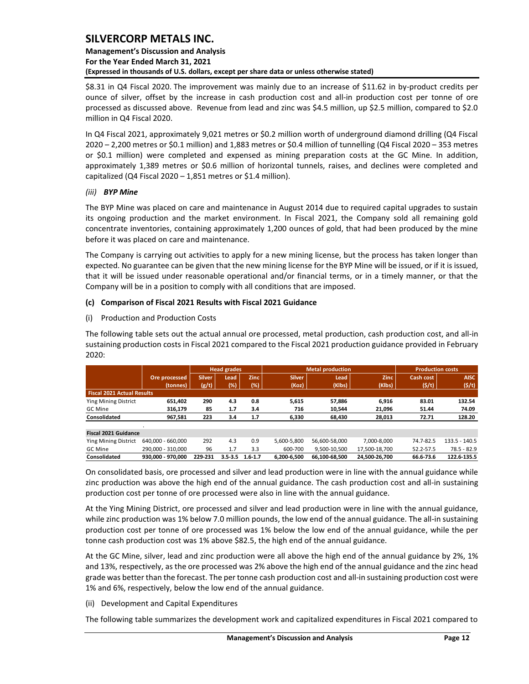### **Management's Discussion and Analysis For the Year Ended March 31, 2021 (Expressed in thousands of U.S. dollars, except per share data or unless otherwise stated)**

\$8.31 in Q4 Fiscal 2020. The improvement was mainly due to an increase of \$11.62 in by-product credits per ounce of silver, offset by the increase in cash production cost and all-in production cost per tonne of ore processed as discussed above. Revenue from lead and zinc was \$4.5 million, up \$2.5 million, compared to \$2.0 million in Q4 Fiscal 2020.

In Q4 Fiscal 2021, approximately 9,021 metres or \$0.2 million worth of underground diamond drilling (Q4 Fiscal 2020 – 2,200 metres or \$0.1 million) and 1,883 metres or \$0.4 million of tunnelling (Q4 Fiscal 2020 – 353 metres or \$0.1 million) were completed and expensed as mining preparation costs at the GC Mine. In addition, approximately 1,389 metres or \$0.6 million of horizontal tunnels, raises, and declines were completed and capitalized (Q4 Fiscal 2020 – 1,851 metres or \$1.4 million).

#### *(iii) BYP Mine*

The BYP Mine was placed on care and maintenance in August 2014 due to required capital upgrades to sustain its ongoing production and the market environment. In Fiscal 2021, the Company sold all remaining gold concentrate inventories, containing approximately 1,200 ounces of gold, that had been produced by the mine before it was placed on care and maintenance.

The Company is carrying out activities to apply for a new mining license, but the process has taken longer than expected. No guarantee can be given that the new mining license for the BYP Mine will be issued, or if it is issued, that it will be issued under reasonable operational and/or financial terms, or in a timely manner, or that the Company will be in a position to comply with all conditions that are imposed.

#### **(c) Comparison of Fiscal 2021 Results with Fiscal 2021 Guidance**

(i) Production and Production Costs

The following table sets out the actual annual ore processed, metal production, cash production cost, and all-in sustaining production costs in Fiscal 2021 compared to the Fiscal 2021 production guidance provided in February 2020:

|                                   |                   |               | <b>Head grades</b> |             |               | <b>Metal production</b> |               | <b>Production costs</b> |                 |  |
|-----------------------------------|-------------------|---------------|--------------------|-------------|---------------|-------------------------|---------------|-------------------------|-----------------|--|
|                                   | Ore processed     | <b>Silver</b> | Lead               | Zinc        | <b>Silver</b> | Lead                    | <b>Zinc</b>   | Cash cost               | <b>AISC</b>     |  |
|                                   | (tonnes)          | (g/t)         | (%)                | (%)         | (Koz)         | (Klbs)                  | (Klbs)        | (S/t)                   | (5/t)           |  |
| <b>Fiscal 2021 Actual Results</b> |                   |               |                    |             |               |                         |               |                         |                 |  |
| <b>Ying Mining District</b>       | 651.402           | 290           | 4.3                | 0.8         | 5,615         | 57,886                  | 6,916         | 83.01                   | 132.54          |  |
| <b>GC Mine</b>                    | 316.179           | 85            | 1.7                | 3.4         | 716           | 10.544                  | 21.096        | 51.44                   | 74.09           |  |
| Consolidated                      | 967,581           | 223           | 3.4                | 1.7         | 6,330         | 68.430                  | 28,013        | 72.71                   | 128.20          |  |
|                                   |                   |               |                    |             |               |                         |               |                         |                 |  |
| Fiscal 2021 Guidance              |                   |               |                    |             |               |                         |               |                         |                 |  |
| <b>Ying Mining District</b>       | 640.000 - 660.000 | 292           | 4.3                | 0.9         | 5,600-5,800   | 56.600-58.000           | 7.000-8.000   | 74.7-82.5               | $133.5 - 140.5$ |  |
| GC Mine                           | 290.000 - 310.000 | 96            | 1.7                | 3.3         | 600-700       | 9.500-10.500            | 17.500-18.700 | 52.2-57.5               | $78.5 - 82.9$   |  |
| Consolidated                      | 930.000 - 970.000 | 229-231       | $3.5 - 3.5$        | $1.6 - 1.7$ | 6.200-6.500   | 66.100-68.500           | 24.500-26.700 | 66.6-73.6               | 122.6-135.5     |  |

On consolidated basis, ore processed and silver and lead production were in line with the annual guidance while zinc production was above the high end of the annual guidance. The cash production cost and all-in sustaining production cost per tonne of ore processed were also in line with the annual guidance.

At the Ying Mining District, ore processed and silver and lead production were in line with the annual guidance, while zinc production was 1% below 7.0 million pounds, the low end of the annual guidance. The all-in sustaining production cost per tonne of ore processed was 1% below the low end of the annual guidance, while the per tonne cash production cost was 1% above \$82.5, the high end of the annual guidance.

At the GC Mine, silver, lead and zinc production were all above the high end of the annual guidance by 2%, 1% and 13%, respectively, as the ore processed was 2% above the high end of the annual guidance and the zinc head grade was better than the forecast. The per tonne cash production cost and all-in sustaining production cost were 1% and 6%, respectively, below the low end of the annual guidance.

(ii) Development and Capital Expenditures

The following table summarizes the development work and capitalized expenditures in Fiscal 2021 compared to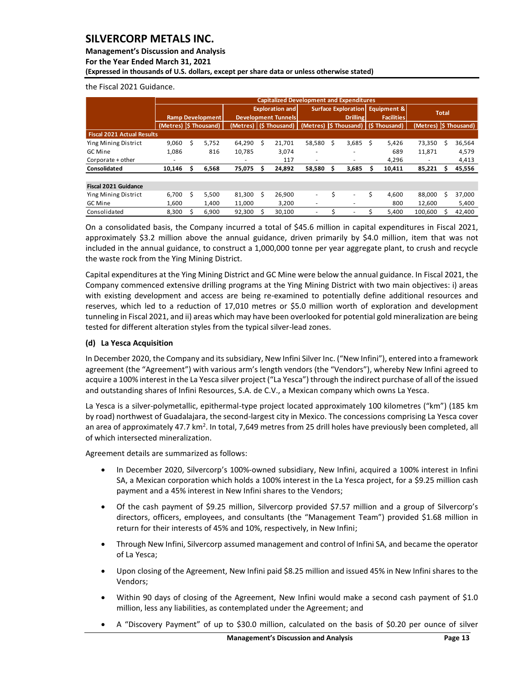### **Management's Discussion and Analysis**

**For the Year Ended March 31, 2021**

**(Expressed in thousands of U.S. dollars, except per share data or unless otherwise stated)** 

the Fiscal 2021 Guidance.

|                                                                                                                                                                                                                                                                                                                                                                                                                                                                                                                                                                                                                                                                |                                        |    |                         |        |                        |                            | <b>Capitalized Development and Expenditures</b> |                            |                 |                        |                   |                                    |    |                 |
|----------------------------------------------------------------------------------------------------------------------------------------------------------------------------------------------------------------------------------------------------------------------------------------------------------------------------------------------------------------------------------------------------------------------------------------------------------------------------------------------------------------------------------------------------------------------------------------------------------------------------------------------------------------|----------------------------------------|----|-------------------------|--------|------------------------|----------------------------|-------------------------------------------------|----------------------------|-----------------|------------------------|-------------------|------------------------------------|----|-----------------|
|                                                                                                                                                                                                                                                                                                                                                                                                                                                                                                                                                                                                                                                                |                                        |    |                         |        | <b>Exploration and</b> |                            |                                                 | <b>Surface Exploration</b> |                 | <b>Equipment &amp;</b> |                   | Total                              |    |                 |
|                                                                                                                                                                                                                                                                                                                                                                                                                                                                                                                                                                                                                                                                |                                        |    | <b>Ramp Development</b> |        |                        | <b>Development Tunnels</b> |                                                 |                            | <b>Drilling</b> |                        | <b>Facilities</b> |                                    |    |                 |
|                                                                                                                                                                                                                                                                                                                                                                                                                                                                                                                                                                                                                                                                | (Metres) S Thousand)                   |    |                         |        |                        | (Metres)   (\$ Thousand)   | (Metres) (\$ Thousand)                          |                            |                 |                        | (\$Thousand)      | (Metres)                           |    | (\$Thousand)    |
| <b>Fiscal 2021 Actual Results</b>                                                                                                                                                                                                                                                                                                                                                                                                                                                                                                                                                                                                                              |                                        |    |                         |        |                        |                            |                                                 |                            |                 |                        |                   |                                    |    |                 |
| Ying Mining District                                                                                                                                                                                                                                                                                                                                                                                                                                                                                                                                                                                                                                           | 9,060                                  | \$ | 5,752                   | 64,290 | -\$                    | 21,701                     | 58,580                                          | -\$                        | 3,685           | -\$                    | 5,426             | 73,350                             | \$ | 36,564          |
| GC Mine                                                                                                                                                                                                                                                                                                                                                                                                                                                                                                                                                                                                                                                        | 1,086                                  |    | 816                     | 10,785 |                        | 3,074                      |                                                 |                            |                 |                        | 689               | 11,871                             |    | 4,579           |
| Corporate + other<br>Consolidated                                                                                                                                                                                                                                                                                                                                                                                                                                                                                                                                                                                                                              | $\qquad \qquad \blacksquare$<br>10,146 | \$ | 6,568                   | 75,075 | \$                     | 117<br>24,892              | 58,580                                          | \$                         | 3,685           | \$                     | 4,296<br>10,411   | $\overline{\phantom{a}}$<br>85,221 | \$ | 4,413<br>45,556 |
|                                                                                                                                                                                                                                                                                                                                                                                                                                                                                                                                                                                                                                                                |                                        |    |                         |        |                        |                            |                                                 |                            |                 |                        |                   |                                    |    |                 |
| <b>Fiscal 2021 Guidance</b>                                                                                                                                                                                                                                                                                                                                                                                                                                                                                                                                                                                                                                    |                                        |    |                         |        |                        |                            |                                                 |                            |                 |                        |                   |                                    |    |                 |
| Ying Mining District                                                                                                                                                                                                                                                                                                                                                                                                                                                                                                                                                                                                                                           | 6,700                                  | \$ | 5,500                   | 81,300 | \$                     | 26,900                     | ÷,                                              | \$                         |                 | \$                     | 4,600             | 88,000                             | \$ | 37,000          |
| GC Mine                                                                                                                                                                                                                                                                                                                                                                                                                                                                                                                                                                                                                                                        | 1,600                                  |    | 1,400                   | 11,000 |                        | 3,200                      |                                                 |                            |                 |                        | 800               | 12,600                             |    | 5,400           |
| Consolidated                                                                                                                                                                                                                                                                                                                                                                                                                                                                                                                                                                                                                                                   | 8,300                                  | \$ | 6,900                   | 92,300 | \$                     | 30,100                     |                                                 | \$                         |                 | \$                     | 5,400             | 100,600                            | \$ | 42,400          |
| On a consolidated basis, the Company incurred a total of \$45.6 million in capital expenditures in Fiscal 2021,<br>approximately \$3.2 million above the annual guidance, driven primarily by \$4.0 million, item that was not<br>included in the annual guidance, to construct a 1,000,000 tonne per year aggregate plant, to crush and recycle<br>the waste rock from the Ying Mining District.                                                                                                                                                                                                                                                              |                                        |    |                         |        |                        |                            |                                                 |                            |                 |                        |                   |                                    |    |                 |
| Capital expenditures at the Ying Mining District and GC Mine were below the annual guidance. In Fiscal 2021, the<br>Company commenced extensive drilling programs at the Ying Mining District with two main objectives: i) areas<br>with existing development and access are being re-examined to potentially define additional resources and<br>reserves, which led to a reduction of 17,010 metres or \$5.0 million worth of exploration and development<br>tunneling in Fiscal 2021, and ii) areas which may have been overlooked for potential gold mineralization are being<br>tested for different alteration styles from the typical silver-lead zones. |                                        |    |                         |        |                        |                            |                                                 |                            |                 |                        |                   |                                    |    |                 |
| (d) La Yesca Acquisition                                                                                                                                                                                                                                                                                                                                                                                                                                                                                                                                                                                                                                       |                                        |    |                         |        |                        |                            |                                                 |                            |                 |                        |                   |                                    |    |                 |
| In December 2020, the Company and its subsidiary, New Infini Silver Inc. ("New Infini"), entered into a framework<br>agreement (the "Agreement") with various arm's length vendors (the "Vendors"), whereby New Infini agreed to<br>acquire a 100% interest in the La Yesca silver project ("La Yesca") through the indirect purchase of all of the issued<br>and outstanding shares of Infini Resources, S.A. de C.V., a Mexican company which owns La Yesca.                                                                                                                                                                                                 |                                        |    |                         |        |                        |                            |                                                 |                            |                 |                        |                   |                                    |    |                 |
| La Yesca is a silver-polymetallic, epithermal-type project located approximately 100 kilometres ("km") (185 km<br>by road) northwest of Guadalajara, the second-largest city in Mexico. The concessions comprising La Yesca cover<br>an area of approximately 47.7 km <sup>2</sup> . In total, 7,649 metres from 25 drill holes have previously been completed, all<br>of which intersected mineralization.                                                                                                                                                                                                                                                    |                                        |    |                         |        |                        |                            |                                                 |                            |                 |                        |                   |                                    |    |                 |
| Agreement details are summarized as follows:                                                                                                                                                                                                                                                                                                                                                                                                                                                                                                                                                                                                                   |                                        |    |                         |        |                        |                            |                                                 |                            |                 |                        |                   |                                    |    |                 |
| In December 2020, Silvercorp's 100%-owned subsidiary, New Infini, acquired a 100% interest in Infini<br>SA, a Mexican corporation which holds a 100% interest in the La Yesca project, for a \$9.25 million cash<br>payment and a 45% interest in New Infini shares to the Vendors;                                                                                                                                                                                                                                                                                                                                                                            |                                        |    |                         |        |                        |                            |                                                 |                            |                 |                        |                   |                                    |    |                 |
| Of the cash payment of \$9.25 million, Silvercorp provided \$7.57 million and a group of Silvercorp's<br>٠<br>directors, officers, employees, and consultants (the "Management Team") provided \$1.68 million in<br>return for their interests of 45% and 10%, respectively, in New Infini;                                                                                                                                                                                                                                                                                                                                                                    |                                        |    |                         |        |                        |                            |                                                 |                            |                 |                        |                   |                                    |    |                 |
| Through New Infini, Silvercorp assumed management and control of Infini SA, and became the operator<br>$\bullet$<br>of La Yesca;                                                                                                                                                                                                                                                                                                                                                                                                                                                                                                                               |                                        |    |                         |        |                        |                            |                                                 |                            |                 |                        |                   |                                    |    |                 |
| Upon closing of the Agreement, New Infini paid \$8.25 million and issued 45% in New Infini shares to the<br>$\bullet$<br>Vendors;                                                                                                                                                                                                                                                                                                                                                                                                                                                                                                                              |                                        |    |                         |        |                        |                            |                                                 |                            |                 |                        |                   |                                    |    |                 |
| Within 90 days of closing of the Agreement, New Infini would make a second cash payment of \$1.0<br>$\bullet$<br>million, less any liabilities, as contemplated under the Agreement; and                                                                                                                                                                                                                                                                                                                                                                                                                                                                       |                                        |    |                         |        |                        |                            |                                                 |                            |                 |                        |                   |                                    |    |                 |
| A "Discovery Payment" of up to \$30.0 million, calculated on the basis of \$0.20 per ounce of silver                                                                                                                                                                                                                                                                                                                                                                                                                                                                                                                                                           |                                        |    |                         |        |                        |                            |                                                 |                            |                 |                        |                   |                                    |    |                 |

### **(d) La Yesca Acquisition**

- In December 2020, Silvercorp's 100%-owned subsidiary, New Infini, acquired a 100% interest in Infini SA, a Mexican corporation which holds a 100% interest in the La Yesca project, for a \$9.25 million cash payment and a 45% interest in New Infini shares to the Vendors;
- Of the cash payment of \$9.25 million, Silvercorp provided \$7.57 million and a group of Silvercorp's directors, officers, employees, and consultants (the "Management Team") provided \$1.68 million in return for their interests of 45% and 10%, respectively, in New Infini;
- Through New Infini, Silvercorp assumed management and control of Infini SA, and became the operator of La Yesca;
- Upon closing of the Agreement, New Infini paid \$8.25 million and issued 45% in New Infini shares to the Vendors;
- Within 90 days of closing of the Agreement, New Infini would make a second cash payment of \$1.0 million, less any liabilities, as contemplated under the Agreement; and
-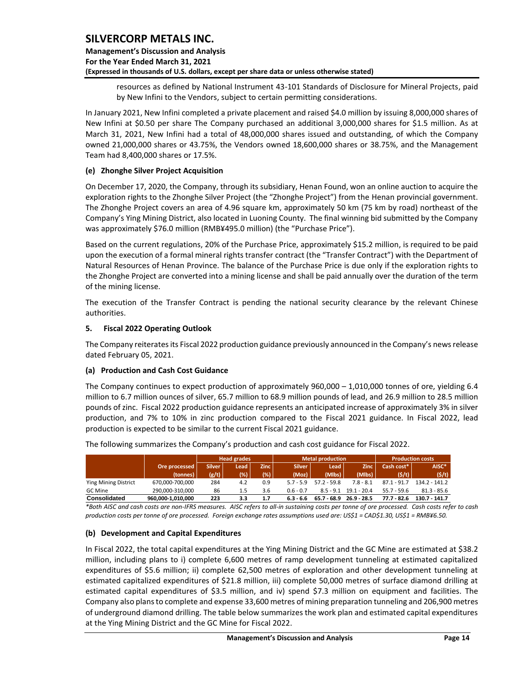### **Management's Discussion and Analysis For the Year Ended March 31, 2021 (Expressed in thousands of U.S. dollars, except per share data or unless otherwise stated)**

resources as defined by National Instrument 43-101 Standards of Disclosure for Mineral Projects, paid by New Infini to the Vendors, subject to certain permitting considerations.

In January 2021, New Infini completed a private placement and raised \$4.0 million by issuing 8,000,000 shares of New Infini at \$0.50 per share The Company purchased an additional 3,000,000 shares for \$1.5 million. As at March 31, 2021, New Infini had a total of 48,000,000 shares issued and outstanding, of which the Company owned 21,000,000 shares or 43.75%, the Vendors owned 18,600,000 shares or 38.75%, and the Management Team had 8,400,000 shares or 17.5%.

#### **(e) Zhonghe Silver Project Acquisition**

On December 17, 2020, the Company, through its subsidiary, Henan Found, won an online auction to acquire the exploration rights to the Zhonghe Silver Project (the "Zhonghe Project") from the Henan provincial government. The Zhonghe Project covers an area of 4.96 square km, approximately 50 km (75 km by road) northeast of the Company's Ying Mining District, also located in Luoning County. The final winning bid submitted by the Company was approximately \$76.0 million (RMB¥495.0 million) (the "Purchase Price").

Based on the current regulations, 20% of the Purchase Price, approximately \$15.2 million, is required to be paid upon the execution of a formal mineral rights transfer contract (the "Transfer Contract") with the Department of Natural Resources of Henan Province. The balance of the Purchase Price is due only if the exploration rights to the Zhonghe Project are converted into a mining license and shall be paid annually over the duration of the term of the mining license.

The execution of the Transfer Contract is pending the national security clearance by the relevant Chinese authorities.

#### <span id="page-14-0"></span>**5. Fiscal 2022 Operating Outlook**

The Company reiterates its Fiscal 2022 production guidance previously announced in the Company's newsrelease dated February 05, 2021.

#### **(a) Production and Cash Cost Guidance**

The Company continues to expect production of approximately 960,000 – 1,010,000 tonnes of ore, yielding 6.4 million to 6.7 million ounces of silver, 65.7 million to 68.9 million pounds of lead, and 26.9 million to 28.5 million pounds of zinc. Fiscal 2022 production guidance represents an anticipated increase of approximately 3% in silver production, and 7% to 10% in zinc production compared to the Fiscal 2021 guidance. In Fiscal 2022, lead production is expected to be similar to the current Fiscal 2021 guidance.

|                             |                   |               | <b>Head grades</b> |      |               | <b>Metal production</b> | <b>Production costs</b> |               |                 |
|-----------------------------|-------------------|---------------|--------------------|------|---------------|-------------------------|-------------------------|---------------|-----------------|
| Ore processed               |                   | <b>Silver</b> | Lead               | Zinc | <b>Silver</b> | Lead                    | Zinc                    | Cash cost*    | AISC*           |
|                             | (tonnes)          | (g/t)         | (%)                | (%)  | (Moz)         | (Mlbs)                  | (Mlbs)                  | (S/t)         | (5/t)           |
| <b>Ying Mining District</b> | 670,000-700,000   | 284           | 4.2                | 0.9  | 57-59         | $57.2 - 59.8$           | $7.8 - 8.1$             | $87.1 - 91.7$ | $134.2 - 141.2$ |
| GC Mine                     | 290.000-310.000   | 86            | 1.5                | 3.6  | $0.6 - 0.7$   | $8.5 - 9.1$             | 19.1 - 20.4             | $55.7 - 59.6$ | $81.3 - 85.6$   |
| <b>Consolidated</b>         | 960,000-1,010,000 | 223           | 3.3                | 1.7  | $6.3 - 6.6$   | 65.7 - 68.9             | $26.9 - 28.5$           | 77.7 - 82.6   | $130.7 - 141.7$ |

The following summarizes the Company's production and cash cost guidance for Fiscal 2022.

*\*Both AISC and cash costs are non-IFRS measures. AISC refers to all-in sustaining costs per tonne of ore processed. Cash costs refer to cash production costs per tonne of ore processed. Foreign exchange rates assumptions used are: US\$1 = CAD\$1.30, US\$1 = RMB¥6.50.*

#### **(b) Development and Capital Expenditures**

In Fiscal 2022, the total capital expenditures at the Ying Mining District and the GC Mine are estimated at \$38.2 million, including plans to i) complete 6,600 metres of ramp development tunneling at estimated capitalized expenditures of \$5.6 million; ii) complete 62,500 metres of exploration and other development tunneling at estimated capitalized expenditures of \$21.8 million, iii) complete 50,000 metres of surface diamond drilling at estimated capital expenditures of \$3.5 million, and iv) spend \$7.3 million on equipment and facilities. The Company also plans to complete and expense 33,600 metres of mining preparation tunneling and 206,900 metres of underground diamond drilling. The table below summarizes the work plan and estimated capital expenditures at the Ying Mining District and the GC Mine for Fiscal 2022.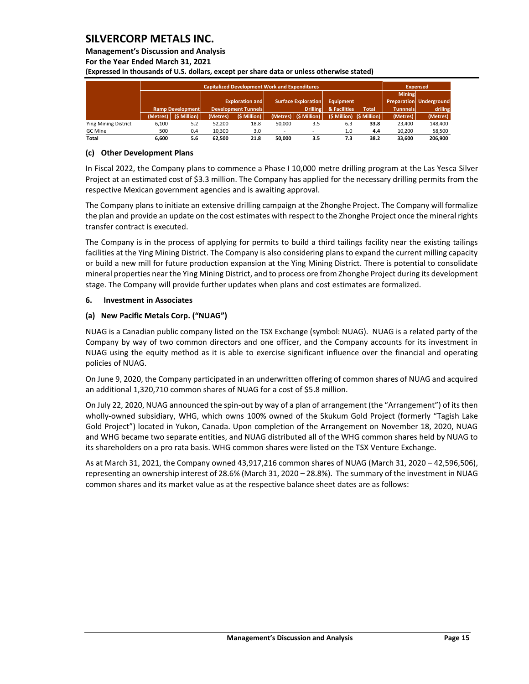#### **Management's Discussion and Analysis**

**For the Year Ended March 31, 2021**

**(Expressed in thousands of U.S. dollars, except per share data or unless otherwise stated)** 

|                             |          |                         | <b>Expensed</b>        |                            |                                         |                                 |     |                             |                 |                         |
|-----------------------------|----------|-------------------------|------------------------|----------------------------|-----------------------------------------|---------------------------------|-----|-----------------------------|-----------------|-------------------------|
|                             |          |                         |                        |                            |                                         |                                 |     |                             | <b>Mining</b>   |                         |
|                             |          |                         | <b>Exploration and</b> |                            | <b>Surface Exploration</b><br>Equipment |                                 |     |                             |                 | Preparation Underground |
|                             |          | <b>Ramp Development</b> |                        | <b>Development Tunnels</b> |                                         | & Facilities<br><b>Drilling</b> |     | <b>Total</b>                | <b>Tunnnels</b> | driling                 |
|                             | (Metres) | $(S$ Million)           | (Metres)               | (\$ Million)               |                                         | (Metres) (\$ Million)           |     | (\$ Million)   (\$ Million) | (Metres)        | (Metres)                |
| <b>Ying Mining District</b> | 6,100    | 5.2                     | 52.200                 | 18.8                       | 50.000                                  | 3.5                             | 6.3 | 33.8                        | 23.400          | 148,400                 |
| <b>GC</b> Mine              | 500      | 0.4                     | 10,300                 | 3.0                        |                                         |                                 | 1.0 | 4.4                         | 10.200          | 58,500                  |
| Total                       | 6.600    | 5.6                     | 62.500                 | 21.8                       | 50.000                                  | 3.5                             | 7.3 | 38.2                        | 33.600          | 206.900                 |

#### **(c) Other Development Plans**

In Fiscal 2022, the Company plans to commence a Phase I 10,000 metre drilling program at the Las Yesca Silver Project at an estimated cost of \$3.3 million. The Company has applied for the necessary drilling permits from the respective Mexican government agencies and is awaiting approval.

The Company plans to initiate an extensive drilling campaign at the Zhonghe Project. The Company will formalize the plan and provide an update on the cost estimates with respect to the Zhonghe Project once the mineral rights transfer contract is executed.

The Company is in the process of applying for permits to build a third tailings facility near the existing tailings facilities at the Ying Mining District. The Company is also considering plans to expand the current milling capacity or build a new mill for future production expansion at the Ying Mining District. There is potential to consolidate mineral properties near the Ying Mining District, and to process ore from Zhonghe Project during its development stage. The Company will provide further updates when plans and cost estimates are formalized.

#### <span id="page-15-0"></span>**6. Investment in Associates**

#### **(a) New Pacific Metals Corp. ("NUAG")**

NUAG is a Canadian public company listed on the TSX Exchange (symbol: NUAG). NUAG is a related party of the Company by way of two common directors and one officer, and the Company accounts for its investment in NUAG using the equity method as it is able to exercise significant influence over the financial and operating policies of NUAG.

On June 9, 2020, the Company participated in an underwritten offering of common shares of NUAG and acquired an additional 1,320,710 common shares of NUAG for a cost of \$5.8 million.

On July 22, 2020, NUAG announced the spin-out by way of a plan of arrangement (the "Arrangement") of its then wholly-owned subsidiary, WHG, which owns 100% owned of the Skukum Gold Project (formerly "Tagish Lake Gold Project") located in Yukon, Canada. Upon completion of the Arrangement on November 18, 2020, NUAG and WHG became two separate entities, and NUAG distributed all of the WHG common shares held by NUAG to its shareholders on a pro rata basis. WHG common shares were listed on the TSX Venture Exchange.

As at March 31, 2021, the Company owned 43,917,216 common shares of NUAG (March 31, 2020 – 42,596,506), representing an ownership interest of 28.6% (March 31, 2020 – 28.8%). The summary of the investment in NUAG common shares and its market value as at the respective balance sheet dates are as follows: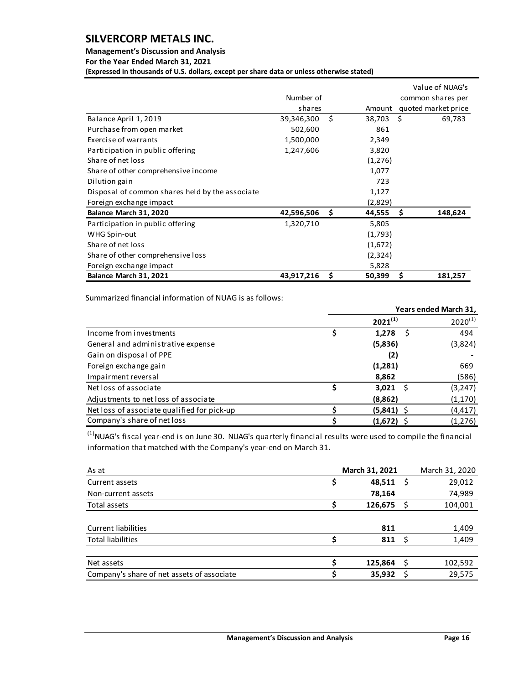### **Management's Discussion and Analysis**

**For the Year Ended March 31, 2021**

**(Expressed in thousands of U.S. dollars, except per share data or unless otherwise stated)** 

|                                                 |            |    |         |      | Value of NUAG's     |
|-------------------------------------------------|------------|----|---------|------|---------------------|
|                                                 | Number of  |    |         |      | common shares per   |
|                                                 | shares     |    | Amount  |      | quoted market price |
| Balance April 1, 2019                           | 39,346,300 | Ŝ. | 38,703  | - \$ | 69,783              |
| Purchase from open market                       | 502,600    |    | 861     |      |                     |
| Exercise of warrants                            | 1,500,000  |    | 2,349   |      |                     |
| Participation in public offering                | 1,247,606  |    | 3,820   |      |                     |
| Share of net loss                               |            |    | (1,276) |      |                     |
| Share of other comprehensive income             |            |    | 1,077   |      |                     |
| Dilution gain                                   |            |    | 723     |      |                     |
| Disposal of common shares held by the associate |            |    | 1,127   |      |                     |
| Foreign exchange impact                         |            |    | (2,829) |      |                     |
| Balance March 31, 2020                          | 42,596,506 | Ŝ  | 44,555  | S    | 148,624             |
| Participation in public offering                | 1,320,710  |    | 5,805   |      |                     |
| WHG Spin-out                                    |            |    | (1,793) |      |                     |
| Share of net loss                               |            |    | (1,672) |      |                     |
| Share of other comprehensive loss               |            |    | (2,324) |      |                     |
| Foreign exchange impact                         |            |    | 5,828   |      |                     |
| Balance March 31, 2021                          | 43,917,216 | \$ | 50,399  | \$   | 181,257             |

Summarized financial information of NUAG is as follows:

|                                             | Years ended March 31, |              |  |              |  |  |
|---------------------------------------------|-----------------------|--------------|--|--------------|--|--|
|                                             |                       | $2021^{(1)}$ |  | $2020^{(1)}$ |  |  |
| Income from investments                     |                       | 1,278        |  | 494          |  |  |
| General and administrative expense          |                       | (5,836)      |  | (3,824)      |  |  |
| Gain on disposal of PPE                     |                       | (2)          |  |              |  |  |
| Foreign exchange gain                       |                       | (1,281)      |  | 669          |  |  |
| Impairment reversal                         |                       | 8,862        |  | (586)        |  |  |
| Net loss of associate                       |                       | $3,021$ \$   |  | (3, 247)     |  |  |
| Adjustments to net loss of associate        |                       | (8,862)      |  | (1, 170)     |  |  |
| Net loss of associate qualified for pick-up |                       | $(5,841)$ \$ |  | (4, 417)     |  |  |
| Company's share of net loss                 |                       | $(1,672)$ \$ |  | (1, 276)     |  |  |

 $<sup>(1)</sup>$ NUAG's fiscal year-end is on June 30. NUAG's quarterly financial results were used to compile the financial</sup> information that matched with the Company's year-end on March 31.

| As at                                      | March 31, 2021 | March 31, 2020 |
|--------------------------------------------|----------------|----------------|
| Current assets                             | 48,511         | 29,012         |
| Non-current assets                         | 78,164         | 74,989         |
| Total assets                               | 126,675        | 104,001        |
|                                            |                |                |
| <b>Current liabilities</b>                 | 811            | 1,409          |
| <b>Total liabilities</b>                   | $811 \quad$    | 1,409          |
|                                            |                |                |
| Net assets                                 | 125.864        | 102,592        |
| Company's share of net assets of associate | 35,932         | 29.575         |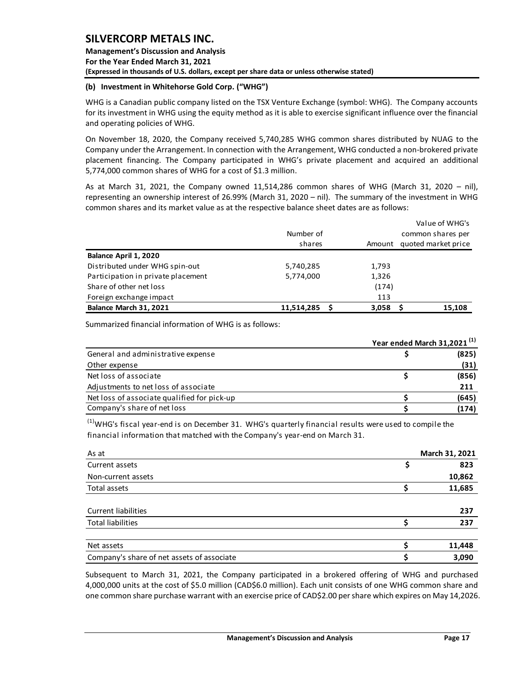**Management's Discussion and Analysis For the Year Ended March 31, 2021 (Expressed in thousands of U.S. dollars, except per share data or unless otherwise stated)** 

### **(b) Investment in Whitehorse Gold Corp. ("WHG")**

WHG is a Canadian public company listed on the TSX Venture Exchange (symbol: WHG). The Company accounts for its investment in WHG using the equity method as it is able to exercise significant influence over the financial and operating policies of WHG.

On November 18, 2020, the Company received 5,740,285 WHG common shares distributed by NUAG to the Company under the Arrangement. In connection with the Arrangement, WHG conducted a non-brokered private placement financing. The Company participated in WHG's private placement and acquired an additional 5,774,000 common shares of WHG for a cost of \$1.3 million.

As at March 31, 2021, the Company owned 11,514,286 common shares of WHG (March 31, 2020 – nil), representing an ownership interest of 26.99% (March 31, 2020 – nil). The summary of the investment in WHG common shares and its market value as at the respective balance sheet dates are as follows:

|                                    |            |        | Value of WHG's      |
|------------------------------------|------------|--------|---------------------|
|                                    | Number of  |        | common shares per   |
|                                    | shares     | Amount | quoted market price |
| Balance April 1, 2020              |            |        |                     |
| Distributed under WHG spin-out     | 5,740,285  | 1,793  |                     |
| Participation in private placement | 5,774,000  | 1,326  |                     |
| Share of other net loss            |            | (174)  |                     |
| Foreign exchange impact            |            | 113    |                     |
| Balance March 31, 2021             | 11.514.285 | 3.058  | 15.108              |

Summarized financial information of WHG is as follows:

|                                             | Year ended March 31,2021 <sup>(1)</sup> |       |
|---------------------------------------------|-----------------------------------------|-------|
| General and administrative expense          |                                         | (825) |
| Other expense                               |                                         | (31)  |
| Net loss of associate                       |                                         | (856) |
| Adjustments to net loss of associate        |                                         | 211   |
| Net loss of associate qualified for pick-up |                                         | (645) |
| Company's share of net loss                 |                                         | (174) |

 $<sup>(1)</sup>$ WHG's fiscal year-end is on December 31. WHG's quarterly financial results were used to compile the</sup> financial information that matched with the Company's year-end on March 31.

| As at                                      | March 31, 2021 |
|--------------------------------------------|----------------|
| Current assets                             | 823            |
| Non-current assets                         | 10,862         |
| Total assets                               | 11,685         |
|                                            |                |
| <b>Current liabilities</b>                 | 237            |
| <b>Total liabilities</b>                   | 237            |
|                                            |                |
| Net assets                                 | 11,448         |
| Company's share of net assets of associate | 3,090          |

Subsequent to March 31, 2021, the Company participated in a brokered offering of WHG and purchased 4,000,000 units at the cost of \$5.0 million (CAD\$6.0 million). Each unit consists of one WHG common share and one common share purchase warrant with an exercise price of CAD\$2.00 per share which expires on May 14,2026.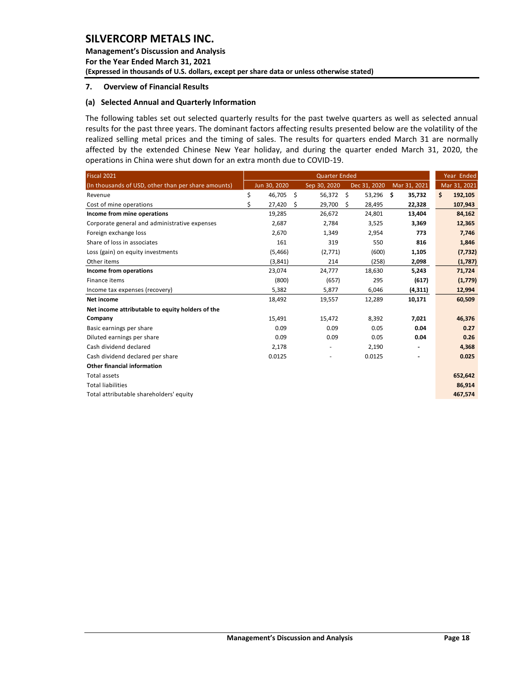**Management's Discussion and Analysis For the Year Ended March 31, 2021 (Expressed in thousands of U.S. dollars, except per share data or unless otherwise stated)** 

#### <span id="page-18-0"></span>**7. Overview of Financial Results**

#### **(a) Selected Annual and Quarterly Information**

The following tables set out selected quarterly results for the past twelve quarters as well as selected annual results for the past three years. The dominant factors affecting results presented below are the volatility of the realized selling metal prices and the timing of sales. The results for quarters ended March 31 are normally affected by the extended Chinese New Year holiday, and during the quarter ended March 31, 2020, the operations in China were shut down for an extra month due to COVID-19.

| Fiscal 2021                                         |              | Year Ended               |                |               |               |
|-----------------------------------------------------|--------------|--------------------------|----------------|---------------|---------------|
| (In thousands of USD, other than per share amounts) | Jun 30, 2020 | Sep 30, 2020             | Dec 31, 2020   | Mar 31, 2021  | Mar 31, 2021  |
| Revenue                                             | \$<br>46,705 | \$<br>56,372             | - \$<br>53,296 | \$.<br>35,732 | 192,105<br>\$ |
| Cost of mine operations                             | \$<br>27,420 | 29,700<br>\$             | S.<br>28,495   | 22,328        | 107,943       |
| Income from mine operations                         | 19,285       | 26,672                   | 24,801         | 13,404        | 84,162        |
| Corporate general and administrative expenses       | 2,687        | 2,784                    | 3,525          | 3,369         | 12,365        |
| Foreign exchange loss                               | 2,670        | 1,349                    | 2,954          | 773           | 7,746         |
| Share of loss in associates                         | 161          | 319                      | 550            | 816           | 1,846         |
| Loss (gain) on equity investments                   | (5,466)      | (2,771)                  | (600)          | 1,105         | (7, 732)      |
| Other items                                         | (3,841)      | 214                      | (258)          | 2,098         | (1,787)       |
| Income from operations                              | 23,074       | 24,777                   | 18,630         | 5,243         | 71,724        |
| Finance items                                       | (800)        | (657)                    | 295            | (617)         | (1,779)       |
| Income tax expenses (recovery)                      | 5,382        | 5,877                    | 6,046          | (4,311)       | 12,994        |
| Net income                                          | 18,492       | 19,557                   | 12,289         | 10,171        | 60,509        |
| Net income attributable to equity holders of the    |              |                          |                |               |               |
| Company                                             | 15,491       | 15,472                   | 8,392          | 7,021         | 46,376        |
| Basic earnings per share                            | 0.09         | 0.09                     | 0.05           | 0.04          | 0.27          |
| Diluted earnings per share                          | 0.09         | 0.09                     | 0.05           | 0.04          | 0.26          |
| Cash dividend declared                              | 2,178        |                          | 2,190          |               | 4,368         |
| Cash dividend declared per share                    | 0.0125       | $\overline{\phantom{m}}$ | 0.0125         |               | 0.025         |
| Other financial information                         |              |                          |                |               |               |
| Total assets                                        |              |                          |                |               | 652,642       |
| <b>Total liabilities</b>                            |              |                          |                |               | 86,914        |
| Total attributable shareholders' equity             |              |                          |                |               | 467,574       |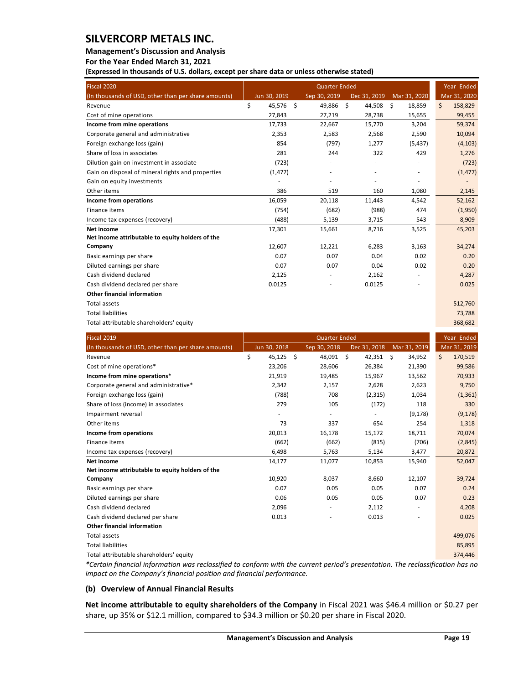#### **Management's Discussion and Analysis**

**For the Year Ended March 31, 2021**

**(Expressed in thousands of U.S. dollars, except per share data or unless otherwise stated)** 

| Fiscal 2020                                         |              | Year Ended |              |                |              |               |
|-----------------------------------------------------|--------------|------------|--------------|----------------|--------------|---------------|
| (In thousands of USD, other than per share amounts) | Jun 30, 2019 |            | Sep 30, 2019 | Dec 31, 2019   | Mar 31, 2020 | Mar 31, 2020  |
| Revenue                                             | \$<br>45,576 | - \$       | 49,886       | - \$<br>44,508 | \$<br>18,859 | \$<br>158,829 |
| Cost of mine operations                             | 27,843       |            | 27,219       | 28,738         | 15,655       | 99,455        |
| Income from mine operations                         | 17,733       |            | 22,667       | 15,770         | 3,204        | 59,374        |
| Corporate general and administrative                | 2,353        |            | 2,583        | 2,568          | 2,590        | 10,094        |
| Foreign exchange loss (gain)                        | 854          |            | (797)        | 1,277          | (5, 437)     | (4, 103)      |
| Share of loss in associates                         | 281          |            | 244          | 322            | 429          | 1,276         |
| Dilution gain on investment in associate            | (723)        |            |              |                |              | (723)         |
| Gain on disposal of mineral rights and properties   | (1, 477)     |            |              |                |              | (1, 477)      |
| Gain on equity investments                          |              |            |              |                | ٠            |               |
| Other items                                         | 386          |            | 519          | 160            | 1,080        | 2,145         |
| Income from operations                              | 16,059       |            | 20,118       | 11,443         | 4,542        | 52,162        |
| Finance items                                       | (754)        |            | (682)        | (988)          | 474          | (1,950)       |
| Income tax expenses (recovery)                      | (488)        |            | 5,139        | 3,715          | 543          | 8,909         |
| Net income                                          | 17,301       |            | 15,661       | 8,716          | 3,525        | 45,203        |
| Net income attributable to equity holders of the    |              |            |              |                |              |               |
| Company                                             | 12,607       |            | 12,221       | 6,283          | 3,163        | 34,274        |
| Basic earnings per share                            | 0.07         |            | 0.07         | 0.04           | 0.02         | 0.20          |
| Diluted earnings per share                          | 0.07         |            | 0.07         | 0.04           | 0.02         | 0.20          |
| Cash dividend declared                              | 2,125        |            |              | 2,162          |              | 4,287         |
| Cash dividend declared per share                    | 0.0125       |            |              | 0.0125         |              | 0.025         |
| <b>Other financial information</b>                  |              |            |              |                |              |               |
| <b>Total assets</b>                                 |              |            |              |                |              | 512,760       |
| <b>Total liabilities</b>                            |              |            |              |                |              | 73,788        |
| Total attributable shareholders' equity             |              |            |              |                |              | 368,682       |

| Fiscal 2019                                         | <b>Quarter Ended</b> |              |      |                          |      |              |      |              | Year Ended |              |  |
|-----------------------------------------------------|----------------------|--------------|------|--------------------------|------|--------------|------|--------------|------------|--------------|--|
| (In thousands of USD, other than per share amounts) |                      | Jun 30, 2018 |      | Sep 30, 2018             |      | Dec 31, 2018 |      | Mar 31, 2019 |            | Mar 31, 2019 |  |
| Revenue                                             | \$                   | 45,125       | - \$ | 48,091                   | - \$ | 42,351       | - \$ | 34,952       | \$         | 170,519      |  |
| Cost of mine operations*                            |                      | 23,206       |      | 28,606                   |      | 26,384       |      | 21,390       |            | 99,586       |  |
| Income from mine operations*                        |                      | 21,919       |      | 19,485                   |      | 15,967       |      | 13,562       |            | 70,933       |  |
| Corporate general and administrative*               |                      | 2,342        |      | 2,157                    |      | 2,628        |      | 2,623        |            | 9,750        |  |
| Foreign exchange loss (gain)                        |                      | (788)        |      | 708                      |      | (2, 315)     |      | 1,034        |            | (1, 361)     |  |
| Share of loss (income) in associates                |                      | 279          |      | 105                      |      | (172)        |      | 118          |            | 330          |  |
| Impairment reversal                                 |                      |              |      |                          |      |              |      | (9, 178)     |            | (9, 178)     |  |
| Other items                                         |                      | 73           |      | 337                      |      | 654          |      | 254          |            | 1,318        |  |
| Income from operations                              |                      | 20,013       |      | 16,178                   |      | 15,172       |      | 18,711       |            | 70,074       |  |
| Finance items                                       |                      | (662)        |      | (662)                    |      | (815)        |      | (706)        |            | (2,845)      |  |
| Income tax expenses (recovery)                      |                      | 6,498        |      | 5,763                    |      | 5,134        |      | 3,477        |            | 20,872       |  |
| Net income                                          |                      | 14,177       |      | 11,077                   |      | 10,853       |      | 15,940       |            | 52,047       |  |
| Net income attributable to equity holders of the    |                      |              |      |                          |      |              |      |              |            |              |  |
| Company                                             |                      | 10,920       |      | 8,037                    |      | 8,660        |      | 12,107       |            | 39,724       |  |
| Basic earnings per share                            |                      | 0.07         |      | 0.05                     |      | 0.05         |      | 0.07         |            | 0.24         |  |
| Diluted earnings per share                          |                      | 0.06         |      | 0.05                     |      | 0.05         |      | 0.07         |            | 0.23         |  |
| Cash dividend declared                              |                      | 2,096        |      |                          |      | 2,112        |      |              |            | 4,208        |  |
| Cash dividend declared per share                    |                      | 0.013        |      | $\overline{\phantom{a}}$ |      | 0.013        |      | ٠            |            | 0.025        |  |
| Other financial information                         |                      |              |      |                          |      |              |      |              |            |              |  |
| Total assets                                        |                      |              |      |                          |      |              |      |              |            | 499,076      |  |
| <b>Total liabilities</b>                            |                      |              |      |                          |      |              |      |              |            | 85,895       |  |
| Total attributable shareholders' equity             |                      |              |      |                          |      |              |      |              |            | 374,446      |  |

*\*Certain financial information was reclassified to conform with the current period's presentation. The reclassification has no impact on the Company's financial position and financial performance.* 

### **(b) Overview of Annual Financial Results**

**Net income attributable to equity shareholders of the Company** in Fiscal 2021 was \$46.4 million or \$0.27 per share, up 35% or \$12.1 million, compared to \$34.3 million or \$0.20 per share in Fiscal 2020.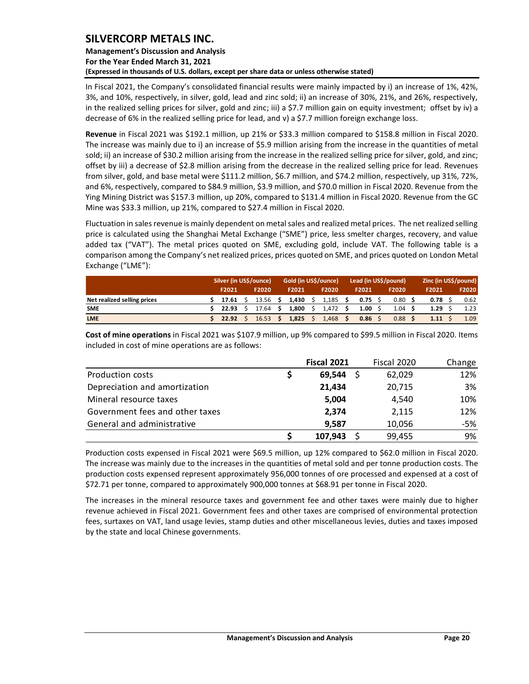### **Management's Discussion and Analysis For the Year Ended March 31, 2021 (Expressed in thousands of U.S. dollars, except per share data or unless otherwise stated)**

In Fiscal 2021, the Company's consolidated financial results were mainly impacted by i) an increase of 1%, 42%, 3%, and 10%, respectively, in silver, gold, lead and zinc sold; ii) an increase of 30%, 21%, and 26%, respectively, in the realized selling prices for silver, gold and zinc; iii) a \$7.7 million gain on equity investment; offset by iv) a decrease of 6% in the realized selling price for lead, and v) a \$7.7 million foreign exchange loss.

**Revenue** in Fiscal 2021 was \$192.1 million, up 21% or \$33.3 million compared to \$158.8 million in Fiscal 2020. The increase was mainly due to i) an increase of \$5.9 million arising from the increase in the quantities of metal sold; ii) an increase of \$30.2 million arising from the increase in the realized selling price for silver, gold, and zinc; offset by iii) a decrease of \$2.8 million arising from the decrease in the realized selling price for lead. Revenues from silver, gold, and base metal were \$111.2 million, \$6.7 million, and \$74.2 million, respectively, up 31%, 72%, and 6%, respectively, compared to \$84.9 million, \$3.9 million, and \$70.0 million in Fiscal 2020. Revenue from the Ying Mining District was \$157.3 million, up 20%, compared to \$131.4 million in Fiscal 2020. Revenue from the GC Mine was \$33.3 million, up 21%, compared to \$27.4 million in Fiscal 2020.

Fluctuation in sales revenue is mainly dependent on metal sales and realized metal prices. The net realized selling price is calculated using the Shanghai Metal Exchange ("SME") price, less smelter charges, recovery, and value added tax ("VAT"). The metal prices quoted on SME, excluding gold, include VAT. The following table is a comparison among the Company's net realized prices, prices quoted on SME, and prices quoted on London Metal Exchange ("LME"):

|                             | Silver (in US\$/ounce) |  |                 | Gold (in US\$/ounce) |       |  | Lead (in US\$/pound) |      |                 |  | Zinc (in US\$/pound) |  |       |  |       |
|-----------------------------|------------------------|--|-----------------|----------------------|-------|--|----------------------|------|-----------------|--|----------------------|--|-------|--|-------|
|                             | F2021                  |  | F2020           |                      | F2021 |  | F2020                |      | F2021           |  | F2020                |  | F2021 |  | F2020 |
| Net realized selling prices | 17.61                  |  | 13.56 S         |                      | 1.430 |  | 1,185                | - \$ | $0.75 \quad$ \$ |  | 0.80                 |  | 0.78  |  | 0.62  |
| <b>SME</b>                  | 22.93                  |  | $17.64$ \$      |                      | 1.800 |  | $1,472$ \$           |      | 1.00            |  | 1.04                 |  | 1.29  |  | 1.23  |
| <b>LME</b>                  | 22.92                  |  | $16.53 \quad S$ |                      | 1,825 |  | 1,468                |      | 0.86            |  | 0.88                 |  | 1.11  |  | 1.09  |

**Cost of mine operations** in Fiscal 2021 was \$107.9 million, up 9% compared to \$99.5 million in Fiscal 2020. Items included in cost of mine operations are as follows:

|                                 | <b>Fiscal 2021</b> | Fiscal 2020 | Change |
|---------------------------------|--------------------|-------------|--------|
| Production costs                | 69,544             | 62,029      | 12%    |
| Depreciation and amortization   | 21.434             | 20,715      | 3%     |
| Mineral resource taxes          | 5.004              | 4,540       | 10%    |
| Government fees and other taxes | 2,374              | 2,115       | 12%    |
| General and administrative      | 9.587              | 10,056      | -5%    |
|                                 | 107,943            | 99,455      | 9%     |

Production costs expensed in Fiscal 2021 were \$69.5 million, up 12% compared to \$62.0 million in Fiscal 2020. The increase was mainly due to the increases in the quantities of metal sold and per tonne production costs. The production costs expensed represent approximately 956,000 tonnes of ore processed and expensed at a cost of \$72.71 per tonne, compared to approximately 900,000 tonnes at \$68.91 per tonne in Fiscal 2020.

The increases in the mineral resource taxes and government fee and other taxes were mainly due to higher revenue achieved in Fiscal 2021. Government fees and other taxes are comprised of environmental protection fees, surtaxes on VAT, land usage levies, stamp duties and other miscellaneous levies, duties and taxes imposed by the state and local Chinese governments.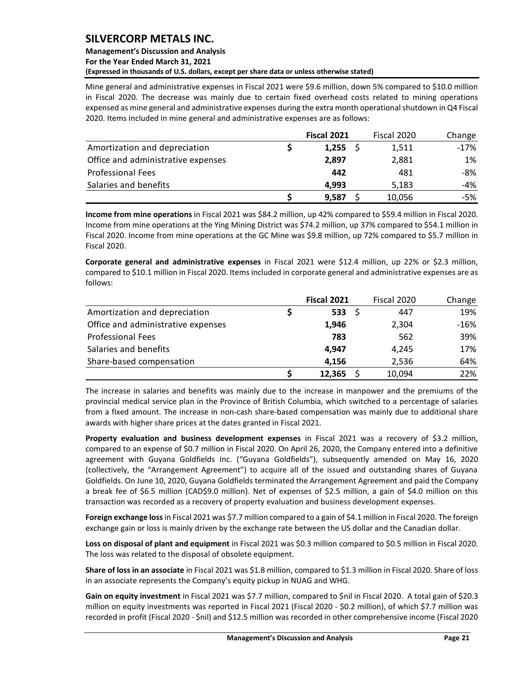#### **Management's Discussion and Analysis For the Year Ended March 31, 2021 (Expressed in thousands of U.S. dollars, except per share data or unless otherwise stated)**

Mine general and administrative expenses in Fiscal 2021 were \$9.6 million, down 5% compared to \$10.0 million in Fiscal 2020. The decrease was mainly due to certain fixed overhead costs related to mining operations expensed as mine general and administrative expenses during the extra month operational shutdown in Q4 Fiscal 2020. Items included in mine general and administrative expenses are as follows:

|                                    | Fiscal 2021 | Fiscal 2020 | Change |
|------------------------------------|-------------|-------------|--------|
| Amortization and depreciation      | 1,255       | 1,511       | $-17%$ |
| Office and administrative expenses | 2,897       | 2,881       | 1%     |
| <b>Professional Fees</b>           | 442         | 481         | -8%    |
| Salaries and benefits              | 4.993       | 5.183       | -4%    |
|                                    | 9,587       | 10,056      | -5%    |

**Income from mine operations** in Fiscal 2021 was \$84.2 million, up 42% compared to \$59.4 million in Fiscal 2020. Income from mine operations at the Ying Mining District was \$74.2 million, up 37% compared to \$54.1 million in Fiscal 2020. Income from mine operations at the GC Mine was \$9.8 million, up 72% compared to \$5.7 million in Fiscal 2020.

**Corporate general and administrative expenses** in Fiscal 2021 were \$12.4 million, up 22% or \$2.3 million, compared to \$10.1 million in Fiscal 2020. Items included in corporate general and administrative expenses are as follows:

|                                    | <b>Fiscal 2021</b> |     | Fiscal 2020 | Change |
|------------------------------------|--------------------|-----|-------------|--------|
| Amortization and depreciation      | 533                | - S | 447         | 19%    |
| Office and administrative expenses | 1,946              |     | 2,304       | $-16%$ |
| <b>Professional Fees</b>           | 783                |     | 562         | 39%    |
| Salaries and benefits              | 4.947              |     | 4.245       | 17%    |
| Share-based compensation           | 4.156              |     | 2,536       | 64%    |
|                                    | 12,365             |     | 10,094      | 22%    |

The increase in salaries and benefits was mainly due to the increase in manpower and the premiums of the provincial medical service plan in the Province of British Columbia, which switched to a percentage of salaries from a fixed amount. The increase in non-cash share-based compensation was mainly due to additional share awards with higher share prices at the dates granted in Fiscal 2021.

**Property evaluation and business development expenses** in Fiscal 2021 was a recovery of \$3.2 million, compared to an expense of \$0.7 million in Fiscal 2020. On April 26, 2020, the Company entered into a definitive agreement with Guyana Goldfields Inc. ("Guyana Goldfields"), subsequently amended on May 16, 2020 (collectively, the "Arrangement Agreement") to acquire all of the issued and outstanding shares of Guyana Goldfields. On June 10, 2020, Guyana Goldfields terminated the Arrangement Agreement and paid the Company a break fee of \$6.5 million (CAD\$9.0 million). Net of expenses of \$2.5 million, a gain of \$4.0 million on this transaction was recorded as a recovery of property evaluation and business development expenses.

**Foreign exchange loss**in Fiscal 2021 was \$7.7 million compared to a gain of \$4.1 million in Fiscal 2020. The foreign exchange gain or loss is mainly driven by the exchange rate between the US dollar and the Canadian dollar.

**Loss on disposal of plant and equipment** in Fiscal 2021 was \$0.3 million compared to \$0.5 million in Fiscal 2020. The loss was related to the disposal of obsolete equipment.

**Share of loss in an associate** in Fiscal 2021 was \$1.8 million, compared to \$1.3 million in Fiscal 2020. Share of loss in an associate represents the Company's equity pickup in NUAG and WHG.

**Gain on equity investment** in Fiscal 2021 was \$7.7 million, compared to \$nil in Fiscal 2020. A total gain of \$20.3 million on equity investments was reported in Fiscal 2021 (Fiscal 2020 - \$0.2 million), of which \$7.7 million was recorded in profit (Fiscal 2020 - \$nil) and \$12.5 million was recorded in other comprehensive income (Fiscal 2020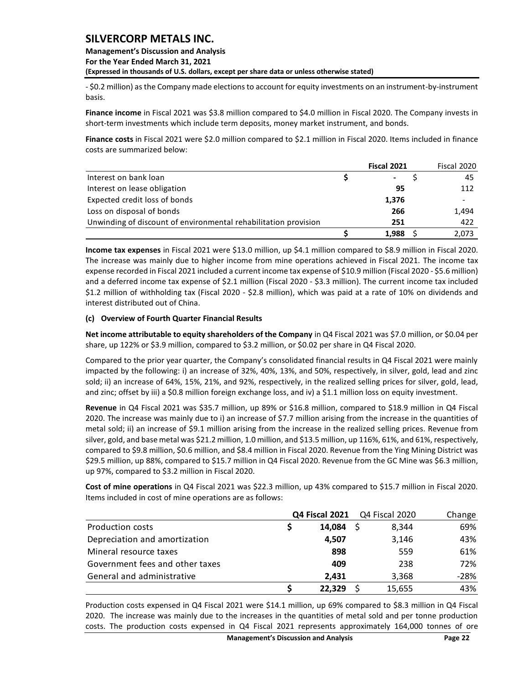**Management's Discussion and Analysis For the Year Ended March 31, 2021 (Expressed in thousands of U.S. dollars, except per share data or unless otherwise stated)** 

- \$0.2 million) as the Company made elections to account for equity investments on an instrument-by-instrument basis.

**Finance income** in Fiscal 2021 was \$3.8 million compared to \$4.0 million in Fiscal 2020. The Company invests in short-term investments which include term deposits, money market instrument, and bonds.

**Finance costs** in Fiscal 2021 were \$2.0 million compared to \$2.1 million in Fiscal 2020. Items included in finance costs are summarized below:

|                                                                 | Fiscal 2021 | Fiscal 2020 |
|-----------------------------------------------------------------|-------------|-------------|
| Interest on bank loan                                           | ۰           | 45          |
| Interest on lease obligation                                    | 95          | 112         |
| Expected credit loss of bonds                                   | 1,376       |             |
| Loss on disposal of bonds                                       | 266         | 1,494       |
| Unwinding of discount of environmental rehabilitation provision | 251         | 422         |
|                                                                 | 1.988       | 2,073       |

#### **(c) Overview of Fourth Quarter Financial Results**

|                                                                                                                                                                                                                                                                                                                                                                                                                                                                                                                                                                                                                                                                                                                                                                                            |                       | Fiscal 2021    | Fiscal 2020 |  |  |  |  |  |
|--------------------------------------------------------------------------------------------------------------------------------------------------------------------------------------------------------------------------------------------------------------------------------------------------------------------------------------------------------------------------------------------------------------------------------------------------------------------------------------------------------------------------------------------------------------------------------------------------------------------------------------------------------------------------------------------------------------------------------------------------------------------------------------------|-----------------------|----------------|-------------|--|--|--|--|--|
| Interest on bank loan                                                                                                                                                                                                                                                                                                                                                                                                                                                                                                                                                                                                                                                                                                                                                                      | \$                    |                | \$<br>45    |  |  |  |  |  |
| Interest on lease obligation                                                                                                                                                                                                                                                                                                                                                                                                                                                                                                                                                                                                                                                                                                                                                               |                       | 95             | 112         |  |  |  |  |  |
| Expected credit loss of bonds                                                                                                                                                                                                                                                                                                                                                                                                                                                                                                                                                                                                                                                                                                                                                              |                       | 1,376          |             |  |  |  |  |  |
| Loss on disposal of bonds                                                                                                                                                                                                                                                                                                                                                                                                                                                                                                                                                                                                                                                                                                                                                                  |                       | 266            | 1,494       |  |  |  |  |  |
| Unwinding of discount of environmental rehabilitation provision                                                                                                                                                                                                                                                                                                                                                                                                                                                                                                                                                                                                                                                                                                                            |                       | 251            | 422         |  |  |  |  |  |
|                                                                                                                                                                                                                                                                                                                                                                                                                                                                                                                                                                                                                                                                                                                                                                                            | \$                    | 1,988          | \$<br>2,073 |  |  |  |  |  |
| Income tax expenses in Fiscal 2021 were \$13.0 million, up \$4.1 million compared to \$8.9 million in Fiscal 2020.<br>The increase was mainly due to higher income from mine operations achieved in Fiscal 2021. The income tax<br>expense recorded in Fiscal 2021 included a current income tax expense of \$10.9 million (Fiscal 2020 - \$5.6 million)<br>and a deferred income tax expense of \$2.1 million (Fiscal 2020 - \$3.3 million). The current income tax included<br>\$1.2 million of withholding tax (Fiscal 2020 - \$2.8 million), which was paid at a rate of 10% on dividends and<br>interest distributed out of China.                                                                                                                                                    |                       |                |             |  |  |  |  |  |
| (c) Overview of Fourth Quarter Financial Results                                                                                                                                                                                                                                                                                                                                                                                                                                                                                                                                                                                                                                                                                                                                           |                       |                |             |  |  |  |  |  |
| Net income attributable to equity shareholders of the Company in Q4 Fiscal 2021 was \$7.0 million, or \$0.04 per<br>share, up 122% or \$3.9 million, compared to \$3.2 million, or \$0.02 per share in Q4 Fiscal 2020.                                                                                                                                                                                                                                                                                                                                                                                                                                                                                                                                                                     |                       |                |             |  |  |  |  |  |
| Compared to the prior year quarter, the Company's consolidated financial results in Q4 Fiscal 2021 were mainly<br>impacted by the following: i) an increase of 32%, 40%, 13%, and 50%, respectively, in silver, gold, lead and zinc<br>sold; ii) an increase of 64%, 15%, 21%, and 92%, respectively, in the realized selling prices for silver, gold, lead,<br>and zinc; offset by iii) a \$0.8 million foreign exchange loss, and iv) a \$1.1 million loss on equity investment.                                                                                                                                                                                                                                                                                                         |                       |                |             |  |  |  |  |  |
| Revenue in Q4 Fiscal 2021 was \$35.7 million, up 89% or \$16.8 million, compared to \$18.9 million in Q4 Fiscal<br>2020. The increase was mainly due to i) an increase of \$7.7 million arising from the increase in the quantities of<br>metal sold; ii) an increase of \$9.1 million arising from the increase in the realized selling prices. Revenue from<br>silver, gold, and base metal was \$21.2 million, 1.0 million, and \$13.5 million, up 116%, 61%, and 61%, respectively,<br>compared to \$9.8 million, \$0.6 million, and \$8.4 million in Fiscal 2020. Revenue from the Ying Mining District was<br>\$29.5 million, up 88%, compared to \$15.7 million in Q4 Fiscal 2020. Revenue from the GC Mine was \$6.3 million,<br>up 97%, compared to \$3.2 million in Fiscal 2020. |                       |                |             |  |  |  |  |  |
| Cost of mine operations in Q4 Fiscal 2021 was \$22.3 million, up 43% compared to \$15.7 million in Fiscal 2020.<br>Items included in cost of mine operations are as follows:                                                                                                                                                                                                                                                                                                                                                                                                                                                                                                                                                                                                               |                       |                |             |  |  |  |  |  |
|                                                                                                                                                                                                                                                                                                                                                                                                                                                                                                                                                                                                                                                                                                                                                                                            | <b>Q4 Fiscal 2021</b> | Q4 Fiscal 2020 | Change      |  |  |  |  |  |
| Production costs                                                                                                                                                                                                                                                                                                                                                                                                                                                                                                                                                                                                                                                                                                                                                                           | \$<br>14,084          | \$<br>8,344    | 69%         |  |  |  |  |  |
| Depreciation and amortization                                                                                                                                                                                                                                                                                                                                                                                                                                                                                                                                                                                                                                                                                                                                                              | 4,507                 | 3,146          | 43%         |  |  |  |  |  |
| Mineral resource taxes                                                                                                                                                                                                                                                                                                                                                                                                                                                                                                                                                                                                                                                                                                                                                                     | 898                   | 559            | 61%         |  |  |  |  |  |
| Government fees and other taxes                                                                                                                                                                                                                                                                                                                                                                                                                                                                                                                                                                                                                                                                                                                                                            | 409                   | 238            | 72%         |  |  |  |  |  |
| General and administrative                                                                                                                                                                                                                                                                                                                                                                                                                                                                                                                                                                                                                                                                                                                                                                 | 2,431                 | 3,368          | $-28%$      |  |  |  |  |  |
|                                                                                                                                                                                                                                                                                                                                                                                                                                                                                                                                                                                                                                                                                                                                                                                            | \$<br>22,329          | \$<br>15,655   | 43%         |  |  |  |  |  |
| Production costs expensed in Q4 Fiscal 2021 were \$14.1 million, up 69% compared to \$8.3 million in Q4 Fiscal<br>2020. The increase was mainly due to the increases in the quantities of metal sold and per tonne production<br>costs. The production costs expensed in Q4 Fiscal 2021 represents approximately 164,000 tonnes of ore                                                                                                                                                                                                                                                                                                                                                                                                                                                     |                       |                |             |  |  |  |  |  |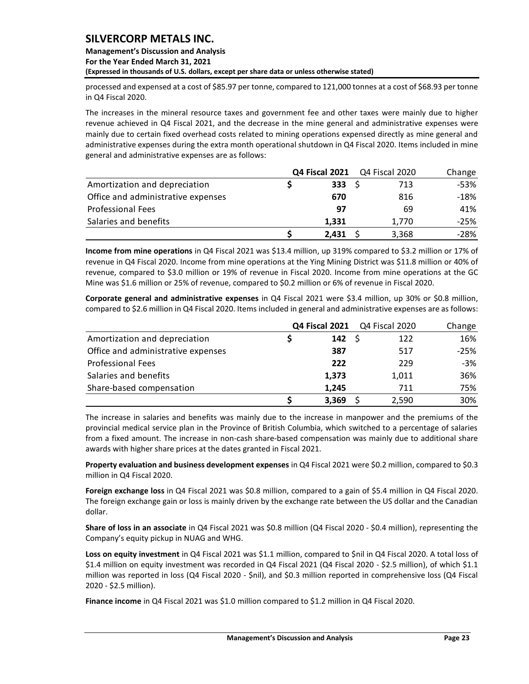### **Management's Discussion and Analysis For the Year Ended March 31, 2021 (Expressed in thousands of U.S. dollars, except per share data or unless otherwise stated)**

processed and expensed at a cost of \$85.97 per tonne, compared to 121,000 tonnes at a cost of \$68.93 per tonne in Q4 Fiscal 2020.

The increases in the mineral resource taxes and government fee and other taxes were mainly due to higher revenue achieved in Q4 Fiscal 2021, and the decrease in the mine general and administrative expenses were mainly due to certain fixed overhead costs related to mining operations expensed directly as mine general and administrative expenses during the extra month operational shutdown in Q4 Fiscal 2020. Items included in mine general and administrative expenses are as follows:

|                                    |             | <b>Q4 Fiscal 2021</b> Q4 Fiscal 2020 | Change |
|------------------------------------|-------------|--------------------------------------|--------|
| Amortization and depreciation      | $333 \quad$ | 713                                  | $-53%$ |
| Office and administrative expenses | 670         | 816                                  | $-18%$ |
| <b>Professional Fees</b>           | 97          | 69                                   | 41%    |
| Salaries and benefits              | 1.331       | 1.770                                | $-25%$ |
|                                    | 2.431       | 3,368                                | $-28%$ |

**Income from mine operations** in Q4 Fiscal 2021 was \$13.4 million, up 319% compared to \$3.2 million or 17% of revenue in Q4 Fiscal 2020. Income from mine operations at the Ying Mining District was \$11.8 million or 40% of revenue, compared to \$3.0 million or 19% of revenue in Fiscal 2020. Income from mine operations at the GC Mine was \$1.6 million or 25% of revenue, compared to \$0.2 million or 6% of revenue in Fiscal 2020.

**Corporate general and administrative expenses** in Q4 Fiscal 2021 were \$3.4 million, up 30% or \$0.8 million, compared to \$2.6 million in Q4 Fiscal 2020. Items included in general and administrative expenses are as follows:

|                                    |       | <b>Q4 Fiscal 2021</b> Q4 Fiscal 2020 | Change |
|------------------------------------|-------|--------------------------------------|--------|
| Amortization and depreciation      | 142   | 122                                  | 16%    |
| Office and administrative expenses | 387   | 517                                  | $-25%$ |
| <b>Professional Fees</b>           | 222   | 229                                  | $-3%$  |
| Salaries and benefits              | 1,373 | 1,011                                | 36%    |
| Share-based compensation           | 1,245 | 711                                  | 75%    |
|                                    | 3,369 | 2,590                                | 30%    |

The increase in salaries and benefits was mainly due to the increase in manpower and the premiums of the provincial medical service plan in the Province of British Columbia, which switched to a percentage of salaries from a fixed amount. The increase in non-cash share-based compensation was mainly due to additional share awards with higher share prices at the dates granted in Fiscal 2021.

**Property evaluation and business development expenses** in Q4 Fiscal 2021 were \$0.2 million, compared to \$0.3 million in Q4 Fiscal 2020.

**Foreign exchange loss** in Q4 Fiscal 2021 was \$0.8 million, compared to a gain of \$5.4 million in Q4 Fiscal 2020. The foreign exchange gain or loss is mainly driven by the exchange rate between the US dollar and the Canadian dollar.

**Share of loss in an associate** in Q4 Fiscal 2021 was \$0.8 million (Q4 Fiscal 2020 - \$0.4 million), representing the Company's equity pickup in NUAG and WHG.

**Loss on equity investment** in Q4 Fiscal 2021 was \$1.1 million, compared to \$nil in Q4 Fiscal 2020. A total loss of \$1.4 million on equity investment was recorded in Q4 Fiscal 2021 (Q4 Fiscal 2020 - \$2.5 million), of which \$1.1 million was reported in loss (Q4 Fiscal 2020 - \$nil), and \$0.3 million reported in comprehensive loss (Q4 Fiscal 2020 - \$2.5 million).

**Finance income** in Q4 Fiscal 2021 was \$1.0 million compared to \$1.2 million in Q4 Fiscal 2020.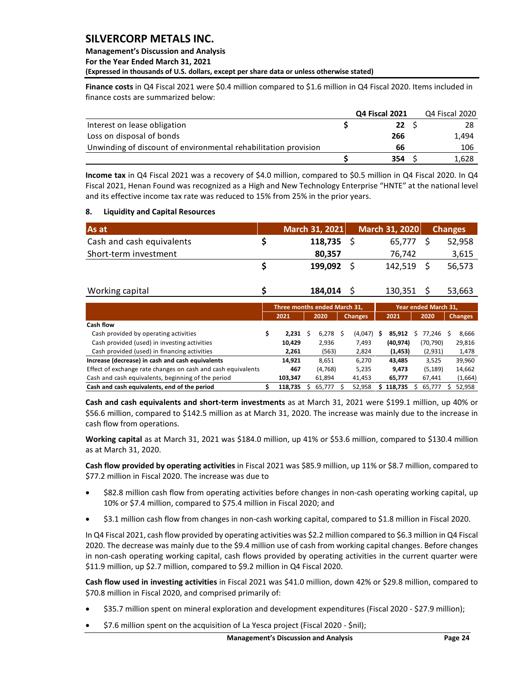### **Management's Discussion and Analysis For the Year Ended March 31, 2021 (Expressed in thousands of U.S. dollars, except per share data or unless otherwise stated)**

**Finance costs** in Q4 Fiscal 2021 were \$0.4 million compared to \$1.6 million in Q4 Fiscal 2020. Items included in finance costs are summarized below:

|                                                                 | <b>Q4 Fiscal 2021</b> | Q4 Fiscal 2020 |
|-----------------------------------------------------------------|-----------------------|----------------|
| Interest on lease obligation                                    | 22                    |                |
| Loss on disposal of bonds                                       | 266                   | 1.494          |
| Unwinding of discount of environmental rehabilitation provision | 66                    | 106            |
|                                                                 | 354                   | 1.628          |

#### <span id="page-24-0"></span>**8. Liquidity and Capital Resources**

| As at                     | March 31, 2021 | March 31, 2020 | <b>Changes</b> |
|---------------------------|----------------|----------------|----------------|
| Cash and cash equivalents | 118,735        | 65.777         | 52,958         |
| Short-term investment     | 80.357         | 76.742         | 3,615          |
|                           | 199,092        | 142,519        | 56.573         |

|                                                                                                                                                                                                   |                              |     |                   | Q4 Fiscal 2021 |                 |     | Q4 Fiscal 2020       |     |                  |
|---------------------------------------------------------------------------------------------------------------------------------------------------------------------------------------------------|------------------------------|-----|-------------------|----------------|-----------------|-----|----------------------|-----|------------------|
| Interest on lease obligation                                                                                                                                                                      |                              |     |                   | \$             | 22              | \$  |                      |     | 28               |
| Loss on disposal of bonds                                                                                                                                                                         |                              |     |                   |                | 266             |     |                      |     | 1,494            |
| Unwinding of discount of environmental rehabilitation provision                                                                                                                                   |                              |     |                   |                | 66              |     |                      |     | 106              |
|                                                                                                                                                                                                   |                              |     |                   | \$             | 354             | \$  |                      |     | 1,628            |
|                                                                                                                                                                                                   |                              |     |                   |                |                 |     |                      |     |                  |
| Income tax in Q4 Fiscal 2021 was a recovery of \$4.0 million, compared to \$0.5 million in Q4 Fiscal 2020. In Q4                                                                                  |                              |     |                   |                |                 |     |                      |     |                  |
| Fiscal 2021, Henan Found was recognized as a High and New Technology Enterprise "HNTE" at the national level<br>and its effective income tax rate was reduced to 15% from 25% in the prior years. |                              |     |                   |                |                 |     |                      |     |                  |
|                                                                                                                                                                                                   |                              |     |                   |                |                 |     |                      |     |                  |
| 8.<br><b>Liquidity and Capital Resources</b>                                                                                                                                                      |                              |     |                   |                |                 |     |                      |     |                  |
| As at                                                                                                                                                                                             |                              |     | March 31, 2021    |                | March 31, 2020  |     | <b>Changes</b>       |     |                  |
| Cash and cash equivalents                                                                                                                                                                         | \$                           |     | 118,735           | \$             | 65,777          |     | \$                   |     | 52,958           |
| Short-term investment                                                                                                                                                                             |                              |     | 80,357            |                | 76,742          |     |                      |     | 3,615            |
|                                                                                                                                                                                                   | \$                           |     | 199,092           | \$             | 142,519         |     | \$                   |     | 56,573           |
|                                                                                                                                                                                                   |                              |     |                   |                |                 |     |                      |     |                  |
| Working capital                                                                                                                                                                                   | \$                           |     | 184,014           | \$             | 130,351         |     | Ŝ                    |     | 53,663           |
|                                                                                                                                                                                                   | Three months ended March 31, |     |                   |                |                 |     | Year ended March 31, |     |                  |
|                                                                                                                                                                                                   | 2021                         |     | 2020              | <b>Changes</b> | 2021            |     | 2020                 |     | <b>Changes</b>   |
| Cash flow                                                                                                                                                                                         |                              |     |                   |                |                 |     |                      |     |                  |
| Cash provided by operating activities                                                                                                                                                             | \$<br>2,231                  | \$  | $6,278$ \$        | $(4,047)$ \$   | 85,912          |     | \$77,246             | -\$ | 8,666            |
| Cash provided (used) in investing activities                                                                                                                                                      | 10,429                       |     | 2,936             | 7,493          | (40, 974)       |     | (70, 790)            |     | 29,816           |
| Cash provided (used) in financing activities<br>Increase (decrease) in cash and cash equivalents                                                                                                  | 2,261                        |     | (563)             | 2,824          | (1, 453)        |     | (2,931)              |     | 1,478            |
| Effect of exchange rate changes on cash and cash equivalents                                                                                                                                      | 14,921<br>467                |     | 8,651<br>(4, 768) | 6,270<br>5,235 | 43,485<br>9,473 |     | 3,525<br>(5, 189)    |     | 39,960<br>14,662 |
| Cash and cash equivalents, beginning of the period                                                                                                                                                | 103,347                      |     | 61,894            | 41,453         | 65,777          |     | 67,441               |     | (1,664)          |
| Cash and cash equivalents, end of the period                                                                                                                                                      | \$<br>118,735                | \$. | 65,777\$          | 52,958         | \$118,735       | \$. | 65,777               | \$  | 52,958           |
|                                                                                                                                                                                                   |                              |     |                   |                |                 |     |                      |     |                  |
| Cash and cash equivalents and short-term investments as at March 31, 2021 were \$199.1 million, up 40% or                                                                                         |                              |     |                   |                |                 |     |                      |     |                  |
| \$56.6 million, compared to \$142.5 million as at March 31, 2020. The increase was mainly due to the increase in                                                                                  |                              |     |                   |                |                 |     |                      |     |                  |
| cash flow from operations.                                                                                                                                                                        |                              |     |                   |                |                 |     |                      |     |                  |
| Working capital as at March 31, 2021 was \$184.0 million, up 41% or \$53.6 million, compared to \$130.4 million                                                                                   |                              |     |                   |                |                 |     |                      |     |                  |
| as at March 31, 2020.                                                                                                                                                                             |                              |     |                   |                |                 |     |                      |     |                  |
| Cash flow provided by operating activities in Fiscal 2021 was \$85.9 million, up 11% or \$8.7 million, compared to                                                                                |                              |     |                   |                |                 |     |                      |     |                  |
| \$77.2 million in Fiscal 2020. The increase was due to                                                                                                                                            |                              |     |                   |                |                 |     |                      |     |                  |
|                                                                                                                                                                                                   |                              |     |                   |                |                 |     |                      |     |                  |
| \$82.8 million cash flow from operating activities before changes in non-cash operating working capital, up<br>10% or \$7.4 million, compared to \$75.4 million in Fiscal 2020; and               |                              |     |                   |                |                 |     |                      |     |                  |
|                                                                                                                                                                                                   |                              |     |                   |                |                 |     |                      |     |                  |
| \$3.1 million cash flow from changes in non-cash working capital, compared to \$1.8 million in Fiscal 2020.<br>$\bullet$                                                                          |                              |     |                   |                |                 |     |                      |     |                  |
| In Q4 Fiscal 2021, cash flow provided by operating activities was \$2.2 million compared to \$6.3 million in Q4 Fiscal                                                                            |                              |     |                   |                |                 |     |                      |     |                  |
| 2020. The decrease was mainly due to the \$9.4 million use of cash from working capital changes. Before changes                                                                                   |                              |     |                   |                |                 |     |                      |     |                  |
| in non-cash operating working capital, cash flows provided by operating activities in the current quarter were                                                                                    |                              |     |                   |                |                 |     |                      |     |                  |
| \$11.9 million, up \$2.7 million, compared to \$9.2 million in Q4 Fiscal 2020.                                                                                                                    |                              |     |                   |                |                 |     |                      |     |                  |
| Cash flow used in investing activities in Fiscal 2021 was \$41.0 million, down 42% or \$29.8 million, compared to                                                                                 |                              |     |                   |                |                 |     |                      |     |                  |
| \$70.8 million in Fiscal 2020, and comprised primarily of:                                                                                                                                        |                              |     |                   |                |                 |     |                      |     |                  |
|                                                                                                                                                                                                   |                              |     |                   |                |                 |     |                      |     |                  |
| \$35.7 million spent on mineral exploration and development expenditures (Fiscal 2020 - \$27.9 million);                                                                                          |                              |     |                   |                |                 |     |                      |     |                  |
| \$7.6 million spent on the acquisition of La Yesca project (Fiscal 2020 - \$nil);<br>٠                                                                                                            |                              |     |                   |                |                 |     |                      |     |                  |

- \$82.8 million cash flow from operating activities before changes in non-cash operating working capital, up 10% or \$7.4 million, compared to \$75.4 million in Fiscal 2020; and
- \$3.1 million cash flow from changes in non-cash working capital, compared to \$1.8 million in Fiscal 2020.

- \$35.7 million spent on mineral exploration and development expenditures (Fiscal 2020 \$27.9 million);
-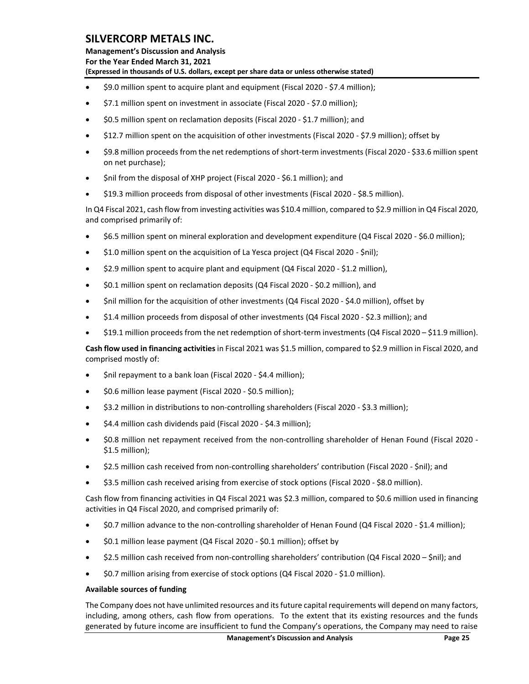**Management's Discussion and Analysis For the Year Ended March 31, 2021 (Expressed in thousands of U.S. dollars, except per share data or unless otherwise stated)** 

- \$9.0 million spent to acquire plant and equipment (Fiscal 2020 \$7.4 million);
- \$7.1 million spent on investment in associate (Fiscal 2020 \$7.0 million);
- \$0.5 million spent on reclamation deposits (Fiscal 2020 \$1.7 million); and
- \$12.7 million spent on the acquisition of other investments (Fiscal 2020 \$7.9 million); offset by
- \$9.8 million proceeds from the net redemptions of short-term investments (Fiscal 2020 \$33.6 million spent on net purchase);
- \$nil from the disposal of XHP project (Fiscal 2020 \$6.1 million); and
- \$19.3 million proceeds from disposal of other investments (Fiscal 2020 \$8.5 million).

In Q4 Fiscal 2021, cash flow from investing activities was \$10.4 million, compared to \$2.9 million in Q4 Fiscal 2020, and comprised primarily of:

- \$6.5 million spent on mineral exploration and development expenditure (Q4 Fiscal 2020 \$6.0 million);
- \$1.0 million spent on the acquisition of La Yesca project (Q4 Fiscal 2020 \$nil);
- \$2.9 million spent to acquire plant and equipment (Q4 Fiscal 2020 \$1.2 million),
- \$0.1 million spent on reclamation deposits (Q4 Fiscal 2020 \$0.2 million), and
- \$nil million for the acquisition of other investments (Q4 Fiscal 2020 \$4.0 million), offset by
- \$1.4 million proceeds from disposal of other investments (Q4 Fiscal 2020 \$2.3 million); and
- \$19.1 million proceeds from the net redemption of short-term investments (Q4 Fiscal 2020 \$11.9 million).

**Cash flow used in financing activities** in Fiscal 2021 was \$1.5 million, compared to \$2.9 million in Fiscal 2020, and comprised mostly of:

- \$nil repayment to a bank loan (Fiscal 2020 \$4.4 million);
- \$0.6 million lease payment (Fiscal 2020 \$0.5 million);
- \$3.2 million in distributions to non-controlling shareholders (Fiscal 2020 \$3.3 million);
- \$4.4 million cash dividends paid (Fiscal 2020 \$4.3 million);
- \$0.8 million net repayment received from the non-controlling shareholder of Henan Found (Fiscal 2020 \$1.5 million);
- \$2.5 million cash received from non-controlling shareholders' contribution (Fiscal 2020 \$nil); and
- \$3.5 million cash received arising from exercise of stock options (Fiscal 2020 \$8.0 million).

Cash flow from financing activities in Q4 Fiscal 2021 was \$2.3 million, compared to \$0.6 million used in financing activities in Q4 Fiscal 2020, and comprised primarily of:

- \$0.7 million advance to the non-controlling shareholder of Henan Found (Q4 Fiscal 2020 \$1.4 million);
- \$0.1 million lease payment (Q4 Fiscal 2020 \$0.1 million); offset by
- \$2.5 million cash received from non-controlling shareholders' contribution (Q4 Fiscal 2020 \$nil); and
- \$0.7 million arising from exercise of stock options (Q4 Fiscal 2020 \$1.0 million).

#### **Available sources of funding**

The Company does not have unlimited resources and its future capital requirements will depend on many factors, including, among others, cash flow from operations. To the extent that its existing resources and the funds generated by future income are insufficient to fund the Company's operations, the Company may need to raise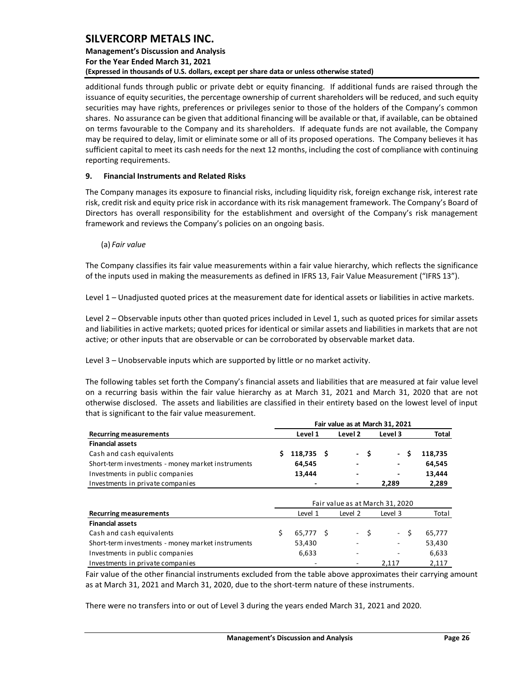### **Management's Discussion and Analysis For the Year Ended March 31, 2021 (Expressed in thousands of U.S. dollars, except per share data or unless otherwise stated)**

additional funds through public or private debt or equity financing. If additional funds are raised through the issuance of equity securities, the percentage ownership of current shareholders will be reduced, and such equity securities may have rights, preferences or privileges senior to those of the holders of the Company's common shares. No assurance can be given that additional financing will be available or that, if available, can be obtained on terms favourable to the Company and its shareholders. If adequate funds are not available, the Company may be required to delay, limit or eliminate some or all of its proposed operations. The Company believes it has sufficient capital to meet its cash needs for the next 12 months, including the cost of compliance with continuing reporting requirements.

#### <span id="page-26-0"></span>**9. Financial Instruments and Related Risks**

The Company manages its exposure to financial risks, including liquidity risk, foreign exchange risk, interest rate risk, credit risk and equity price risk in accordance with its risk management framework. The Company's Board of Directors has overall responsibility for the establishment and oversight of the Company's risk management framework and reviews the Company's policies on an ongoing basis.

#### (a) *Fair value*

The Company classifies its fair value measurements within a fair value hierarchy, which reflects the significance of the inputs used in making the measurements as defined in IFRS 13, Fair Value Measurement ("IFRS 13").

Level 1 – Unadjusted quoted prices at the measurement date for identical assets or liabilities in active markets.

Level 2 – Observable inputs other than quoted prices included in Level 1, such as quoted prices for similar assets and liabilities in active markets; quoted prices for identical or similar assets and liabilities in markets that are not active; or other inputs that are observable or can be corroborated by observable market data.

Level 3 – Unobservable inputs which are supported by little or no market activity.

The following tables set forth the Company's financial assets and liabilities that are measured at fair value level on a recurring basis within the fair value hierarchy as at March 31, 2021 and March 31, 2020 that are not otherwise disclosed. The assets and liabilities are classified in their entirety based on the lowest level of input that is significant to the fair value measurement.

|                                                   |   |           |     |         |     | Fair value as at March 31, 2021 |              |
|---------------------------------------------------|---|-----------|-----|---------|-----|---------------------------------|--------------|
| <b>Recurring measurements</b>                     |   | Level 1   |     | Level 2 |     | Level 3                         | <b>Total</b> |
| <b>Financial assets</b>                           |   |           |     |         |     |                                 |              |
| Cash and cash equivalents                         | S | 118.735   | - S | $\sim$  | \$. | Ś.<br>$\blacksquare$            | 118,735      |
| Short-term investments - money market instruments |   | 64,545    |     |         |     |                                 | 64,545       |
| Investments in public companies                   |   | 13,444    |     |         |     |                                 | 13,444       |
| Investments in private companies                  |   |           |     |         |     | 2,289                           | 2,289        |
|                                                   |   |           |     |         |     |                                 |              |
|                                                   |   |           |     |         |     | Fair value as at March 31, 2020 |              |
| <b>Recurring measurements</b>                     |   | Level 1   |     | Level 2 |     | Level 3                         | Total        |
| <b>Financial assets</b>                           |   |           |     |         |     |                                 |              |
| Cash and cash equivalents                         | Ś | 65,777 \$ |     | - \$    |     | - \$                            | 65,777       |
| Short-term investments - money market instruments |   | 53,430    |     |         |     |                                 | 53,430       |
| Investments in public companies                   |   | 6,633     |     |         |     |                                 | 6,633        |
| Investments in private companies                  |   |           |     |         |     | 2,117                           | 2,117        |

Fair value of the other financial instruments excluded from the table above approximates their carrying amount as at March 31, 2021 and March 31, 2020, due to the short-term nature of these instruments.

There were no transfers into or out of Level 3 during the years ended March 31, 2021 and 2020.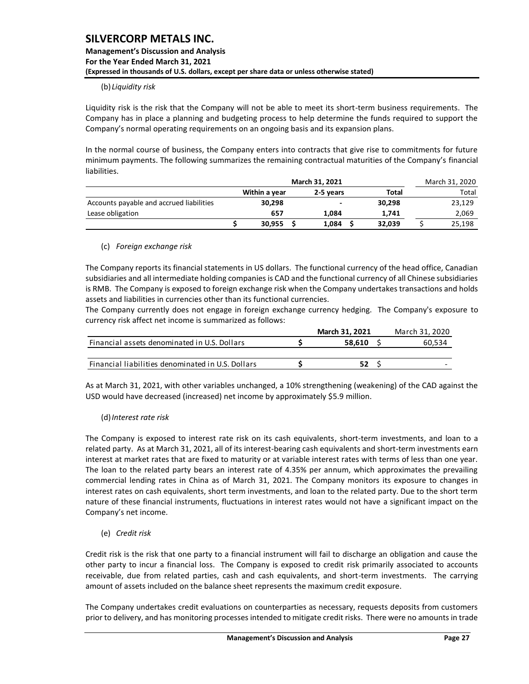#### (b) *Liquidity risk*

Liquidity risk is the risk that the Company will not be able to meet its short-term business requirements. The Company has in place a planning and budgeting process to help determine the funds required to support the Company's normal operating requirements on an ongoing basis and its expansion plans.

In the normal course of business, the Company enters into contracts that give rise to commitments for future minimum payments. The following summarizes the remaining contractual maturities of the Company's financial liabilities.

|                                          |               |                          | March 31, 2020 |        |        |
|------------------------------------------|---------------|--------------------------|----------------|--------|--------|
|                                          | Within a year | 2-5 years                |                | Total  | Total  |
| Accounts payable and accrued liabilities | 30,298        | $\overline{\phantom{a}}$ |                | 30.298 | 23,129 |
| Lease obligation                         | 657           | 1.084                    |                | 1,741  | 2,069  |
|                                          | 30.955        | 1,084                    |                | 32.039 | 25,198 |

#### (c) *Foreign exchange risk*

The Company reports its financial statements in US dollars. The functional currency of the head office, Canadian subsidiaries and all intermediate holding companies is CAD and the functional currency of all Chinese subsidiaries is RMB. The Company is exposed to foreign exchange risk when the Company undertakes transactions and holds assets and liabilities in currencies other than its functional currencies.

The Company currently does not engage in foreign exchange currency hedging. The Company's exposure to currency risk affect net income is summarized as follows:

|                                                   | March 31, 2021 | March 31, 2020 |
|---------------------------------------------------|----------------|----------------|
| Financial assets denominated in U.S. Dollars      | 58.610         | 60,534         |
|                                                   |                |                |
| Financial liabilities denominated in U.S. Dollars |                |                |
|                                                   |                |                |

As at March 31, 2021, with other variables unchanged, a 10% strengthening (weakening) of the CAD against the USD would have decreased (increased) net income by approximately \$5.9 million.

#### (d)*Interest rate risk*

The Company is exposed to interest rate risk on its cash equivalents, short-term investments, and loan to a related party. As at March 31, 2021, all of its interest-bearing cash equivalents and short-term investments earn interest at market rates that are fixed to maturity or at variable interest rates with terms of less than one year. The loan to the related party bears an interest rate of 4.35% per annum, which approximates the prevailing commercial lending rates in China as of March 31, 2021. The Company monitors its exposure to changes in interest rates on cash equivalents, short term investments, and loan to the related party. Due to the short term nature of these financial instruments, fluctuations in interest rates would not have a significant impact on the Company's net income.

(e) *Credit risk*

Credit risk is the risk that one party to a financial instrument will fail to discharge an obligation and cause the other party to incur a financial loss. The Company is exposed to credit risk primarily associated to accounts receivable, due from related parties, cash and cash equivalents, and short-term investments. The carrying amount of assets included on the balance sheet represents the maximum credit exposure.

The Company undertakes credit evaluations on counterparties as necessary, requests deposits from customers prior to delivery, and has monitoring processes intended to mitigate credit risks. There were no amounts in trade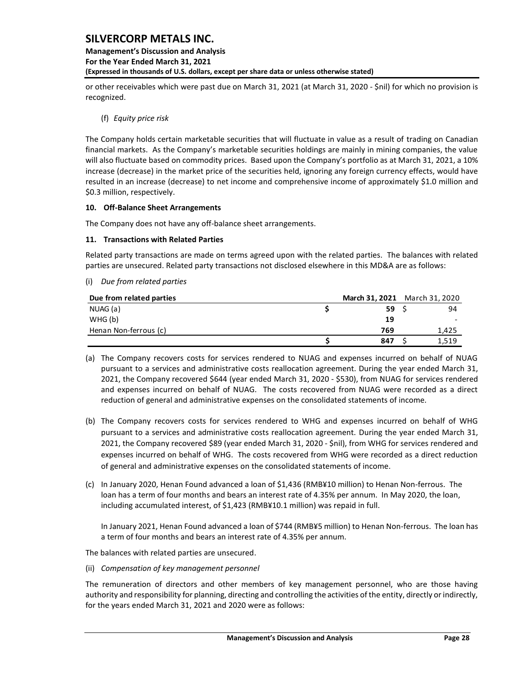### **Management's Discussion and Analysis For the Year Ended March 31, 2021 (Expressed in thousands of U.S. dollars, except per share data or unless otherwise stated)**

or other receivables which were past due on March 31, 2021 (at March 31, 2020 - \$nil) for which no provision is recognized.

(f) *Equity price risk*

The Company holds certain marketable securities that will fluctuate in value as a result of trading on Canadian financial markets. As the Company's marketable securities holdings are mainly in mining companies, the value will also fluctuate based on commodity prices. Based upon the Company's portfolio as at March 31, 2021, a 10% increase (decrease) in the market price of the securities held, ignoring any foreign currency effects, would have resulted in an increase (decrease) to net income and comprehensive income of approximately \$1.0 million and \$0.3 million, respectively.

#### <span id="page-28-0"></span>**10. Off-Balance Sheet Arrangements**

The Company does not have any off-balance sheet arrangements.

#### <span id="page-28-1"></span>**11. Transactions with Related Parties**

Related party transactions are made on terms agreed upon with the related parties. The balances with related parties are unsecured. Related party transactions not disclosed elsewhere in this MD&A are as follows:

| (i) Due from related parties |      |                               |
|------------------------------|------|-------------------------------|
| Due from related parties     |      | March 31, 2021 March 31, 2020 |
| NUAG (a)                     | 59 S | 94                            |
| WHG(b)                       | 19   |                               |
| Henan Non-ferrous (c)        | 769  | 1,425                         |
|                              | 847  | 1.519                         |

- (a) The Company recovers costs for services rendered to NUAG and expenses incurred on behalf of NUAG pursuant to a services and administrative costs reallocation agreement. During the year ended March 31, 2021, the Company recovered \$644 (year ended March 31, 2020 - \$530), from NUAG for services rendered and expenses incurred on behalf of NUAG. The costs recovered from NUAG were recorded as a direct reduction of general and administrative expenses on the consolidated statements of income.
- (b) The Company recovers costs for services rendered to WHG and expenses incurred on behalf of WHG pursuant to a services and administrative costs reallocation agreement. During the year ended March 31, 2021, the Company recovered \$89 (year ended March 31, 2020 - \$nil), from WHG for services rendered and expenses incurred on behalf of WHG. The costs recovered from WHG were recorded as a direct reduction of general and administrative expenses on the consolidated statements of income.
- (c) In January 2020, Henan Found advanced a loan of \$1,436 (RMB¥10 million) to Henan Non-ferrous. The loan has a term of four months and bears an interest rate of 4.35% per annum. In May 2020, the loan, including accumulated interest, of \$1,423 (RMB¥10.1 million) was repaid in full.

In January 2021, Henan Found advanced a loan of \$744 (RMB¥5 million) to Henan Non-ferrous. The loan has a term of four months and bears an interest rate of 4.35% per annum.

The balances with related parties are unsecured.

(ii) *Compensation of key management personnel*

The remuneration of directors and other members of key management personnel, who are those having authority and responsibility for planning, directing and controlling the activities of the entity, directly or indirectly, for the years ended March 31, 2021 and 2020 were as follows: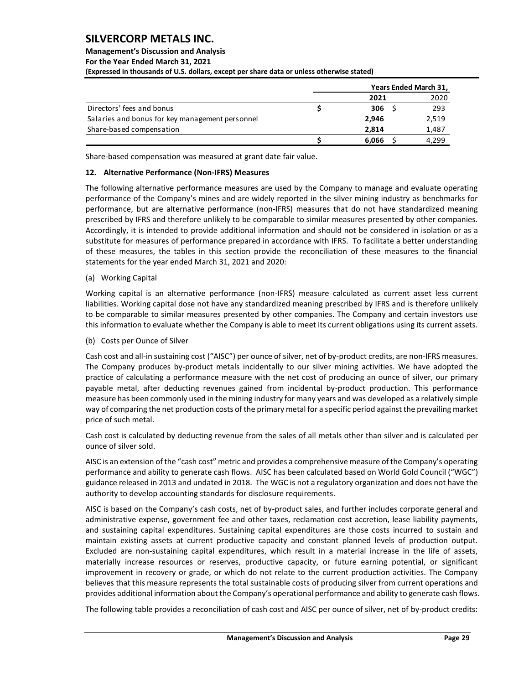### **Management's Discussion and Analysis For the Year Ended March 31, 2021 (Expressed in thousands of U.S. dollars, except per share data or unless otherwise stated)**

|                                                 | Years Ended March 31, |       |
|-------------------------------------------------|-----------------------|-------|
|                                                 | 2021                  | 2020  |
| Directors' fees and bonus                       | 306 <sup>5</sup>      | 293   |
| Salaries and bonus for key management personnel | 2.946                 | 2,519 |
| Share-based compensation                        | 2.814                 | 1,487 |
|                                                 | 6.066                 | 4.299 |

Share-based compensation was measured at grant date fair value.

### <span id="page-29-0"></span>**12. Alternative Performance (Non-IFRS) Measures**

The following alternative performance measures are used by the Company to manage and evaluate operating performance of the Company's mines and are widely reported in the silver mining industry as benchmarks for performance, but are alternative performance (non-IFRS) measures that do not have standardized meaning prescribed by IFRS and therefore unlikely to be comparable to similar measures presented by other companies. Accordingly, it is intended to provide additional information and should not be considered in isolation or as a substitute for measures of performance prepared in accordance with IFRS. To facilitate a better understanding of these measures, the tables in this section provide the reconciliation of these measures to the financial statements for the year ended March 31, 2021 and 2020:

#### (a) Working Capital

Working capital is an alternative performance (non-IFRS) measure calculated as current asset less current liabilities. Working capital dose not have any standardized meaning prescribed by IFRS and is therefore unlikely to be comparable to similar measures presented by other companies. The Company and certain investors use this information to evaluate whether the Company is able to meet its current obligations using its current assets.

(b) Costs per Ounce of Silver

Cash cost and all-in sustaining cost ("AISC") per ounce of silver, net of by-product credits, are non-IFRS measures. The Company produces by-product metals incidentally to our silver mining activities. We have adopted the practice of calculating a performance measure with the net cost of producing an ounce of silver, our primary payable metal, after deducting revenues gained from incidental by-product production. This performance measure has been commonly used in the mining industry for many years and was developed as a relatively simple way of comparing the net production costs of the primary metal for a specific period against the prevailing market price of such metal.

Cash cost is calculated by deducting revenue from the sales of all metals other than silver and is calculated per ounce of silver sold.

AISC is an extension of the "cash cost" metric and provides a comprehensive measure of the Company's operating performance and ability to generate cash flows. AISC has been calculated based on World Gold Council ("WGC") guidance released in 2013 and undated in 2018. The WGC is not a regulatory organization and does not have the authority to develop accounting standards for disclosure requirements.

AISC is based on the Company's cash costs, net of by-product sales, and further includes corporate general and administrative expense, government fee and other taxes, reclamation cost accretion, lease liability payments, and sustaining capital expenditures. Sustaining capital expenditures are those costs incurred to sustain and maintain existing assets at current productive capacity and constant planned levels of production output. Excluded are non-sustaining capital expenditures, which result in a material increase in the life of assets, materially increase resources or reserves, productive capacity, or future earning potential, or significant improvement in recovery or grade, or which do not relate to the current production activities. The Company believes that this measure represents the total sustainable costs of producing silver from current operations and provides additional information about the Company's operational performance and ability to generate cash flows.

The following table provides a reconciliation of cash cost and AISC per ounce of silver, net of by-product credits: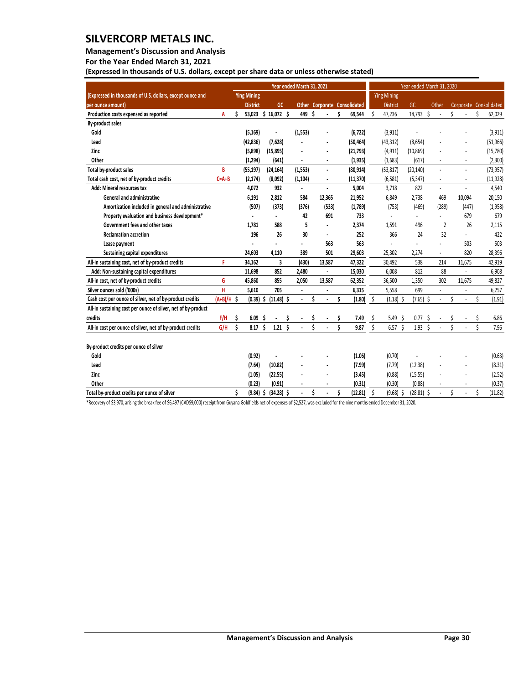**Management's Discussion and Analysis** 

**For the Year Ended March 31, 2021**

**(Expressed in thousands of U.S. dollars, except per share data or unless otherwise stated)** 

|                                                               |              | Year ended March 31, 2021 |                          |     |                 |    |                          |    |                      |   |                              |    | Year ended March 31, 2020 |     |                |       |                          |    |                          |    |                        |  |
|---------------------------------------------------------------|--------------|---------------------------|--------------------------|-----|-----------------|----|--------------------------|----|----------------------|---|------------------------------|----|---------------------------|-----|----------------|-------|--------------------------|----|--------------------------|----|------------------------|--|
| (Expressed in thousands of U.S. dollars, except ounce and     |              |                           | <b>Ying Mining</b>       |     |                 |    |                          |    |                      |   |                              |    | <b>Ying Mining</b>        |     |                |       |                          |    |                          |    |                        |  |
| per ounce amount)                                             |              |                           | <b>District</b>          |     | GC              |    |                          |    |                      |   | Other Corporate Consolidated |    | <b>District</b>           |     | GC             | Other |                          |    |                          |    | Corporate Consolidated |  |
| Production costs expensed as reported                         | A            | Ś                         | 53,023                   |     | \$16,072\$      |    | 449                      | Ś. |                      | Ŝ | 69,544                       | Ś  | 47,236                    |     | 14,793         | Ś     |                          | Ś  |                          | Ś  | 62,029                 |  |
| <b>By-product sales</b>                                       |              |                           |                          |     |                 |    |                          |    |                      |   |                              |    |                           |     |                |       |                          |    |                          |    |                        |  |
| Gold                                                          |              |                           | (5, 169)                 |     | $\overline{a}$  |    | (1, 553)                 |    | ÷,                   |   | (6, 722)                     |    | (3, 911)                  |     |                |       |                          |    |                          |    | (3, 911)               |  |
| Lead                                                          |              |                           | (42, 836)                |     | (7,628)         |    |                          |    |                      |   | (50, 464)                    |    | (43, 312)                 |     | (8,654)        |       |                          |    |                          |    | (51, 966)              |  |
| Zinc                                                          |              |                           | (5,898)                  |     | (15, 895)       |    |                          |    | ÷,                   |   | (21, 793)                    |    | (4, 911)                  |     | (10, 869)      |       |                          |    |                          |    | (15,780)               |  |
| Other                                                         |              |                           | (1, 294)                 |     | (641)           |    |                          |    |                      |   | (1, 935)                     |    | (1,683)                   |     | (617)          |       |                          |    |                          |    | (2,300)                |  |
| Total by-product sales                                        | B            |                           | (55, 197)                |     | (24, 164)       |    | (1,553)                  |    | $\ddot{\phantom{0}}$ |   | (80, 914)                    |    | (53, 817)                 |     | (20, 140)      |       | $\overline{\phantom{a}}$ |    | $\overline{\phantom{a}}$ |    | (73, 957)              |  |
| Total cash cost, net of by-product credits                    | $C = A + B$  |                           | (2, 174)                 |     | (8,092)         |    | (1, 104)                 |    | $\blacksquare$       |   | (11, 370)                    |    | (6, 581)                  |     | (5, 347)       |       | $\blacksquare$           |    | $\overline{a}$           |    | (11, 928)              |  |
| Add: Mineral resources tax                                    |              |                           | 4,072                    |     | 932             |    | $\overline{a}$           |    | l.                   |   | 5,004                        |    | 3,718                     |     | 822            |       | L.                       |    |                          |    | 4,540                  |  |
| <b>General and administrative</b>                             |              |                           | 6,191                    |     | 2,812           |    | 584                      |    | 12,365               |   | 21,952                       |    | 6,849                     |     | 2,738          |       | 469                      |    | 10,094                   |    | 20,150                 |  |
| Amortization included in general and administrative           |              |                           | (507)                    |     | (373)           |    | (376)                    |    | (533)                |   | (1,789)                      |    | (753)                     |     | (469)          |       | (289)                    |    | (447)                    |    | (1,958)                |  |
| Property evaluation and business development*                 |              |                           |                          |     |                 |    | 42                       |    | 691                  |   | 733                          |    |                           |     |                |       |                          |    | 679                      |    | 679                    |  |
| Government fees and other taxes                               |              |                           | 1,781                    |     | 588             |    | 5                        |    | $\overline{a}$       |   | 2,374                        |    | 1,591                     |     | 496            |       | $\overline{2}$           |    | 26                       |    | 2,115                  |  |
| <b>Reclamation accretion</b>                                  |              |                           | 196                      |     | 26              |    | 30                       |    | $\blacksquare$       |   | 252                          |    | 366                       |     | 24             |       | 32                       |    | $\overline{\phantom{a}}$ |    | 422                    |  |
| Lease payment                                                 |              |                           | $\overline{a}$           |     | $\blacksquare$  |    | $\overline{\phantom{a}}$ |    | 563                  |   | 563                          |    | $\overline{a}$            |     | $\blacksquare$ |       |                          |    | 503                      |    | 503                    |  |
| Sustaining capital expenditures                               |              |                           | 24,603                   |     | 4,110           |    | 389                      |    | 501                  |   | 29,603                       |    | 25,302                    |     | 2,274          |       | $\blacksquare$           |    | 820                      |    | 28,396                 |  |
| All-in sustaining cost, net of by-product credits             | F            |                           | 34,162                   |     | 3               |    | (430)                    |    | 13,587               |   | 47,322                       |    | 30,492                    |     | 538            |       | 214                      |    | 11,675                   |    | 42,919                 |  |
| Add: Non-sustaining capital expenditures                      |              |                           | 11,698                   |     | 852             |    | 2,480                    |    | $\blacksquare$       |   | 15,030                       |    | 6,008                     |     | 812            |       | 88                       |    |                          |    | 6,908                  |  |
| All-in cost, net of by-product credits                        | G            |                           | 45,860                   |     | 855             |    | 2,050                    |    | 13,587               |   | 62,352                       |    | 36,500                    |     | 1,350          |       | 302                      |    | 11,675                   |    | 49,827                 |  |
| Silver ounces sold ('000s)                                    | н            |                           | 5.610                    |     | 705             |    | $\ddot{\phantom{0}}$     |    | ÷,                   |   | 6,315                        |    | 5,558                     |     | 699            |       | $\overline{\phantom{a}}$ |    | $\overline{\phantom{a}}$ |    | 6,257                  |  |
| Cash cost per ounce of silver, net of by-product credits      | $(A+B)/H$ \$ |                           | $(0.39)$ \$ $(11.48)$ \$ |     |                 |    | $\blacksquare$           | \$ |                      | Ś | (1.80)                       | \$ | $(1.18)$ \$               |     | $(7.65)$ \$    |       | $\overline{a}$           | \$ | $\overline{a}$           | Ś. | (1.91)                 |  |
| All-in sustaining cost per ounce of silver, net of by-product |              |                           |                          |     |                 |    |                          |    |                      |   |                              |    |                           |     |                |       |                          |    |                          |    |                        |  |
| credits                                                       | F/H          | \$                        | 6.09                     | Ŝ   |                 | \$ |                          | \$ |                      | S | 7.49                         | \$ | 5.49                      | -\$ | 0.77           | -\$   | $\overline{\phantom{a}}$ | \$ |                          |    | 6.86                   |  |
| All-in cost per ounce of silver, net of by-product credits    | G/H          | \$                        | 8.17                     | Ŝ   | $1.21 \quad $5$ |    |                          | Ś  |                      | Ś | 9.87                         | \$ | 6.57 <sup>5</sup>         |     | $1.93 \quad $$ |       |                          | Ś  |                          |    | 7.96                   |  |
|                                                               |              |                           |                          |     |                 |    |                          |    |                      |   |                              |    |                           |     |                |       |                          |    |                          |    |                        |  |
| By-product credits per ounce of silver                        |              |                           |                          |     |                 |    |                          |    |                      |   |                              |    |                           |     |                |       |                          |    |                          |    |                        |  |
| Gold                                                          |              |                           | (0.92)                   |     |                 |    |                          |    |                      |   | (1.06)                       |    | (0.70)                    |     |                |       |                          |    |                          |    | (0.63)                 |  |
| Lead                                                          |              |                           | (7.64)                   |     | (10.82)         |    |                          |    |                      |   | (7.99)                       |    | (7.79)                    |     | (12.38)        |       |                          |    |                          |    | (8.31)                 |  |
| Zinc                                                          |              |                           | (1.05)                   |     | (22.55)         |    |                          |    |                      |   | (3.45)                       |    | (0.88)                    |     | (15.55)        |       |                          |    |                          |    | (2.52)                 |  |
| Other                                                         |              |                           | (0.23)                   |     | (0.91)          |    |                          |    |                      |   | (0.31)                       |    | (0.30)                    |     | (0.88)         |       |                          |    |                          |    | (0.37)                 |  |
| Total by-product credits per ounce of silver                  |              | Ś                         | (9.84)                   | \$. | $(34.28)$ \$    |    | $\ddot{\phantom{a}}$     | Ś  |                      | Ś | (12.81)                      | \$ | $(9.68)$ \$               |     | $(28.81)$ \$   |       | $\overline{\phantom{a}}$ | Ś  |                          | Ś  | (11.82)                |  |

\*Recovery of \$3,970, arising the break fee of \$6,497 (CAD\$9,000) receipt from Guyana Goldfields net of expenses of \$2,527, was excluded for the nine months ended December 31, 2020.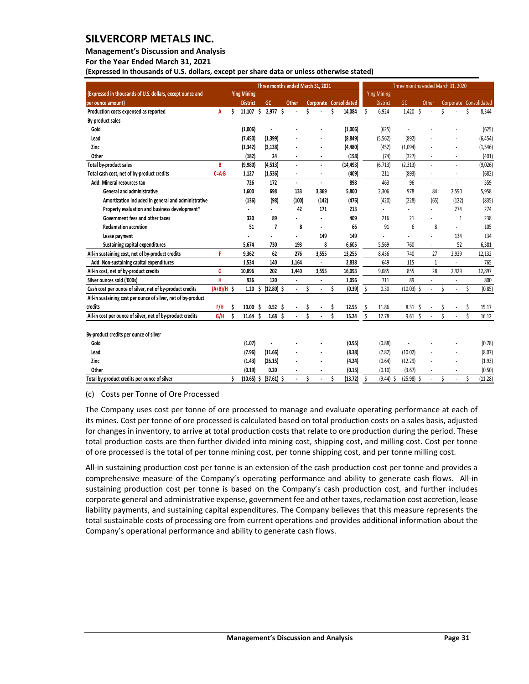**Management's Discussion and Analysis** 

**For the Year Ended March 31, 2021**

**(Expressed in thousands of U.S. dollars, except per share data or unless otherwise stated)** 

|                                                               |              | Three months ended March 31, 2021 |                    |    |                   |  |                      |   |                      |   |                        |    | Three months ended March 31, 2020 |                 |    |                          |         |                             |    |                        |  |  |  |  |  |
|---------------------------------------------------------------|--------------|-----------------------------------|--------------------|----|-------------------|--|----------------------|---|----------------------|---|------------------------|----|-----------------------------------|-----------------|----|--------------------------|---------|-----------------------------|----|------------------------|--|--|--|--|--|
| (Expressed in thousands of U.S. dollars, except ounce and     |              |                                   | <b>Ying Mining</b> |    |                   |  |                      |   |                      |   |                        |    | <b>Ying Mining</b>                |                 |    |                          |         |                             |    |                        |  |  |  |  |  |
| per ounce amount)                                             |              |                                   | <b>District</b>    |    | <b>GC</b>         |  | Other                |   |                      |   | Corporate Consolidated |    | <b>District</b>                   | GC              |    | Other                    |         |                             |    | Corporate Consolidated |  |  |  |  |  |
| Production costs expensed as reported                         | A            | Ś                                 | 11,107             | Ŝ  | 2,977 \$          |  |                      | Ś |                      | Ś | 14,084                 | Ś  | 6,924                             | 1,420           | Ś  |                          | Ś       |                             | Ś  | 8,344                  |  |  |  |  |  |
| By-product sales                                              |              |                                   |                    |    |                   |  |                      |   |                      |   |                        |    |                                   |                 |    |                          |         |                             |    |                        |  |  |  |  |  |
| Gold                                                          |              |                                   | (1,006)            |    | $\blacksquare$    |  |                      |   |                      |   | (1,006)                |    | (625)                             |                 |    |                          |         |                             |    | (625)                  |  |  |  |  |  |
| Lead                                                          |              |                                   | (7, 450)           |    | (1, 399)          |  |                      |   |                      |   | (8, 849)               |    | (5, 562)                          | (892)           |    |                          |         |                             |    | (6, 454)               |  |  |  |  |  |
| Zinc                                                          |              |                                   | (1, 342)           |    | (3, 138)          |  |                      |   |                      |   | (4, 480)               |    | (452)                             | (1,094)         |    |                          |         |                             |    | (1, 546)               |  |  |  |  |  |
| Other                                                         |              |                                   | (182)              |    | 24                |  |                      |   | ٠                    |   | (158)                  |    | (74)                              | (327)           |    |                          |         |                             |    | (401)                  |  |  |  |  |  |
| Total by-product sales                                        | B            |                                   | (9,980)            |    | (4, 513)          |  |                      |   |                      |   | (14, 493)              |    | (6, 713)                          | (2, 313)        |    |                          |         |                             |    | (9,026)                |  |  |  |  |  |
| Total cash cost, net of by-product credits                    | $C = A - B$  |                                   | 1,127              |    | (1, 536)          |  | $\ddot{\phantom{a}}$ |   | $\ddot{\phantom{0}}$ |   | (409)                  |    | 211                               | (893)           |    | $\blacksquare$           |         | $\overline{\phantom{a}}$    |    | (682)                  |  |  |  |  |  |
| Add: Mineral resources tax                                    |              |                                   | 726                |    | 172               |  | $\epsilon$           |   | ä,                   |   | 898                    |    | 463                               | 96              |    | $\overline{\phantom{a}}$ |         | $\mathcal{L}_{\mathcal{A}}$ |    | 559                    |  |  |  |  |  |
| <b>General and administrative</b>                             |              |                                   | 1,600              |    | 698               |  | 133                  |   | 3,369                |   | 5,800                  |    | 2,306                             | 978             |    | 84                       |         | 2,590                       |    | 5,958                  |  |  |  |  |  |
| Amortization included in general and administrative           |              |                                   | (136)              |    | (98)              |  | (100)                |   | (142)                |   | (476)                  |    | (420)                             | (228)           |    | (65)                     |         | (122)                       |    | (835)                  |  |  |  |  |  |
| Property evaluation and business development*                 |              |                                   |                    |    |                   |  | 42                   |   | 171                  |   | 213                    |    |                                   |                 |    |                          |         | 274                         |    | 274                    |  |  |  |  |  |
| Government fees and other taxes                               |              |                                   | 320                |    | 89                |  |                      |   | $\blacksquare$       |   | 409                    |    | 216                               | 21              |    |                          |         | 1                           |    | 238                    |  |  |  |  |  |
| <b>Reclamation accretion</b>                                  |              |                                   | 51                 |    | $\overline{1}$    |  | 8                    |   |                      |   | 66                     |    | 91                                | $6\overline{6}$ |    | 8                        |         | $\sim$                      |    | 105                    |  |  |  |  |  |
| Lease payment                                                 |              |                                   |                    |    |                   |  | ä,                   |   | 149                  |   | 149                    |    |                                   |                 |    |                          |         | 134                         |    | 134                    |  |  |  |  |  |
| Sustaining capital expenditures                               |              |                                   | 5,674              |    | 730               |  | 193                  |   | 8                    |   | 6,605                  |    | 5,569                             | 760             |    | $\sim$                   |         | 52                          |    | 6,381                  |  |  |  |  |  |
| All-in sustaining cost, net of by-product credits             | F            |                                   | 9,362              |    | 62                |  | 276                  |   | 3.555                |   | 13,255                 |    | 8,436                             | 740             |    | 27                       |         | 2,929                       |    | 12,132                 |  |  |  |  |  |
| Add: Non-sustaining capital expenditures                      |              |                                   | 1.534              |    | 140               |  | 1,164                |   | $\blacksquare$       |   | 2,838                  |    | 649                               | 115             |    | $\mathbf{1}$             |         |                             |    | 765                    |  |  |  |  |  |
| All-in cost, net of by-product credits                        | G            |                                   | 10,896             |    | 202               |  | 1,440                |   | 3,555                |   | 16,093                 |    | 9,085                             | 855             |    | 28                       |         | 2,929                       |    | 12,897                 |  |  |  |  |  |
| Silver ounces sold ('000s)                                    | H            |                                   | 936                |    | 120               |  |                      |   |                      |   | 1,056                  |    | 711                               | 89              |    |                          |         |                             |    | 800                    |  |  |  |  |  |
| Cash cost per ounce of silver, net of by-product credits      | $(A+B)/H$ \$ |                                   | 1.20               | Ś  | $(12.80)$ \$      |  | $\epsilon$           | Ś | $\ddot{\phantom{1}}$ | Ś | (0.39)                 | \$ | 0.30                              | (10.03)         | Ŝ  | $\overline{\phantom{a}}$ | Ś       | $\overline{\phantom{a}}$    | Ś  | (0.85)                 |  |  |  |  |  |
| All-in sustaining cost per ounce of silver, net of by-product |              |                                   |                    |    |                   |  |                      |   |                      |   |                        |    |                                   |                 |    |                          |         |                             |    |                        |  |  |  |  |  |
| credits                                                       | F/H          | Ś                                 | 10.00              | S  | 0.52 <sub>5</sub> |  |                      | S |                      | Ŝ | 12.55                  | S  | 11.86                             | 8.31            | Ŝ  |                          |         |                             |    | 15.17                  |  |  |  |  |  |
| All-in cost per ounce of silver, net of by-product credits    | G/H          | Ś                                 | 11.64              | Ś. | 1.68 <sub>5</sub> |  |                      | Ś |                      | Ś | 15.24                  | Ś  | 12.78                             | 9.61            | Ŝ. |                          | $\zeta$ |                             |    | 16.12                  |  |  |  |  |  |
|                                                               |              |                                   |                    |    |                   |  |                      |   |                      |   |                        |    |                                   |                 |    |                          |         |                             |    |                        |  |  |  |  |  |
| By-product credits per ounce of silver                        |              |                                   |                    |    |                   |  |                      |   |                      |   |                        |    |                                   |                 |    |                          |         |                             |    |                        |  |  |  |  |  |
| Gold                                                          |              |                                   | (1.07)             |    |                   |  |                      |   |                      |   | (0.95)                 |    | (0.88)                            |                 |    |                          |         |                             |    | (0.78)                 |  |  |  |  |  |
| Lead                                                          |              |                                   | (7.96)             |    | (11.66)           |  |                      |   |                      |   | (8.38)                 |    | (7.82)                            | (10.02)         |    |                          |         |                             |    | (8.07)                 |  |  |  |  |  |
| Zinc                                                          |              |                                   | (1.43)             |    | (26.15)           |  |                      |   |                      |   | (4.24)                 |    | (0.64)                            | (12.29)         |    |                          |         |                             |    | (1.93)                 |  |  |  |  |  |
| Other                                                         |              |                                   | (0.19)             |    | 0.20              |  |                      |   |                      |   | (0.15)                 |    | (0.10)                            | (3.67)          |    |                          |         |                             |    | (0.50)                 |  |  |  |  |  |
| Total by-product credits per ounce of silver                  |              |                                   | $(10.65)$ \$       |    | $(37.61)$ \$      |  |                      | Ś |                      | Ś | (13.72)                | \$ | $(9.44)$ \$                       | (25.98) \$      |    |                          | Ś       |                             | \$ | (11.28)                |  |  |  |  |  |

#### (c) Costs per Tonne of Ore Processed

The Company uses cost per tonne of ore processed to manage and evaluate operating performance at each of its mines. Cost per tonne of ore processed is calculated based on total production costs on a sales basis, adjusted for changes in inventory, to arrive at total production costs that relate to ore production during the period. These total production costs are then further divided into mining cost, shipping cost, and milling cost. Cost per tonne of ore processed is the total of per tonne mining cost, per tonne shipping cost, and per tonne milling cost.

All-in sustaining production cost per tonne is an extension of the cash production cost per tonne and provides a comprehensive measure of the Company's operating performance and ability to generate cash flows. All-in sustaining production cost per tonne is based on the Company's cash production cost, and further includes corporate general and administrative expense, government fee and other taxes, reclamation cost accretion, lease liability payments, and sustaining capital expenditures. The Company believes that this measure represents the total sustainable costs of processing ore from current operations and provides additional information about the Company's operational performance and ability to generate cash flows.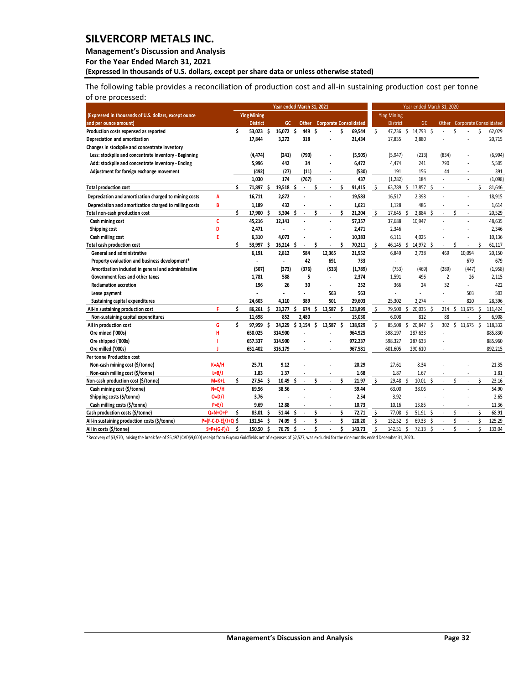#### **Management's Discussion and Analysis**

**For the Year Ended March 31, 2021**

**(Expressed in thousands of U.S. dollars, except per share data or unless otherwise stated)** 

The following table provides a reconciliation of production cost and all-in sustaining production cost per tonne of ore processed:

|                                                        |                     | Year ended March 31, 2021 |                    |   |                          |   |                |    |                          |    | Year ended March 31, 2020     |                    |                    |     |           |     |                          |   |                          |    |                              |
|--------------------------------------------------------|---------------------|---------------------------|--------------------|---|--------------------------|---|----------------|----|--------------------------|----|-------------------------------|--------------------|--------------------|-----|-----------|-----|--------------------------|---|--------------------------|----|------------------------------|
| (Expressed in thousands of U.S. dollars, except ounce  |                     |                           | <b>Ying Mining</b> |   |                          |   |                |    |                          |    |                               |                    | <b>Ying Mining</b> |     |           |     |                          |   |                          |    |                              |
| and per ounce amount)                                  |                     |                           | <b>District</b>    |   | GC                       |   | <b>Other</b>   |    |                          |    | <b>Corporate Consolidated</b> |                    | <b>District</b>    |     | GC        |     |                          |   |                          |    | Other Corporate Consolidated |
| Production costs expensed as reported                  |                     | Ś                         | 53.023 \$          |   | 16,072 \$                |   | 449            | Ŝ  |                          | Ś  | 69,544                        | Ŝ.                 | 47,236             | Ŝ.  | 14,793 \$ |     |                          | Ś |                          | Ś  | 62,029                       |
| Depreciation and amortization                          |                     |                           | 17,844             |   | 3,272                    |   | 318            |    |                          |    | 21,434                        |                    | 17,835             |     | 2.880     |     |                          |   |                          |    | 20,715                       |
| Changes in stockpile and concentrate inventory         |                     |                           |                    |   |                          |   |                |    |                          |    |                               |                    |                    |     |           |     |                          |   |                          |    |                              |
| Less: stockpile and concentrate inventory - Beginning  |                     |                           | (4,474)            |   | (241)                    |   | (790)          |    |                          |    | (5,505)                       |                    | (5, 947)           |     | (213)     |     | (834)                    |   |                          |    | (6,994)                      |
| Add: stockpile and concentrate inventory - Ending      |                     |                           | 5,996              |   | 442                      |   | 34             |    |                          |    | 6,472                         |                    | 4,474              |     | 241       |     | 790                      |   |                          |    | 5,505                        |
| Adjustment for foreign exchange movement               |                     |                           | (492)              |   | (27)                     |   | (11)           |    |                          |    | (530)                         |                    | 191                |     | 156       |     | 44                       |   | ٠                        |    | 391                          |
|                                                        |                     |                           | 1,030              |   | 174                      |   | (767)          |    | $\blacksquare$           |    | 437                           |                    | (1, 282)           |     | 184       |     | $\blacksquare$           |   | $\overline{\phantom{a}}$ |    | (1,098)                      |
| <b>Total production cost</b>                           |                     | Ś.                        | 71,897 \$          |   | 19,518 \$                |   | $\blacksquare$ | \$ | $\blacksquare$           | \$ | 91,415                        | $\ddot{\varsigma}$ | 63,789 \$          |     | 17,857    | -\$ | $\overline{\phantom{a}}$ |   |                          | Ś. | 81,646                       |
| Depreciation and amortization charged to mining costs  | A                   |                           | 16,711             |   | 2,872                    |   |                |    |                          |    | 19,583                        |                    | 16,517             |     | 2,398     |     |                          |   | Ĭ.                       |    | 18,915                       |
| Depreciation and amortization charged to milling costs | B                   |                           | 1,189              |   | 432                      |   | $\overline{a}$ |    | $\blacksquare$           |    | 1,621                         |                    | 1,128              |     | 486       |     |                          |   | $\overline{\phantom{a}}$ |    | 1,614                        |
| <b>Total non-cash production cost</b>                  |                     | Ś                         | 17,900             | Ś | 3,304                    | Ś | $\blacksquare$ | \$ |                          | Ś  | 21,204                        | \$                 | 17,645             | Ŝ   | 2,884     | \$  | ÷,                       | Ś | $\overline{\phantom{a}}$ |    | 20,529                       |
| Cash mining cost                                       | c                   |                           | 45,216             |   | 12,141                   |   | $\overline{a}$ |    |                          |    | 57,357                        |                    | 37,688             |     | 10,947    |     | $\overline{a}$           |   |                          |    | 48,635                       |
| Shipping cost                                          | D                   |                           | 2,471              |   |                          |   |                |    |                          |    | 2,471                         |                    | 2,346              |     |           |     |                          |   |                          |    | 2,346                        |
| Cash milling cost                                      | F                   |                           | 6,310              |   | 4,073                    |   |                |    | $\overline{\phantom{a}}$ |    | 10,383                        |                    | 6,111              |     | 4,025     |     |                          |   | Ĭ.                       |    | 10,136                       |
| <b>Total cash production cost</b>                      |                     | Ś                         | 53,997             | Ś | $16,214$ \$              |   | $\blacksquare$ | \$ |                          | Ś  | 70,211                        | \$                 | 46,145             | Ŝ   | 14,972    | - Ś | $\overline{\phantom{a}}$ | Ś | ٠                        | \$ | 61,117                       |
| <b>General and administrative</b>                      |                     |                           | 6,191              |   | 2,812                    |   | 584            |    | 12,365                   |    | 21,952                        |                    | 6,849              |     | 2,738     |     | 469                      |   | 10,094                   |    | 20,150                       |
| Property evaluation and business development*          |                     |                           |                    |   | $\overline{\phantom{a}}$ |   | 42             |    | 691                      |    | 733                           |                    | ÷,                 |     | ٠         |     | $\overline{\phantom{a}}$ |   | 679                      |    | 679                          |
| Amortization included in general and administrative    |                     |                           | (507)              |   | (373)                    |   | (376)          |    | (533)                    |    | (1,789)                       |                    | (753)              |     | (469)     |     | (289)                    |   | (447)                    |    | (1,958)                      |
| Government fees and other taxes                        |                     |                           | 1,781              |   | 588                      |   | 5              |    |                          |    | 2,374                         |                    | 1,591              |     | 496       |     | $\overline{2}$           |   | 26                       |    | 2,115                        |
| <b>Reclamation accretion</b>                           |                     |                           | 196                |   | 26                       |   | 30             |    | $\overline{\phantom{a}}$ |    | 252                           |                    | 366                |     | 24        |     | 32                       |   | ÷.                       |    | 422                          |
| Lease payment                                          |                     |                           |                    |   |                          |   | ÷.             |    | 563                      |    | 563                           |                    | Ĭ.                 |     |           |     | L,                       |   | 503                      |    | 503                          |
| Sustaining capital expenditures                        |                     |                           | 24,603             |   | 4,110                    |   | 389            |    | 501                      |    | 29,603                        |                    | 25,302             |     | 2,274     |     |                          |   | 820                      |    | 28,396                       |
| All-in sustaining production cost                      | F                   | Ś                         | 86.261             | S | 23,377                   | Ŝ | 674            | Ŝ. | 13.587                   | Ŝ  | 123,899                       | S                  | 79,500             | Ŝ   | 20,035    | -Ś  | 214                      | Ŝ | 11,675                   | -Ś | 111,424                      |
| Non-sustaining capital expenditures                    |                     |                           | 11,698             |   | 852                      |   | 2.480          |    |                          |    | 15,030                        |                    | 6,008              |     | 812       |     | 88                       |   |                          |    | 6,908                        |
| All in production cost                                 | G                   | Ś                         | 97,959             | Ś | 24,229                   | Ŝ | 3,154          | \$ | 13,587                   | Ś  | 138,929                       | $\ddot{\varsigma}$ | 85,508             | ς   | 20,847    | Ś   | 302                      | Ŝ | 11,675                   | Ŝ. | 118,332                      |
| Ore mined ('000s)                                      | Ĥ                   |                           | 650.025            |   | 314.900                  |   |                |    |                          |    | 964.925                       |                    | 598.197            |     | 287.633   |     | ÷.                       |   |                          |    | 885.830                      |
| Ore shipped ('000s)                                    |                     |                           | 657.337            |   | 314.900                  |   |                |    |                          |    | 972.237                       |                    | 598.327            |     | 287.633   |     |                          |   |                          |    | 885.960                      |
| Ore milled ('000s)                                     |                     |                           | 651.402            |   | 316.179                  |   |                |    |                          |    | 967.581                       |                    | 601.605            |     | 290.610   |     |                          |   |                          |    | 892.215                      |
| <b>Per tonne Production cost</b>                       |                     |                           |                    |   |                          |   |                |    |                          |    |                               |                    |                    |     |           |     |                          |   |                          |    |                              |
| Non-cash mining cost (\$/tonne)                        | $K = A/H$           |                           | 25.71              |   | 9.12                     |   |                |    |                          |    | 20.29                         |                    | 27.61              |     | 8.34      |     |                          |   |                          |    | 21.35                        |
| Non-cash milling cost (\$/tonne)                       | $L=B/J$             |                           | 1.83               |   | 1.37                     |   | $\blacksquare$ |    | $\blacksquare$           |    | 1.68                          |                    | 1.87               |     | 1.67      |     | $\overline{a}$           |   | $\overline{\phantom{m}}$ |    | 1.81                         |
| Non-cash production cost (\$/tonne)                    | $M=K+L$             | Ś                         | 27.54              | Ś | 10.49                    | Ś | $\blacksquare$ | \$ |                          | Ś  | 21.97                         | \$                 | 29.48              | - Ś | 10.01     |     | $\overline{\phantom{a}}$ | Ś | $\overline{\phantom{a}}$ | \$ | 23.16                        |
| Cash mining cost (\$/tonne)                            | $N=C/H$             |                           | 69.56              |   | 38.56                    |   | $\overline{a}$ |    |                          |    | 59.44                         |                    | 63.00              |     | 38.06     |     |                          |   |                          |    | 54.90                        |
| Shipping costs (\$/tonne)                              | $O=D/I$             |                           | 3.76               |   |                          |   |                |    |                          |    | 2.54                          |                    | 3.92               |     |           |     |                          |   |                          |    | 2.65                         |
| Cash milling costs (\$/tonne)                          | $P=E/J$             |                           | 9.69               |   | 12.88                    |   |                |    |                          |    | 10.73                         |                    | 10.16              |     | 13.85     |     |                          |   |                          |    | 11.36                        |
| Cash production costs (\$/tonne)                       | $Q=N+O+P$           | Ś                         | 83.01              | Ś | 51.44                    | Ś | $\blacksquare$ | \$ | $\overline{\phantom{a}}$ | \$ | 72.71                         | \$                 | 77.08              | Ŝ   | 51.91     | Ŝ   | ÷,                       | Ś | $\overline{\phantom{a}}$ | \$ | 68.91                        |
| All-in sustaining production costs (\$/tonne)          | P=(F-C-D-E)/J+Q \$  |                           | 132.54 \$          |   | 74.09                    | Ŝ | $\blacksquare$ | Ś  | $\blacksquare$           | Ś  | 128.20                        | \$                 | 132.52 \$          |     | 69.33     | Ś   | $\overline{a}$           | Ś | $\overline{\phantom{a}}$ | \$ | 125.29                       |
| All in costs (\$/tonne)                                | $S = P + (G - F)/J$ | Ś                         | 150.50 \$          |   | 76.79                    | Ś | $\overline{a}$ | \$ |                          | Ś  | 143.73                        | \$.                | 142.51             | Ś   | 72.13     | Ŝ   |                          | Ś |                          | Ś  | 133.04                       |

\*Recovery of \$3,970, arising the break fee of \$6,497 (CAD\$9,000) receipt from Guyana Goldfields net of expenses of \$2,527, was excluded for the nine months ended December 31, 2020..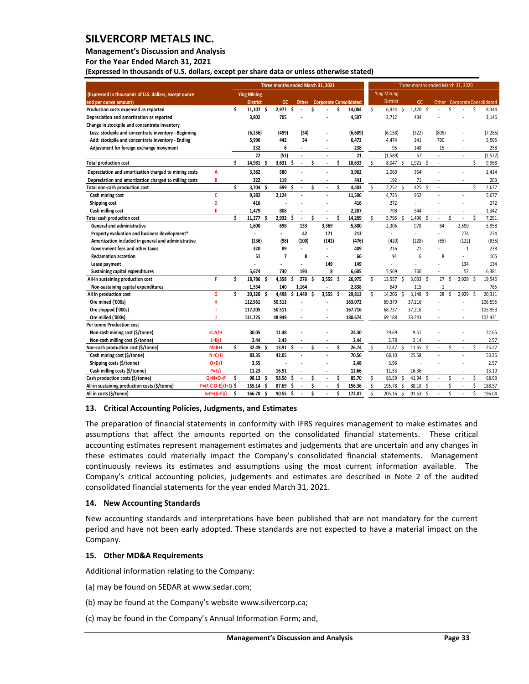#### **Management's Discussion and Analysis**

**For the Year Ended March 31, 2021**

**(Expressed in thousands of U.S. dollars, except per share data or unless otherwise stated)** 

|                                                        |                     | Three months ended March 31, 2021 |                    |    |                |    | Three months ended March 31, 2020 |    |       |    |                                     |                           |                    |     |            |   |                          |   |                          |                    |                              |
|--------------------------------------------------------|---------------------|-----------------------------------|--------------------|----|----------------|----|-----------------------------------|----|-------|----|-------------------------------------|---------------------------|--------------------|-----|------------|---|--------------------------|---|--------------------------|--------------------|------------------------------|
| (Expressed in thousands of U.S. dollars, except ounce  |                     |                                   | <b>Ying Mining</b> |    |                |    |                                   |    |       |    |                                     |                           | <b>Ying Mining</b> |     |            |   |                          |   |                          |                    |                              |
| and per ounce amount)                                  |                     |                                   | <b>District</b>    |    | GC.            |    |                                   |    |       |    | <b>Other</b> Corporate Consolidated |                           | <b>District</b>    |     | GC.        |   |                          |   |                          |                    | Other Corporate Consolidated |
| Production costs expensed as reported                  |                     | \$                                | $11,107$ \$        |    | 2.977S         |    |                                   | Ś  |       | Ś  | 14.084                              | \$                        | 6.924S             |     | $1,420$ \$ |   |                          | Ś |                          | Ś                  | 8,344                        |
| Depreciation and amortization as reported              |                     |                                   | 3,802              |    | 705            |    |                                   |    |       |    | 4,507                               |                           | 2.712              |     | 434        |   |                          |   |                          |                    | 3,146                        |
| Change in stockpile and concentrate inventory          |                     |                                   |                    |    |                |    |                                   |    |       |    |                                     |                           |                    |     |            |   |                          |   |                          |                    |                              |
| Less: stockpile and concentrate inventory - Beginning  |                     |                                   | (6, 156)           |    | (499)          |    | (34)                              |    |       |    | (6,689)                             |                           | (6, 158)           |     | (322)      |   | (805)                    |   |                          |                    | (7, 285)                     |
| Add: stockpile and concentrate inventory - Ending      |                     |                                   | 5,996              |    | 442            |    | 34                                |    |       |    | 6,472                               |                           | 4,474              |     | 241        |   | 790                      |   |                          |                    | 5,505                        |
| Adjustment for foreign exchange movement               |                     |                                   | 232                |    | 6              |    |                                   |    |       |    | 238                                 |                           | 95                 |     | 148        |   | 15                       |   | ÷,                       |                    | 258                          |
|                                                        |                     |                                   | 72                 |    | (51)           |    | ÷.                                |    | ÷,    |    | 21                                  |                           | (1,589)            |     | 67         |   | $\sim$                   |   | ٠                        |                    | (1, 522)                     |
| <b>Total production cost</b>                           |                     | Ś.                                | 14,981             | Ś  | 3,631          | Ŝ  | $\blacksquare$                    | Ś  | ÷,    | \$ | 18,633                              | \$                        | 8,047              | -Ś  | 1,921      | Ś | $\overline{\phantom{a}}$ |   |                          | \$                 | 9,968                        |
| Depreciation and amortization charged to mining costs  | A                   |                                   | 3,382              |    | 580            |    |                                   |    |       |    | 3,962                               |                           | 2,060              |     | 354        |   |                          |   | $\overline{a}$           |                    | 2,414                        |
| Depreciation and amortization charged to milling costs | B                   |                                   | 322                |    | 119            |    |                                   |    |       |    | 441                                 |                           | 192                |     | 71         |   |                          |   | ٠                        |                    | 263                          |
| Total non-cash production cost                         |                     | \$                                | 3.704              | Ś  | 699            | Ś  | $\sim$                            | Ś  | ÷     | Ś  | 4,403                               | \$                        | $2.252$ \$         |     | 425        | Ś | ÷                        |   |                          | \$                 | 2,677                        |
| Cash mining cost                                       | c                   |                                   | 9,382              |    | 2.124          |    |                                   |    |       |    | 11,506                              |                           | 4,725              |     | 952        |   |                          |   | ÷,                       |                    | 5,677                        |
| Shipping cost                                          | D                   |                                   | 416                |    |                |    |                                   |    |       |    | 416                                 |                           | 272                |     |            |   |                          |   |                          |                    | 272                          |
| Cash milling cost                                      | Ė                   |                                   | 1.479              |    | 808            |    |                                   |    | ÷     |    | 2,287                               |                           | 798                |     | 544        |   |                          |   | ÷,                       |                    | 1,342                        |
| Total cash production cost                             |                     | Ś                                 | 11,277             | Ś  | 2,932          | Ŝ  | $\blacksquare$                    | Ś  | ÷,    | Ś  | 14,209                              | $\ddot{\mathsf{s}}$       | 5,795              | Ś   | 1,496      | Ś |                          | Ś | $\overline{a}$           | $\mathsf{\hat{S}}$ | 7,291                        |
| <b>General and administrative</b>                      |                     |                                   | 1,600              |    | 698            |    | 133                               |    | 3,369 |    | 5,800                               |                           | 2.306              |     | 978        |   | 84                       |   | 2,590                    |                    | 5,958                        |
| Property evaluation and business development*          |                     |                                   | ÷,                 |    | ä,             |    | 42                                |    | 171   |    | 213                                 |                           | $\blacksquare$     |     | $\sim$     |   | $\sim$                   |   | 274                      |                    | 274                          |
| Amortization included in general and administrative    |                     |                                   | (136)              |    | (98)           |    | (100)                             |    | (142) |    | (476)                               |                           | (420)              |     | (228)      |   | (65)                     |   | (122)                    |                    | (835)                        |
| Government fees and other taxes                        |                     |                                   | 320                |    | 89             |    |                                   |    | ä,    |    | 409                                 |                           | 216                |     | 21         |   |                          |   | $\mathbf{1}$             |                    | 238                          |
| <b>Reclamation accretion</b>                           |                     |                                   | 51                 |    | $\overline{7}$ |    | 8                                 |    | ä,    |    | 66                                  |                           | 91                 |     | 6          |   | 8                        |   | ÷.                       |                    | 105                          |
| Lease payment                                          |                     |                                   |                    |    |                |    | ÷,                                |    | 149   |    | 149                                 |                           |                    |     | L          |   |                          |   | 134                      |                    | 134                          |
| Sustaining capital expenditures                        |                     |                                   | 5,674              |    | 730            |    | 193                               |    | 8     |    | 6,605                               |                           | 5,569              |     | 760        |   |                          |   | 52                       |                    | 6,381                        |
| All-in sustaining production cost                      | Р                   | Ś                                 | 18,786 \$          |    | 4,358          | Ŝ. | 276                               | Ŝ. | 3,555 | Ŝ  | 26,975                              | \$                        | 13,557             | -\$ | 3,033 \$   |   | 27                       | Ŝ | 2,929                    | Ŝ.                 | 19,546                       |
| Non-sustaining capital expenditures                    |                     |                                   | 1,534              |    | 140            |    | 1,164                             |    |       |    | 2,838                               |                           | 649                |     | 115        |   | $\mathbf{1}$             |   | $\overline{a}$           |                    | 765                          |
| All in production cost                                 | G                   | \$                                | 20,320             | Ś  | 4,498          | \$ | 1,440                             | Ś  | 3,555 | Ŝ  | 29,813                              | $\boldsymbol{\mathsf{S}}$ | 14,206             | Ś   | 3,148      | Ś | 28                       | Ŝ | 2,929                    | \$                 | 20,311                       |
| Ore mined ('000s)                                      | н                   |                                   | 112.561            |    | 50.511         |    |                                   |    |       |    | 163.072                             |                           | 69.379             |     | 37.216     |   |                          |   | ÷,                       |                    | 106.595                      |
| Ore shipped ('000s)                                    |                     |                                   | 117.205            |    | 50.511         |    |                                   |    |       |    | 167.716                             |                           | 68.737             |     | 37.216     |   |                          |   |                          |                    | 105.953                      |
| Ore milled ('000s)                                     |                     |                                   | 131.725            |    | 48.949         |    |                                   |    | ÷     |    | 180.674                             |                           | 69.188             |     | 33.243     |   |                          |   | $\overline{a}$           |                    | 102.431                      |
| <b>Per tonne Production cost</b>                       |                     |                                   |                    |    |                |    |                                   |    |       |    |                                     |                           |                    |     |            |   |                          |   |                          |                    |                              |
| Non-cash mining cost (\$/tonne)                        | $K = A/H$           |                                   | 30.05              |    | 11.48          |    |                                   |    |       |    | 24.30                               |                           | 29.69              |     | 9.51       |   |                          |   |                          |                    | 22.65                        |
| Non-cash milling cost (\$/tonne)                       | $L=B/J$             |                                   | 2.44               |    | 2.43           |    |                                   |    |       |    | 2.44                                |                           | 2.78               |     | 2.14       |   |                          |   | $\overline{a}$           |                    | 2.57                         |
| Non-cash production cost (\$/tonne)                    | $M=K+L$             | Ś                                 | 32.49 \$           |    | 13.91 \$       |    | $\mathbf{r}$                      | \$ | ÷,    | Ś  | 26.74                               | \$                        | 32.47 \$           |     | $11.65$ \$ |   |                          | Ś | $\overline{a}$           | \$                 | 25.22                        |
| Cash mining cost (\$/tonne)                            | $N=C/H$             |                                   | 83.35              |    | 42.05          |    |                                   |    |       |    | 70.56                               |                           | 68.10              |     | 25.58      |   |                          |   |                          |                    | 53.26                        |
| Shipping costs (\$/tonne)                              | $O = D/I$           |                                   | 3.55               |    |                |    |                                   |    |       |    | 2.48                                |                           | 3.96               |     |            |   |                          |   |                          |                    | 2.57                         |
| Cash milling costs (\$/tonne)                          | $P=E/J$             |                                   | 11.23              |    | 16.51          |    |                                   |    | ÷,    |    | 12.66                               |                           | 11.53              |     | 16.36      |   |                          |   | $\overline{\phantom{a}}$ |                    | 13.10                        |
| Cash production costs (\$/tonne)                       | $Q = N + O + P$     | \$                                | 98.13              | -Ś | 58.56          | Ŝ. |                                   | Ś  |       | Ś  | 85.70                               | \$                        | 83.59 \$           |     | 41.94      | Ś |                          | Ś | $\overline{\phantom{a}}$ | \$                 | 68.93                        |
| All-in sustaining production costs (\$/tonne)          | P=(F-C-D-E)/J+Q \$  |                                   | 155.14             | -Ś | 87.69          | Ś  | ÷.                                | \$ | ÷,    | Ś  | 156.36                              | \$                        | 195.78             | \$  | 88.18      | Ś |                          | Ś | ÷,                       | \$                 | 188.57                       |
| All in costs (\$/tonne)                                | $S = P + (G - F)/J$ | \$                                | 166.78             | Ŝ  | 90.55          | Ŝ. |                                   | Ś  |       | Ś  | 172.07                              | Ś                         | 205.16             | -\$ | 91.63      | Ś |                          | Ś |                          | \$                 | 196.04                       |

#### <span id="page-33-0"></span>**13. Critical Accounting Policies, Judgments, and Estimates**

The preparation of financial statements in conformity with IFRS requires management to make estimates and assumptions that affect the amounts reported on the consolidated financial statements. These critical accounting estimates represent management estimates and judgements that are uncertain and any changes in these estimates could materially impact the Company's consolidated financial statements. Management continuously reviews its estimates and assumptions using the most current information available. The Company's critical accounting policies, judgements and estimates are described in Note 2 of the audited consolidated financial statements for the year ended March 31, 2021.

#### <span id="page-33-1"></span>**14. New Accounting Standards**

New accounting standards and interpretations have been published that are not mandatory for the current period and have not been early adopted. These standards are not expected to have a material impact on the Company.

#### <span id="page-33-2"></span>**15. Other MD&A Requirements**

Additional information relating to the Company:

(a) may be found on SEDAR at www.sedar.com;

(b) may be found at the Company's website www.silvercorp.ca;

(c) may be found in the Company's Annual Information Form; and,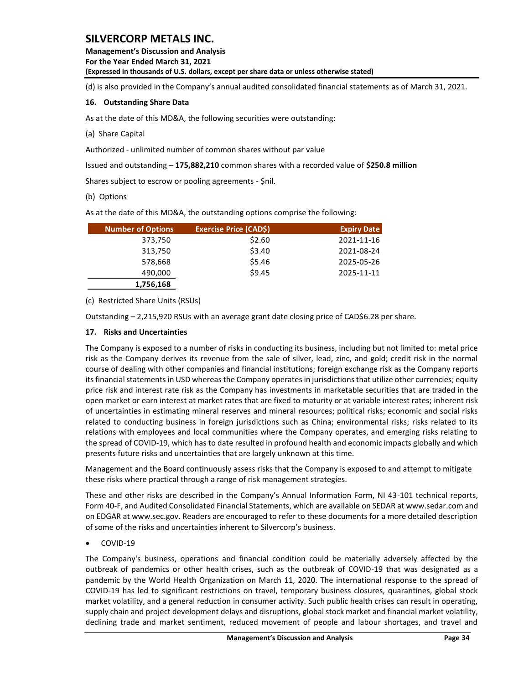**Management's Discussion and Analysis For the Year Ended March 31, 2021 (Expressed in thousands of U.S. dollars, except per share data or unless otherwise stated)** 

(d) is also provided in the Company's annual audited consolidated financial statements as of March 31, 2021.

#### <span id="page-34-0"></span>**16. Outstanding Share Data**

As at the date of this MD&A, the following securities were outstanding:

(a) Share Capital

Authorized - unlimited number of common shares without par value

Issued and outstanding – **175,882,210** common shares with a recorded value of **\$250.8 million**

Shares subject to escrow or pooling agreements - \$nil.

#### (b) Options

As at the date of this MD&A, the outstanding options comprise the following:

| <b>Number of Options</b> | <b>Exercise Price (CAD\$)</b> | <b>Expiry Date</b> |
|--------------------------|-------------------------------|--------------------|
| 373,750                  | \$2.60                        | 2021-11-16         |
| 313,750                  | \$3.40                        | 2021-08-24         |
| 578,668                  | \$5.46                        | 2025-05-26         |
| 490,000                  | \$9.45                        | 2025-11-11         |
| 1,756,168                |                               |                    |

#### (c) Restricted Share Units (RSUs)

Outstanding – 2,215,920 RSUs with an average grant date closing price of CAD\$6.28 per share.

#### <span id="page-34-1"></span>**17. Risks and Uncertainties**

The Company is exposed to a number of risks in conducting its business, including but not limited to: metal price risk as the Company derives its revenue from the sale of silver, lead, zinc, and gold; credit risk in the normal course of dealing with other companies and financial institutions; foreign exchange risk as the Company reports its financial statements in USD whereas the Company operates in jurisdictions that utilize other currencies; equity price risk and interest rate risk as the Company has investments in marketable securities that are traded in the open market or earn interest at market rates that are fixed to maturity or at variable interest rates; inherent risk of uncertainties in estimating mineral reserves and mineral resources; political risks; economic and social risks related to conducting business in foreign jurisdictions such as China; environmental risks; risks related to its relations with employees and local communities where the Company operates, and emerging risks relating to the spread of COVID-19, which has to date resulted in profound health and economic impacts globally and which presents future risks and uncertainties that are largely unknown at this time. **Exercise Price (CAD5** 250<br>
313,750<br>
313,750<br>
313,750<br>
313,750<br>
313,750<br>
53.46<br>
4200,000<br>
42021-01-1-11<br>
57.868<br>
4200,000<br>
17.96,168<br>
17.96,168<br>
17.96,168<br>
17.96,168<br>
17.96,168<br>
17.96,168<br>
17.96,168<br>
17.96,168<br>
17.96,168<br>

Management and the Board continuously assess risks that the Company is exposed to and attempt to mitigate these risks where practical through a range of risk management strategies.

These and other risks are described in the Company's Annual Information Form, NI 43-101 technical reports, Form 40-F, and Audited Consolidated Financial Statements, which are available on SEDAR at www.sedar.com and on EDGAR at www.sec.gov. Readers are encouraged to refer to these documents for a more detailed description of some of the risks and uncertainties inherent to Silvercorp's business.

#### • COVID-19

The Company's business, operations and financial condition could be materially adversely affected by the outbreak of pandemics or other health crises, such as the outbreak of COVID-19 that was designated as a pandemic by the World Health Organization on March 11, 2020. The international response to the spread of COVID-19 has led to significant restrictions on travel, temporary business closures, quarantines, global stock market volatility, and a general reduction in consumer activity. Such public health crises can result in operating, supply chain and project development delays and disruptions, global stock market and financial market volatility,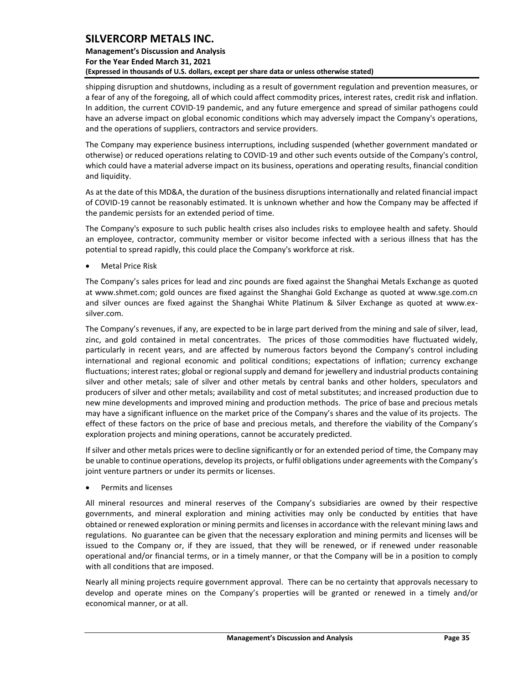### **Management's Discussion and Analysis For the Year Ended March 31, 2021 (Expressed in thousands of U.S. dollars, except per share data or unless otherwise stated)**

shipping disruption and shutdowns, including as a result of government regulation and prevention measures, or a fear of any of the foregoing, all of which could affect commodity prices, interest rates, credit risk and inflation. In addition, the current COVID-19 pandemic, and any future emergence and spread of similar pathogens could have an adverse impact on global economic conditions which may adversely impact the Company's operations, and the operations of suppliers, contractors and service providers.

The Company may experience business interruptions, including suspended (whether government mandated or otherwise) or reduced operations relating to COVID-19 and other such events outside of the Company's control, which could have a material adverse impact on its business, operations and operating results, financial condition and liquidity.

As at the date of this MD&A, the duration of the business disruptions internationally and related financial impact of COVID-19 cannot be reasonably estimated. It is unknown whether and how the Company may be affected if the pandemic persists for an extended period of time.

The Company's exposure to such public health crises also includes risks to employee health and safety. Should an employee, contractor, community member or visitor become infected with a serious illness that has the potential to spread rapidly, this could place the Company's workforce at risk.

• Metal Price Risk

The Company's sales prices for lead and zinc pounds are fixed against the Shanghai Metals Exchange as quoted at [www.shmet.com;](http://www.shmet.com/) gold ounces are fixed against the Shanghai Gold Exchange as quoted at www.sge.com.cn and silver ounces are fixed against the Shanghai White Platinum & Silver Exchange as quoted at www.exsilver.com.

The Company's revenues, if any, are expected to be in large part derived from the mining and sale of silver, lead, zinc, and gold contained in metal concentrates. The prices of those commodities have fluctuated widely, particularly in recent years, and are affected by numerous factors beyond the Company's control including international and regional economic and political conditions; expectations of inflation; currency exchange fluctuations; interest rates; global or regional supply and demand for jewellery and industrial products containing silver and other metals; sale of silver and other metals by central banks and other holders, speculators and producers of silver and other metals; availability and cost of metal substitutes; and increased production due to new mine developments and improved mining and production methods. The price of base and precious metals may have a significant influence on the market price of the Company's shares and the value of its projects. The effect of these factors on the price of base and precious metals, and therefore the viability of the Company's exploration projects and mining operations, cannot be accurately predicted.

If silver and other metals prices were to decline significantly or for an extended period of time, the Company may be unable to continue operations, develop its projects, or fulfil obligations under agreements with the Company's joint venture partners or under its permits or licenses.

• Permits and licenses

All mineral resources and mineral reserves of the Company's subsidiaries are owned by their respective governments, and mineral exploration and mining activities may only be conducted by entities that have obtained or renewed exploration or mining permits and licenses in accordance with the relevant mining laws and regulations. No guarantee can be given that the necessary exploration and mining permits and licenses will be issued to the Company or, if they are issued, that they will be renewed, or if renewed under reasonable operational and/or financial terms, or in a timely manner, or that the Company will be in a position to comply with all conditions that are imposed.

Nearly all mining projects require government approval. There can be no certainty that approvals necessary to develop and operate mines on the Company's properties will be granted or renewed in a timely and/or economical manner, or at all.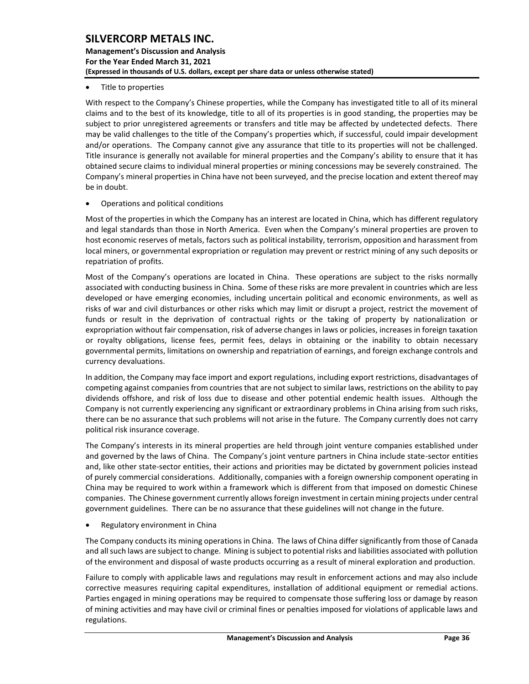### **Management's Discussion and Analysis For the Year Ended March 31, 2021 (Expressed in thousands of U.S. dollars, except per share data or unless otherwise stated)**

• Title to properties

With respect to the Company's Chinese properties, while the Company has investigated title to all of its mineral claims and to the best of its knowledge, title to all of its properties is in good standing, the properties may be subject to prior unregistered agreements or transfers and title may be affected by undetected defects. There may be valid challenges to the title of the Company's properties which, if successful, could impair development and/or operations. The Company cannot give any assurance that title to its properties will not be challenged. Title insurance is generally not available for mineral properties and the Company's ability to ensure that it has obtained secure claims to individual mineral properties or mining concessions may be severely constrained. The Company's mineral properties in China have not been surveyed, and the precise location and extent thereof may be in doubt.

• Operations and political conditions

Most of the properties in which the Company has an interest are located in China, which has different regulatory and legal standards than those in North America. Even when the Company's mineral properties are proven to host economic reserves of metals, factors such as political instability, terrorism, opposition and harassment from local miners, or governmental expropriation or regulation may prevent or restrict mining of any such deposits or repatriation of profits.

Most of the Company's operations are located in China. These operations are subject to the risks normally associated with conducting business in China. Some of these risks are more prevalent in countries which are less developed or have emerging economies, including uncertain political and economic environments, as well as risks of war and civil disturbances or other risks which may limit or disrupt a project, restrict the movement of funds or result in the deprivation of contractual rights or the taking of property by nationalization or expropriation without fair compensation, risk of adverse changes in laws or policies, increases in foreign taxation or royalty obligations, license fees, permit fees, delays in obtaining or the inability to obtain necessary governmental permits, limitations on ownership and repatriation of earnings, and foreign exchange controls and currency devaluations.

In addition, the Company may face import and export regulations, including export restrictions, disadvantages of competing against companies from countries that are not subject to similar laws, restrictions on the ability to pay dividends offshore, and risk of loss due to disease and other potential endemic health issues. Although the Company is not currently experiencing any significant or extraordinary problems in China arising from such risks, there can be no assurance that such problems will not arise in the future. The Company currently does not carry political risk insurance coverage.

The Company's interests in its mineral properties are held through joint venture companies established under and governed by the laws of China. The Company's joint venture partners in China include state-sector entities and, like other state-sector entities, their actions and priorities may be dictated by government policies instead of purely commercial considerations. Additionally, companies with a foreign ownership component operating in China may be required to work within a framework which is different from that imposed on domestic Chinese companies. The Chinese government currently allows foreign investment in certain mining projects under central government guidelines. There can be no assurance that these guidelines will not change in the future.

• Regulatory environment in China

The Company conducts its mining operations in China. The laws of China differ significantly from those of Canada and all such laws are subject to change. Mining is subject to potential risks and liabilities associated with pollution of the environment and disposal of waste products occurring as a result of mineral exploration and production.

Failure to comply with applicable laws and regulations may result in enforcement actions and may also include corrective measures requiring capital expenditures, installation of additional equipment or remedial actions. Parties engaged in mining operations may be required to compensate those suffering loss or damage by reason of mining activities and may have civil or criminal fines or penalties imposed for violations of applicable laws and regulations.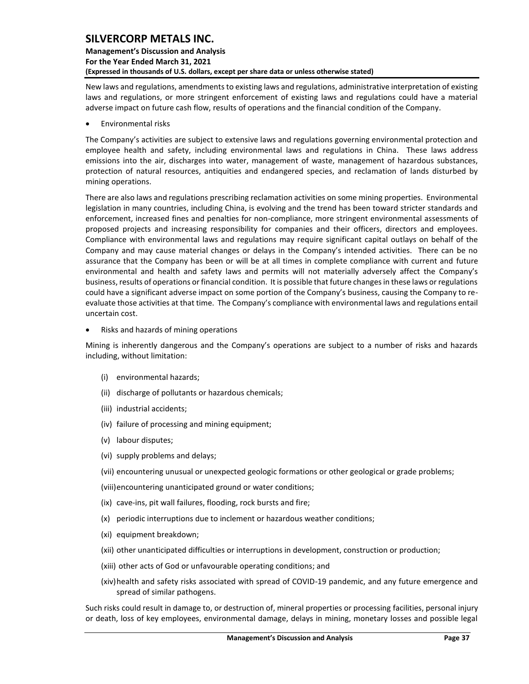### **Management's Discussion and Analysis For the Year Ended March 31, 2021 (Expressed in thousands of U.S. dollars, except per share data or unless otherwise stated)**

New laws and regulations, amendments to existing laws and regulations, administrative interpretation of existing laws and regulations, or more stringent enforcement of existing laws and regulations could have a material adverse impact on future cash flow, results of operations and the financial condition of the Company.

• Environmental risks

The Company's activities are subject to extensive laws and regulations governing environmental protection and employee health and safety, including environmental laws and regulations in China. These laws address emissions into the air, discharges into water, management of waste, management of hazardous substances, protection of natural resources, antiquities and endangered species, and reclamation of lands disturbed by mining operations.

There are also laws and regulations prescribing reclamation activities on some mining properties. Environmental legislation in many countries, including China, is evolving and the trend has been toward stricter standards and enforcement, increased fines and penalties for non-compliance, more stringent environmental assessments of proposed projects and increasing responsibility for companies and their officers, directors and employees. Compliance with environmental laws and regulations may require significant capital outlays on behalf of the Company and may cause material changes or delays in the Company's intended activities. There can be no assurance that the Company has been or will be at all times in complete compliance with current and future environmental and health and safety laws and permits will not materially adversely affect the Company's business, results of operations or financial condition. It is possible that future changes in these laws or regulations could have a significant adverse impact on some portion of the Company's business, causing the Company to reevaluate those activities at that time. The Company's compliance with environmental laws and regulations entail uncertain cost.

• Risks and hazards of mining operations

Mining is inherently dangerous and the Company's operations are subject to a number of risks and hazards including, without limitation:

- (i) environmental hazards;
- (ii) discharge of pollutants or hazardous chemicals;
- (iii) industrial accidents;
- (iv) failure of processing and mining equipment;
- (v) labour disputes;
- (vi) supply problems and delays;
- (vii) encountering unusual or unexpected geologic formations or other geological or grade problems;

(viii)encountering unanticipated ground or water conditions;

- (ix) cave-ins, pit wall failures, flooding, rock bursts and fire;
- (x) periodic interruptions due to inclement or hazardous weather conditions;
- (xi) equipment breakdown;
- (xii) other unanticipated difficulties or interruptions in development, construction or production;
- (xiii) other acts of God or unfavourable operating conditions; and
- (xiv)health and safety risks associated with spread of COVID-19 pandemic, and any future emergence and spread of similar pathogens.

Such risks could result in damage to, or destruction of, mineral properties or processing facilities, personal injury or death, loss of key employees, environmental damage, delays in mining, monetary losses and possible legal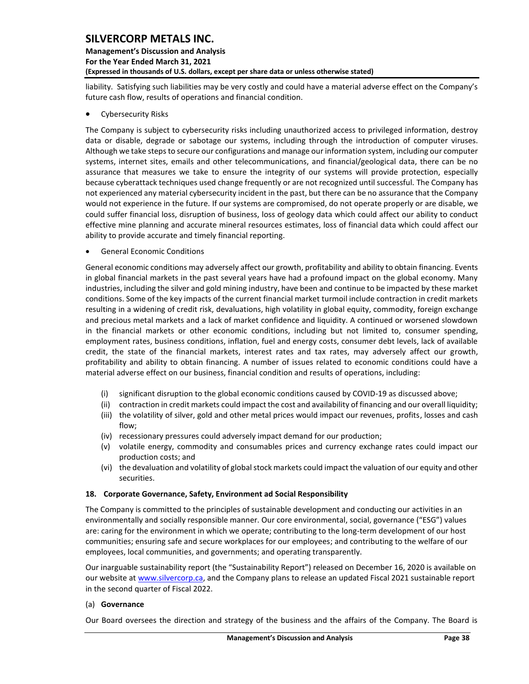### **Management's Discussion and Analysis For the Year Ended March 31, 2021 (Expressed in thousands of U.S. dollars, except per share data or unless otherwise stated)**

liability. Satisfying such liabilities may be very costly and could have a material adverse effect on the Company's future cash flow, results of operations and financial condition.

• Cybersecurity Risks

The Company is subject to cybersecurity risks including unauthorized access to privileged information, destroy data or disable, degrade or sabotage our systems, including through the introduction of computer viruses. Although we take steps to secure our configurations and manage our information system, including our computer systems, internet sites, emails and other telecommunications, and financial/geological data, there can be no assurance that measures we take to ensure the integrity of our systems will provide protection, especially because cyberattack techniques used change frequently or are not recognized until successful. The Company has not experienced any material cybersecurity incident in the past, but there can be no assurance that the Company would not experience in the future. If our systems are compromised, do not operate properly or are disable, we could suffer financial loss, disruption of business, loss of geology data which could affect our ability to conduct effective mine planning and accurate mineral resources estimates, loss of financial data which could affect our ability to provide accurate and timely financial reporting.

• General Economic Conditions

General economic conditions may adversely affect our growth, profitability and ability to obtain financing. Events in global financial markets in the past several years have had a profound impact on the global economy. Many industries, including the silver and gold mining industry, have been and continue to be impacted by these market conditions. Some of the key impacts of the current financial market turmoil include contraction in credit markets resulting in a widening of credit risk, devaluations, high volatility in global equity, commodity, foreign exchange and precious metal markets and a lack of market confidence and liquidity. A continued or worsened slowdown in the financial markets or other economic conditions, including but not limited to, consumer spending, employment rates, business conditions, inflation, fuel and energy costs, consumer debt levels, lack of available credit, the state of the financial markets, interest rates and tax rates, may adversely affect our growth, profitability and ability to obtain financing. A number of issues related to economic conditions could have a material adverse effect on our business, financial condition and results of operations, including:

- (i) significant disruption to the global economic conditions caused by COVID-19 as discussed above;
- (ii) contraction in credit markets could impact the cost and availability of financing and our overall liquidity;
- (iii) the volatility of silver, gold and other metal prices would impact our revenues, profits, losses and cash flow;
- (iv) recessionary pressures could adversely impact demand for our production;
- (v) volatile energy, commodity and consumables prices and currency exchange rates could impact our production costs; and
- (vi) the devaluation and volatility of global stock markets could impact the valuation of our equity and other securities.

#### <span id="page-38-0"></span>**18. Corporate Governance, Safety, Environment ad Social Responsibility**

The Company is committed to the principles of sustainable development and conducting our activities in an environmentally and socially responsible manner. Our core environmental, social, governance ("ESG") values are: caring for the environment in which we operate; contributing to the long-term development of our host communities; ensuring safe and secure workplaces for our employees; and contributing to the welfare of our employees, local communities, and governments; and operating transparently.

Our inarguable sustainability report (the "Sustainability Report") released on December 16, 2020 is available on our website at [www.silvercorp.ca,](http://www.silvercorp.ca/) and the Company plans to release an updated Fiscal 2021 sustainable report in the second quarter of Fiscal 2022.

#### (a) **Governance**

Our Board oversees the direction and strategy of the business and the affairs of the Company. The Board is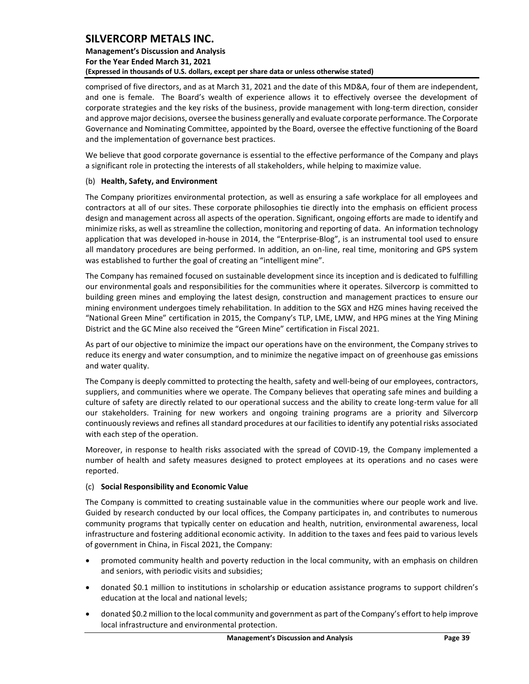### **Management's Discussion and Analysis For the Year Ended March 31, 2021 (Expressed in thousands of U.S. dollars, except per share data or unless otherwise stated)**

comprised of five directors, and as at March 31, 2021 and the date of this MD&A, four of them are independent, and one is female. The Board's wealth of experience allows it to effectively oversee the development of corporate strategies and the key risks of the business, provide management with long-term direction, consider and approve major decisions, oversee the business generally and evaluate corporate performance. The Corporate Governance and Nominating Committee, appointed by the Board, oversee the effective functioning of the Board and the implementation of governance best practices.

We believe that good corporate governance is essential to the effective performance of the Company and plays a significant role in protecting the interests of all stakeholders, while helping to maximize value.

#### (b) **Health, Safety, and Environment**

The Company prioritizes environmental protection, as well as ensuring a safe workplace for all employees and contractors at all of our sites. These corporate philosophies tie directly into the emphasis on efficient process design and management across all aspects of the operation. Significant, ongoing efforts are made to identify and minimize risks, as well as streamline the collection, monitoring and reporting of data. An information technology application that was developed in-house in 2014, the "Enterprise-Blog", is an instrumental tool used to ensure all mandatory procedures are being performed. In addition, an on-line, real time, monitoring and GPS system was established to further the goal of creating an "intelligent mine".

The Company has remained focused on sustainable development since its inception and is dedicated to fulfilling our environmental goals and responsibilities for the communities where it operates. Silvercorp is committed to building green mines and employing the latest design, construction and management practices to ensure our mining environment undergoes timely rehabilitation. In addition to the SGX and HZG mines having received the "National Green Mine" certification in 2015, the Company's TLP, LME, LMW, and HPG mines at the Ying Mining District and the GC Mine also received the "Green Mine" certification in Fiscal 2021.

As part of our objective to minimize the impact our operations have on the environment, the Company strives to reduce its energy and water consumption, and to minimize the negative impact on of greenhouse gas emissions and water quality.

The Company is deeply committed to protecting the health, safety and well-being of our employees, contractors, suppliers, and communities where we operate. The Company believes that operating safe mines and building a culture of safety are directly related to our operational success and the ability to create long-term value for all our stakeholders. Training for new workers and ongoing training programs are a priority and Silvercorp continuously reviews and refines all standard procedures at our facilities to identify any potential risks associated with each step of the operation.

Moreover, in response to health risks associated with the spread of COVID-19, the Company implemented a number of health and safety measures designed to protect employees at its operations and no cases were reported.

#### (c) **Social Responsibility and Economic Value**

The Company is committed to creating sustainable value in the communities where our people work and live. Guided by research conducted by our local offices, the Company participates in, and contributes to numerous community programs that typically center on education and health, nutrition, environmental awareness, local infrastructure and fostering additional economic activity. In addition to the taxes and fees paid to various levels of government in China, in Fiscal 2021, the Company:

- promoted community health and poverty reduction in the local community, with an emphasis on children and seniors, with periodic visits and subsidies;
- donated \$0.1 million to institutions in scholarship or education assistance programs to support children's education at the local and national levels;
- donated \$0.2 million to the local community and government as part of the Company's effort to help improve local infrastructure and environmental protection.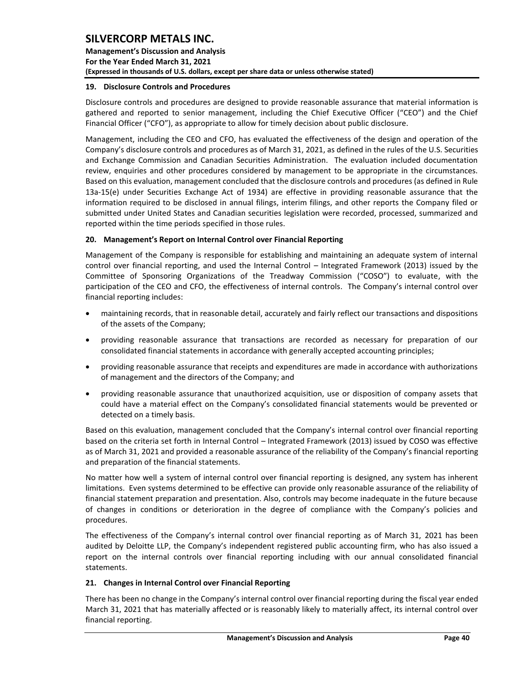**Management's Discussion and Analysis For the Year Ended March 31, 2021 (Expressed in thousands of U.S. dollars, except per share data or unless otherwise stated)** 

#### <span id="page-40-0"></span>**19. Disclosure Controls and Procedures**

Disclosure controls and procedures are designed to provide reasonable assurance that material information is gathered and reported to senior management, including the Chief Executive Officer ("CEO") and the Chief Financial Officer ("CFO"), as appropriate to allow for timely decision about public disclosure.

Management, including the CEO and CFO, has evaluated the effectiveness of the design and operation of the Company's disclosure controls and procedures as of March 31, 2021, as defined in the rules of the U.S. Securities and Exchange Commission and Canadian Securities Administration. The evaluation included documentation review, enquiries and other procedures considered by management to be appropriate in the circumstances. Based on this evaluation, management concluded that the disclosure controls and procedures (as defined in Rule 13a-15(e) under Securities Exchange Act of 1934) are effective in providing reasonable assurance that the information required to be disclosed in annual filings, interim filings, and other reports the Company filed or submitted under United States and Canadian securities legislation were recorded, processed, summarized and reported within the time periods specified in those rules.

#### <span id="page-40-1"></span>**20. Management's Report on Internal Control over Financial Reporting**

Management of the Company is responsible for establishing and maintaining an adequate system of internal control over financial reporting, and used the Internal Control – Integrated Framework (2013) issued by the Committee of Sponsoring Organizations of the Treadway Commission ("COSO") to evaluate, with the participation of the CEO and CFO, the effectiveness of internal controls. The Company's internal control over financial reporting includes:

- maintaining records, that in reasonable detail, accurately and fairly reflect our transactions and dispositions of the assets of the Company;
- providing reasonable assurance that transactions are recorded as necessary for preparation of our consolidated financial statements in accordance with generally accepted accounting principles;
- providing reasonable assurance that receipts and expenditures are made in accordance with authorizations of management and the directors of the Company; and
- providing reasonable assurance that unauthorized acquisition, use or disposition of company assets that could have a material effect on the Company's consolidated financial statements would be prevented or detected on a timely basis.

Based on this evaluation, management concluded that the Company's internal control over financial reporting based on the criteria set forth in Internal Control – Integrated Framework (2013) issued by COSO was effective as of March 31, 2021 and provided a reasonable assurance of the reliability of the Company's financial reporting and preparation of the financial statements.

No matter how well a system of internal control over financial reporting is designed, any system has inherent limitations. Even systems determined to be effective can provide only reasonable assurance of the reliability of financial statement preparation and presentation. Also, controls may become inadequate in the future because of changes in conditions or deterioration in the degree of compliance with the Company's policies and procedures.

The effectiveness of the Company's internal control over financial reporting as of March 31, 2021 has been audited by Deloitte LLP, the Company's independent registered public accounting firm, who has also issued a report on the internal controls over financial reporting including with our annual consolidated financial statements.

#### <span id="page-40-2"></span>**21. Changes in Internal Control over Financial Reporting**

There has been no change in the Company's internal control over financial reporting during the fiscal year ended March 31, 2021 that has materially affected or is reasonably likely to materially affect, its internal control over financial reporting.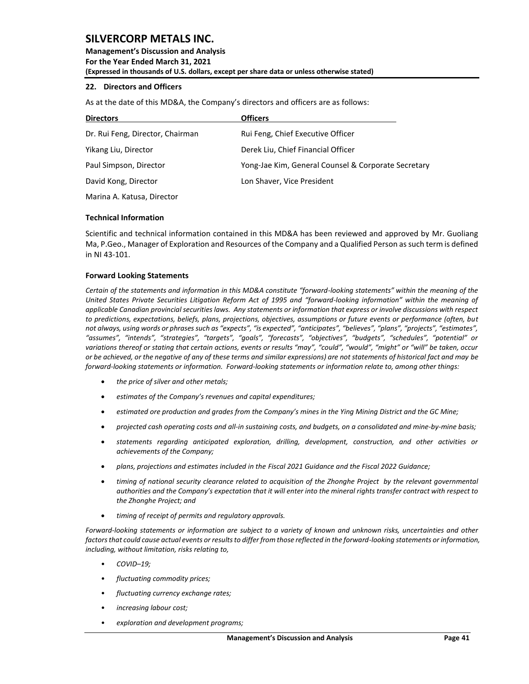**Management's Discussion and Analysis For the Year Ended March 31, 2021 (Expressed in thousands of U.S. dollars, except per share data or unless otherwise stated)** 

#### <span id="page-41-0"></span>**22. Directors and Officers**

As at the date of this MD&A, the Company's directors and officers are as follows:

| <b>Directors</b>                 | <b>Officers</b>                                     |  |  |  |  |  |
|----------------------------------|-----------------------------------------------------|--|--|--|--|--|
| Dr. Rui Feng, Director, Chairman | Rui Feng, Chief Executive Officer                   |  |  |  |  |  |
| Yikang Liu, Director             | Derek Liu, Chief Financial Officer                  |  |  |  |  |  |
| Paul Simpson, Director           | Yong-Jae Kim, General Counsel & Corporate Secretary |  |  |  |  |  |
| David Kong, Director             | Lon Shaver, Vice President                          |  |  |  |  |  |
|                                  |                                                     |  |  |  |  |  |

Marina A. Katusa, Director

#### <span id="page-41-1"></span>**Technical Information**

Scientific and technical information contained in this MD&A has been reviewed and approved by Mr. Guoliang Ma, P.Geo., Manager of Exploration and Resources of the Company and a Qualified Person assuch term is defined in NI 43-101.

#### <span id="page-41-2"></span>**Forward Looking Statements**

*Certain of the statements and information in this MD&A constitute "forward-looking statements" within the meaning of the United States Private Securities Litigation Reform Act of 1995 and "forward-looking information" within the meaning of applicable Canadian provincial securities laws. Any statements or information that express or involve discussions with respect to predictions, expectations, beliefs, plans, projections, objectives, assumptions or future events or performance (often, but not always, using words or phrases such as "expects", "is expected", "anticipates", "believes", "plans", "projects", "estimates", "assumes", "intends", "strategies", "targets", "goals", "forecasts", "objectives", "budgets", "schedules", "potential" or variations thereof or stating that certain actions, events or results "may", "could", "would", "might" or "will" be taken, occur or be achieved, or the negative of any of these terms and similar expressions) are not statements of historical fact and may be forward-looking statements or information. Forward-looking statements or information relate to, among other things:*

- *the price of silver and other metals;*
- *estimates of the Company's revenues and capital expenditures;*
- *estimated ore production and grades from the Company's mines in the Ying Mining District and the GC Mine;*
- *projected cash operating costs and all-in sustaining costs, and budgets, on a consolidated and mine-by-mine basis;*
- *statements regarding anticipated exploration, drilling, development, construction, and other activities or achievements of the Company;*
- *plans, projections and estimates included in the Fiscal 2021 Guidance and the Fiscal 2022 Guidance;*
- *timing of national security clearance related to acquisition of the Zhonghe Project by the relevant governmental authorities and the Company's expectation that it will enter into the mineral rights transfer contract with respect to the Zhonghe Project; and*
- *timing of receipt of permits and regulatory approvals.*

*Forward-looking statements or information are subject to a variety of known and unknown risks, uncertainties and other factors that could cause actual events or results to differ from those reflected in the forward-looking statements or information, including, without limitation, risks relating to,* 

- *COVID–19;*
- *fluctuating commodity prices;*
- *fluctuating currency exchange rates;*
- *increasing labour cost;*
- *exploration and development programs;*